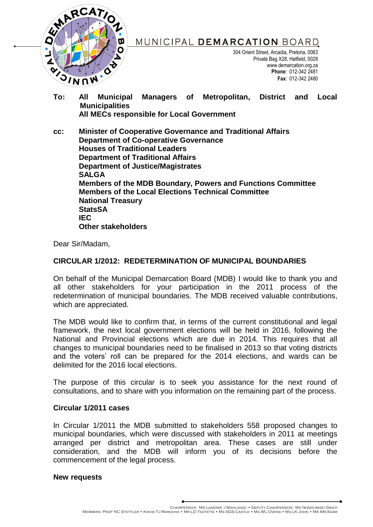

MUNICIPAL DEMARCATION BOARD

304 Orient Street, Arcadia, Pretoria, 0083 Private Bag X28, Hatfield, 0028 www.demarcation.org.za **Phone**: 012-342 2481 **Fax**: 012-342 2480

**To: All Municipal Managers of Metropolitan, District and Local Municipalities All MECs responsible for Local Government**

**cc: Minister of Cooperative Governance and Traditional Affairs Department of Co-operative Governance Houses of Traditional Leaders Department of Traditional Affairs Department of Justice/Magistrates SALGA Members of the MDB Boundary, Powers and Functions Committee Members of the Local Elections Technical Committee National Treasury StatsSA IEC Other stakeholders**

Dear Sir/Madam,

# **CIRCULAR 1/2012: REDETERMINATION OF MUNICIPAL BOUNDARIES**

On behalf of the Municipal Demarcation Board (MDB) I would like to thank you and all other stakeholders for your participation in the 2011 process of the redetermination of municipal boundaries. The MDB received valuable contributions, which are appreciated.

The MDB would like to confirm that, in terms of the current constitutional and legal framework, the next local government elections will be held in 2016, following the National and Provincial elections which are due in 2014. This requires that all changes to municipal boundaries need to be finalised in 2013 so that voting districts and the voters' roll can be prepared for the 2014 elections, and wards can be delimited for the 2016 local elections.

The purpose of this circular is to seek you assistance for the next round of consultations, and to share with you information on the remaining part of the process.

# **Circular 1/2011 cases**

In Circular 1/2011 the MDB submitted to stakeholders 558 proposed changes to municipal boundaries, which were discussed with stakeholders in 2011 at meetings arranged per district and metropolitan area. These cases are still under consideration, and the MDB will inform you of its decisions before the commencement of the legal process.

# **New requests**

CHAIRPERSON: MR LANDIWE J MAHLANGU • DEPUTY CHAIRPERSON: MS NONDUMISO GWAY<br>Members: Prof NC Steytler • Khosi T. I Ramovha • Mr I. D. Tsotetsi • Ms SGS Castle • Ms WL Ovens • Ms I. K John • Mr AM Adam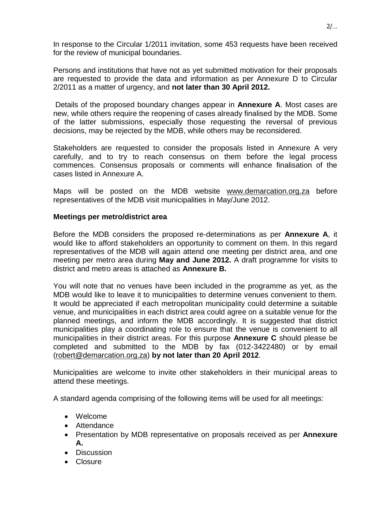In response to the Circular 1/2011 invitation, some 453 requests have been received for the review of municipal boundaries.

Persons and institutions that have not as yet submitted motivation for their proposals are requested to provide the data and information as per Annexure D to Circular 2/2011 as a matter of urgency, and **not later than 30 April 2012.**

Details of the proposed boundary changes appear in **Annexure A**. Most cases are new, while others require the reopening of cases already finalised by the MDB. Some of the latter submissions, especially those requesting the reversal of previous decisions, may be rejected by the MDB, while others may be reconsidered.

Stakeholders are requested to consider the proposals listed in Annexure A very carefully, and to try to reach consensus on them before the legal process commences. Consensus proposals or comments will enhance finalisation of the cases listed in Annexure A.

Maps will be posted on the MDB website [www.demarcation.org.za](http://www.demarcation.org.za/) before representatives of the MDB visit municipalities in May/June 2012.

# **Meetings per metro/district area**

Before the MDB considers the proposed re-determinations as per **Annexure A**, it would like to afford stakeholders an opportunity to comment on them. In this regard representatives of the MDB will again attend one meeting per district area, and one meeting per metro area during **May and June 2012.** A draft programme for visits to district and metro areas is attached as **Annexure B.**

You will note that no venues have been included in the programme as yet, as the MDB would like to leave it to municipalities to determine venues convenient to them. It would be appreciated if each metropolitan municipality could determine a suitable venue, and municipalities in each district area could agree on a suitable venue for the planned meetings, and inform the MDB accordingly. It is suggested that district municipalities play a coordinating role to ensure that the venue is convenient to all municipalities in their district areas. For this purpose **Annexure C** should please be completed and submitted to the MDB by fax (012-3422480) or by email [\(robert@demarcation.org.za\)](mailto:robert@demarcation.org.za) **by not later than 20 April 2012**.

Municipalities are welcome to invite other stakeholders in their municipal areas to attend these meetings.

A standard agenda comprising of the following items will be used for all meetings:

- Welcome
- Attendance
- Presentation by MDB representative on proposals received as per **Annexure A.**
- Discussion
- Closure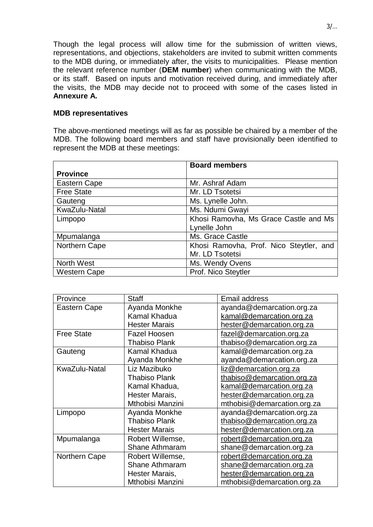Though the legal process will allow time for the submission of written views, representations, and objections, stakeholders are invited to submit written comments to the MDB during, or immediately after, the visits to municipalities. Please mention the relevant reference number (**DEM number**) when communicating with the MDB, or its staff. Based on inputs and motivation received during, and immediately after the visits, the MDB may decide not to proceed with some of the cases listed in **Annexure A.**

### **MDB representatives**

The above-mentioned meetings will as far as possible be chaired by a member of the MDB. The following board members and staff have provisionally been identified to represent the MDB at these meetings:

|                     | <b>Board members</b>                    |
|---------------------|-----------------------------------------|
| <b>Province</b>     |                                         |
| Eastern Cape        | Mr. Ashraf Adam                         |
| <b>Free State</b>   | Mr. LD Tsotetsi                         |
| Gauteng             | Ms. Lynelle John.                       |
| KwaZulu-Natal       | Ms. Ndumi Gwayi                         |
| Limpopo             | Khosi Ramovha, Ms Grace Castle and Ms   |
|                     | Lynelle John                            |
| Mpumalanga          | Ms. Grace Castle                        |
| Northern Cape       | Khosi Ramovha, Prof. Nico Steytler, and |
|                     | Mr. LD Tsotetsi                         |
| North West          | Ms. Wendy Ovens                         |
| <b>Western Cape</b> | Prof. Nico Steytler                     |

| Province          | <b>Staff</b>          | Email address               |
|-------------------|-----------------------|-----------------------------|
| Eastern Cape      | Ayanda Monkhe         | ayanda@demarcation.org.za   |
|                   | Kamal Khadua          | kamal@demarcation.org.za    |
|                   | <b>Hester Marais</b>  | hester@demarcation.org.za   |
| <b>Free State</b> | <b>Fazel Hoosen</b>   | fazel@demarcation.org.za    |
|                   | <b>Thabiso Plank</b>  | thabiso@demarcation.org.za  |
| Gauteng           | Kamal Khadua          | kamal@demarcation.org.za    |
|                   | Ayanda Monkhe         | ayanda@demarcation.org.za   |
| KwaZulu-Natal     | Liz Mazibuko          | liz@demarcation.org.za      |
|                   | <b>Thabiso Plank</b>  | thabiso@demarcation.org.za  |
|                   | Kamal Khadua,         | kamal@demarcation.org.za    |
|                   | Hester Marais,        | hester@demarcation.org.za   |
|                   | Mthobisi Manzini      | mthobisi@demarcation.org.za |
| Limpopo           | Ayanda Monkhe         | ayanda@demarcation.org.za   |
|                   | <b>Thabiso Plank</b>  | thabiso@demarcation.org.za  |
|                   | <b>Hester Marais</b>  | hester@demarcation.org.za   |
| Mpumalanga        | Robert Willemse,      | robert@demarcation.org.za   |
|                   | Shane Athmaram        | shane@demarcation.org.za    |
| Northern Cape     | Robert Willemse,      | robert@demarcation.org.za   |
|                   | <b>Shane Athmaram</b> | shane@demarcation.org.za    |
|                   | Hester Marais,        | hester@demarcation.org.za   |
|                   | Mthobisi Manzini      | mthobisi@demarcation.org.za |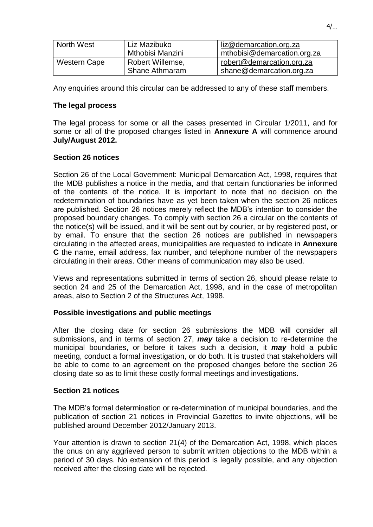| North West   | Liz Mazibuko          | liz@demarcation.org.za      |
|--------------|-----------------------|-----------------------------|
|              | Mthobisi Manzini      | mthobisi@demarcation.org.za |
| Western Cape | Robert Willemse,      | robert@demarcation.org.za   |
|              | <b>Shane Athmaram</b> | shane@demarcation.org.za    |

Any enquiries around this circular can be addressed to any of these staff members.

# **The legal process**

The legal process for some or all the cases presented in Circular 1/2011, and for some or all of the proposed changes listed in **Annexure A** will commence around **July/August 2012.**

# **Section 26 notices**

Section 26 of the Local Government: Municipal Demarcation Act, 1998, requires that the MDB publishes a notice in the media, and that certain functionaries be informed of the contents of the notice. It is important to note that no decision on the redetermination of boundaries have as yet been taken when the section 26 notices are published. Section 26 notices merely reflect the MDB's intention to consider the proposed boundary changes. To comply with section 26 a circular on the contents of the notice(s) will be issued, and it will be sent out by courier, or by registered post, or by email. To ensure that the section 26 notices are published in newspapers circulating in the affected areas, municipalities are requested to indicate in **Annexure C** the name, email address, fax number, and telephone number of the newspapers circulating in their areas. Other means of communication may also be used.

Views and representations submitted in terms of section 26, should please relate to section 24 and 25 of the Demarcation Act, 1998, and in the case of metropolitan areas, also to Section 2 of the Structures Act, 1998.

# **Possible investigations and public meetings**

After the closing date for section 26 submissions the MDB will consider all submissions, and in terms of section 27, *may* take a decision to re-determine the municipal boundaries, or before it takes such a decision, it *may* hold a public meeting, conduct a formal investigation, or do both. It is trusted that stakeholders will be able to come to an agreement on the proposed changes before the section 26 closing date so as to limit these costly formal meetings and investigations.

# **Section 21 notices**

The MDB's formal determination or re-determination of municipal boundaries, and the publication of section 21 notices in Provincial Gazettes to invite objections, will be published around December 2012/January 2013.

Your attention is drawn to section 21(4) of the Demarcation Act, 1998, which places the onus on any aggrieved person to submit written objections to the MDB within a period of 30 days. No extension of this period is legally possible, and any objection received after the closing date will be rejected.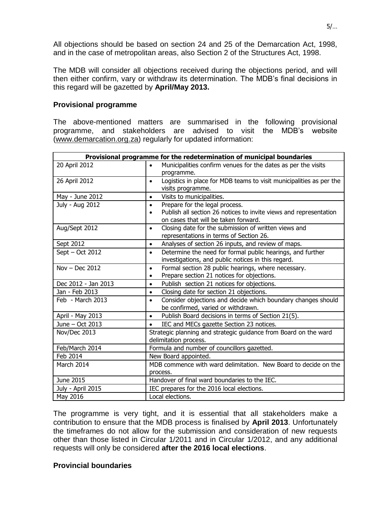All objections should be based on section 24 and 25 of the Demarcation Act, 1998, and in the case of metropolitan areas, also Section 2 of the Structures Act, 1998.

The MDB will consider all objections received during the objections period, and will then either confirm, vary or withdraw its determination. The MDB's final decisions in this regard will be gazetted by **April/May 2013.**

## **Provisional programme**

The above-mentioned matters are summarised in the following provisional programme, and stakeholders are advised to visit the MDB's website [\(www.demarcation.org.za\)](http://www.demarcation.org.za/) regularly for updated information:

| Provisional programme for the redetermination of municipal boundaries |                                                                                  |  |
|-----------------------------------------------------------------------|----------------------------------------------------------------------------------|--|
| 20 April 2012                                                         | Municipalities confirm venues for the dates as per the visits<br>$\bullet$       |  |
|                                                                       | programme.                                                                       |  |
| 26 April 2012                                                         | Logistics in place for MDB teams to visit municipalities as per the<br>$\bullet$ |  |
|                                                                       | visits programme.                                                                |  |
| May - June 2012                                                       | Visits to municipalities.<br>$\bullet$                                           |  |
| July - Aug 2012                                                       | Prepare for the legal process.<br>$\bullet$                                      |  |
|                                                                       | Publish all section 26 notices to invite views and representation<br>$\bullet$   |  |
|                                                                       | on cases that will be taken forward.                                             |  |
| Aug/Sept 2012                                                         | Closing date for the submission of written views and<br>$\bullet$                |  |
|                                                                       | representations in terms of Section 26.                                          |  |
| Sept 2012                                                             | Analyses of section 26 inputs, and review of maps.<br>$\bullet$                  |  |
| Sept - Oct 2012                                                       | Determine the need for formal public hearings, and further<br>$\bullet$          |  |
|                                                                       | investigations, and public notices in this regard.                               |  |
| Nov $-$ Dec 2012                                                      | Formal section 28 public hearings, where necessary.<br>$\bullet$                 |  |
|                                                                       | Prepare section 21 notices for objections.<br>$\bullet$                          |  |
| Dec 2012 - Jan 2013                                                   | Publish section 21 notices for objections.<br>$\bullet$                          |  |
| Jan - Feb 2013                                                        | Closing date for section 21 objections.<br>$\bullet$                             |  |
| Feb - March 2013                                                      | Consider objections and decide which boundary changes should<br>$\bullet$        |  |
|                                                                       | be confirmed, varied or withdrawn.                                               |  |
| April - May 2013                                                      | Publish Board decisions in terms of Section 21(5).<br>$\bullet$                  |  |
| June - Oct 2013                                                       | IEC and MECs gazette Section 23 notices.<br>$\bullet$                            |  |
| Nov/Dec 2013                                                          | Strategic planning and strategic guidance from Board on the ward                 |  |
|                                                                       | delimitation process.                                                            |  |
| Feb/March 2014                                                        | Formula and number of councillors gazetted.                                      |  |
| Feb 2014                                                              | New Board appointed.                                                             |  |
| March 2014                                                            | MDB commence with ward delimitation. New Board to decide on the                  |  |
|                                                                       | process.                                                                         |  |
| June 2015                                                             | Handover of final ward boundaries to the IEC.                                    |  |
| July - April 2015                                                     | IEC prepares for the 2016 local elections.                                       |  |
| May 2016                                                              | Local elections.                                                                 |  |

The programme is very tight, and it is essential that all stakeholders make a contribution to ensure that the MDB process is finalised by **April 2013**. Unfortunately the timeframes do not allow for the submission and consideration of new requests other than those listed in Circular 1/2011 and in Circular 1/2012, and any additional requests will only be considered **after the 2016 local elections**.

## **Provincial boundaries**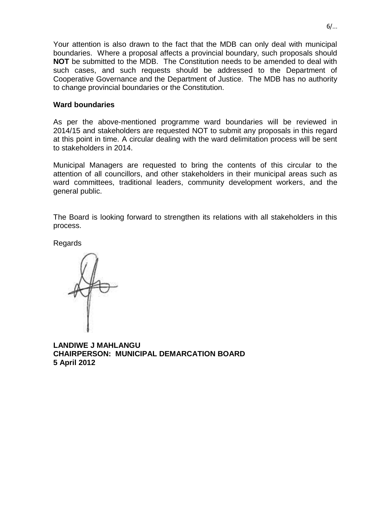Your attention is also drawn to the fact that the MDB can only deal with municipal boundaries. Where a proposal affects a provincial boundary, such proposals should **NOT** be submitted to the MDB. The Constitution needs to be amended to deal with such cases, and such requests should be addressed to the Department of Cooperative Governance and the Department of Justice. The MDB has no authority to change provincial boundaries or the Constitution.

## **Ward boundaries**

As per the above-mentioned programme ward boundaries will be reviewed in 2014/15 and stakeholders are requested NOT to submit any proposals in this regard at this point in time. A circular dealing with the ward delimitation process will be sent to stakeholders in 2014.

Municipal Managers are requested to bring the contents of this circular to the attention of all councillors, and other stakeholders in their municipal areas such as ward committees, traditional leaders, community development workers, and the general public.

The Board is looking forward to strengthen its relations with all stakeholders in this process.

Regards

**LANDIWE J MAHLANGU CHAIRPERSON: MUNICIPAL DEMARCATION BOARD 5 April 2012**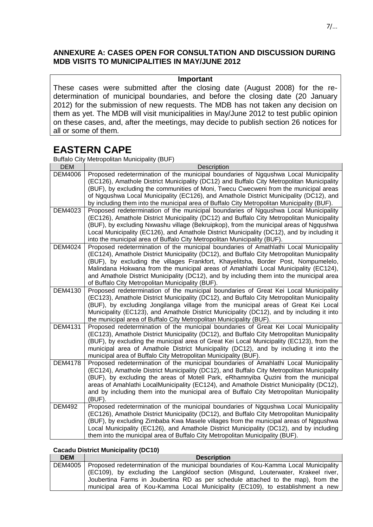# **ANNEXURE A: CASES OPEN FOR CONSULTATION AND DISCUSSION DURING MDB VISITS TO MUNICIPALITIES IN MAY/JUNE 2012**

### **Important**

These cases were submitted after the closing date (August 2008) for the redetermination of municipal boundaries, and before the closing date (20 January 2012) for the submission of new requests. The MDB has not taken any decision on them as yet. The MDB will visit municipalities in May/June 2012 to test public opinion on these cases, and, after the meetings, may decide to publish section 26 notices for all or some of them.

# **EASTERN CAPE**

Buffalo City Metropolitan Municipality (BUF)

| <b>DEM</b>     | Description                                                                                                                                                                          |
|----------------|--------------------------------------------------------------------------------------------------------------------------------------------------------------------------------------|
| <b>DEM4006</b> | Proposed redetermination of the municipal boundaries of Ngqushwa Local Municipality                                                                                                  |
|                | (EC126), Amathole District Municipality (DC12) and Buffalo City Metropolitan Municipality                                                                                            |
|                | (BUF), by excluding the communities of Moni, Twecu Cwecweni from the municipal areas                                                                                                 |
|                | of Ngqushwa Local Municipality (EC126), and Amathole District Municipality (DC12), and<br>by including them into the municipal area of Buffalo City Metropolitan Municipality (BUF). |
| DEM4023        | Proposed redetermination of the municipal boundaries of Ngqushwa Local Municipality                                                                                                  |
|                | (EC126), Amathole District Municipality (DC12) and Buffalo City Metropolitan Municipality                                                                                            |
|                | (BUF), by excluding Nxwashu village (Bekruipkop), from the municipal areas of Ngqushwa                                                                                               |
|                | Local Municipality (EC126), and Amathole District Municipality (DC12), and by including it                                                                                           |
|                | into the municipal area of Buffalo City Metropolitan Municipality (BUF).                                                                                                             |
| <b>DEM4024</b> | Proposed redetermination of the municipal boundaries of Amathlathi Local Municipality                                                                                                |
|                | (EC124), Amathole District Municipality (DC12), and Buffalo City Metropolitan Municipality                                                                                           |
|                | (BUF), by excluding the villages Frankfort, Khayelitsha, Border Post, Nompumelelo,<br>Malindana Hokwana from the municipal areas of Amahlathi Local Municipality (EC124),            |
|                | and Amathole District Municipality (DC12), and by including them into the municipal area                                                                                             |
|                | of Buffalo City Metropolitan Municipality (BUF).                                                                                                                                     |
| <b>DEM4130</b> | Proposed redetermination of the municipal boundaries of Great Kei Local Municipality                                                                                                 |
|                | (EC123), Amathole District Municipality (DC12), and Buffalo City Metropolitan Municipality                                                                                           |
|                | (BUF), by excluding Jongilanga village from the municipal areas of Great Kei Local                                                                                                   |
|                | Municipality (EC123), and Amathole District Municipality (DC12), and by including it into                                                                                            |
|                | the municipal area of Buffalo City Metropolitan Municipality (BUF).                                                                                                                  |
| <b>DEM4131</b> | Proposed redetermination of the municipal boundaries of Great Kei Local Municipality<br>(EC123), Amathole District Municipality (DC12), and Buffalo City Metropolitan Municipality   |
|                | (BUF), by excluding the municipal area of Great Kei Local Municipality (EC123), from the                                                                                             |
|                | municipal area of Amathole District Municipality (DC12), and by including it into the                                                                                                |
|                | municipal area of Buffalo City Metropolitan Municipality (BUF).                                                                                                                      |
| <b>DEM4178</b> | Proposed redetermination of the municipal boundaries of Amahlathi Local Municipality                                                                                                 |
|                | (EC124), Amathole District Municipality (DC12), and Buffalo City Metropolitan Municipality                                                                                           |
|                | (BUF), by excluding the areas of Motell Park, eRhamnyiba Quzini from the municipal                                                                                                   |
|                | areas of Amahlathi LocalMunicipality (EC124), and Amathole District Municipality (DC12),                                                                                             |
|                | and by including them into the municipal area of Buffalo City Metropolitan Municipality<br>(BUF).                                                                                    |
| <b>DEM492</b>  | Proposed redetermination of the municipal boundaries of Ngqushwa Local Municipality                                                                                                  |
|                | (EC126), Amathole District Municipality (DC12), and Buffalo City Metropolitan Municipality                                                                                           |
|                | (BUF), by excluding Zimbaba Kwa Masele villages from the municipal areas of Ngqushwa                                                                                                 |
|                | Local Municipality (EC126), and Amathole District Municipality (DC12), and by including                                                                                              |
|                | them into the municipal area of Buffalo City Metropolitan Municipality (BUF).                                                                                                        |

#### **Cacadu District Municipality (DC10)**

| <b>DEM</b> | <b>Description</b>                                                                             |
|------------|------------------------------------------------------------------------------------------------|
|            | DEM4005   Proposed redetermination of the municipal boundaries of Kou-Kamma Local Municipality |
|            | (EC109), by excluding the Langkloof section (Misgund, Louterwater, Krakeel river,              |
|            | Joubertina Farms in Joubertina RD as per schedule attached to the map), from the               |
|            | municipal area of Kou-Kamma Local Municipality (EC109), to establishment a new                 |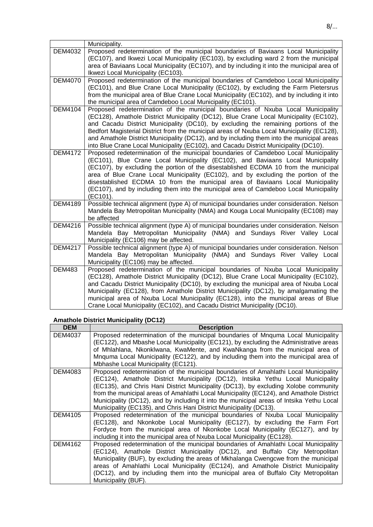|                | Municipality.                                                                                                                                                                                                                                                                                                                                                                                                                                                                                                                                        |
|----------------|------------------------------------------------------------------------------------------------------------------------------------------------------------------------------------------------------------------------------------------------------------------------------------------------------------------------------------------------------------------------------------------------------------------------------------------------------------------------------------------------------------------------------------------------------|
| <b>DEM4032</b> | Proposed redetermination of the municipal boundaries of Baviaans Local Municipality<br>(EC107), and Ikwezi Local Municipality (EC103), by excluding ward 2 from the municipal<br>area of Baviaans Local Municipality (EC107), and by including it into the municipal area of<br>Ikwezi Local Municipality (EC103).                                                                                                                                                                                                                                   |
| <b>DEM4070</b> | Proposed redetermination of the municipal boundaries of Camdeboo Local Municipality<br>(EC101), and Blue Crane Local Municipality (EC102), by excluding the Farm Pietersrus<br>from the municipal area of Blue Crane Local Municipality (EC102), and by including it into<br>the municipal area of Camdeboo Local Municipality (EC101).                                                                                                                                                                                                              |
| <b>DEM4104</b> | Proposed redetermination of the municipal boundaries of Nxuba Local Municipality<br>(EC128), Amathole District Municipality (DC12), Blue Crane Local Municipality (EC102),<br>and Cacadu District Municipality (DC10), by excluding the remaining portions of the<br>Bedfort Magisterial District from the municipal areas of Nxuba Local Municipality (EC128),<br>and Amathole District Municipality (DC12), and by including them into the municipal areas<br>into Blue Crane Local Municipality (EC102), and Cacadu District Municipality (DC10). |
| <b>DEM4172</b> | Proposed redetermination of the municipal boundaries of Camdeboo Local Municipality<br>(EC101), Blue Crane Local Municipality (EC102), and Baviaans Local Municipality<br>(EC107), by excluding the portion of the disestablished ECDMA 10 from the municipal<br>area of Blue Crane Local Municipality (EC102), and by excluding the portion of the<br>disestablished ECDMA 10 from the municipal area of Baviaans Local Municipality<br>(EC107), and by including them into the municipal area of Camdeboo Local Municipality<br>(EC101).           |
| <b>DEM4189</b> | Possible technical alignment (type A) of municipal boundaries under consideration. Nelson<br>Mandela Bay Metropolitan Municipality (NMA) and Kouga Local Municipality (EC108) may<br>be affected                                                                                                                                                                                                                                                                                                                                                     |
| <b>DEM4216</b> | Possible technical alignment (type A) of municipal boundaries under consideration. Nelson<br>Mandela Bay Metropolitan Municipality (NMA) and Sundays River Valley Local<br>Municipality (EC106) may be affected.                                                                                                                                                                                                                                                                                                                                     |
| <b>DEM4217</b> | Possible technical alignment (type A) of municipal boundaries under consideration. Nelson<br>Mandela Bay Metropolitan Municipality (NMA) and Sundays River Valley Local<br>Municipality (EC106) may be affected.                                                                                                                                                                                                                                                                                                                                     |
| <b>DEM483</b>  | Proposed redetermination of the municipal boundaries of Nxuba Local Municipality<br>(EC128), Amathole District Municipality (DC12), Blue Crane Local Municipality (EC102),<br>and Cacadu District Municipality (DC10), by excluding the municipal area of Nxuba Local<br>Municipality (EC128), from Amathole District Municipality (DC12), by amalgamating the<br>municipal area of Nxuba Local Municipality (EC128), into the municipal areas of Blue<br>Crane Local Municipality (EC102), and Cacadu District Municipality (DC10).                 |

# **Amathole District Municipality (DC12)**

| <b>DEM</b>     | <b>Description</b>                                                                                                                                                                                                                                                                                                                                                                                                                                                                                                           |
|----------------|------------------------------------------------------------------------------------------------------------------------------------------------------------------------------------------------------------------------------------------------------------------------------------------------------------------------------------------------------------------------------------------------------------------------------------------------------------------------------------------------------------------------------|
| DEM4037        | Proposed redetermination of the municipal boundaries of Mnquma Local Municipality<br>(EC122), and Mbashe Local Municipality (EC121), by excluding the Administrative areas<br>of Mhlahlana, Nkonklwana, KwaMente, and KwaNkanga from the municipal area of<br>Mnquma Local Municipality (EC122), and by including them into the municipal area of<br>Mbhashe Local Municipality (EC121).                                                                                                                                     |
| DEM4083        | Proposed redetermination of the municipal boundaries of Amahlathi Local Municipality<br>(EC124), Amathole District Municipality (DC12), Intsika Yethu Local Municipality<br>(EC135), and Chris Hani District Municipality (DC13), by excluding Xolobe community<br>from the municipal areas of Amahlathi Local Municipality (EC124), and Amathole District<br>Municipality (DC12), and by including it into the municipal areas of Intsika Yethu Local<br>Municipality (EC135), and Chris Hani District Municipality (DC13). |
| <b>DEM4105</b> | Proposed redetermination of the municipal boundaries of Nxuba Local Municipality<br>(EC128), and Nkonkobe Local Municipality (EC127), by excluding the Farm Fort<br>Fordyce from the municipal area of Nkonkobe Local Municipality (EC127), and by<br>including it into the municipal area of Nxuba Local Municipality (EC128).                                                                                                                                                                                              |
| <b>DEM4162</b> | Proposed redetermination of the municipal boundaries of Amahlathi Local Municipality<br>(EC124), Amathole District Municipality (DC12), and Buffalo City Metropolitan<br>Municipality (BUF), by excluding the areas of Mkhalanga Cwengcwe from the municipal<br>areas of Amahlathi Local Municipality (EC124), and Amathole District Municipality<br>(DC12), and by including them into the municipal area of Buffalo City Metropolitan<br>Municipality (BUF).                                                               |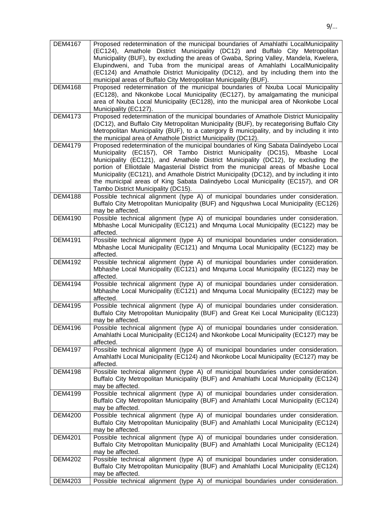| <b>DEM4167</b> | Proposed redetermination of the municipal boundaries of Amahlathi LocalMunicipality       |
|----------------|-------------------------------------------------------------------------------------------|
|                | (EC124), Amathole District Municipality (DC12) and Buffalo City Metropolitan              |
|                | Municipality (BUF), by excluding the areas of Gwaba, Spring Valley, Mandela, Kwelera,     |
|                | Elupindweni, and Tuba from the municipal areas of Amahlathi LocalMunicipality             |
|                | (EC124) and Amathole District Municipality (DC12), and by including them into the         |
|                | municipal areas of Buffalo City Metropolitan Municipality (BUF).                          |
| <b>DEM4168</b> | Proposed redetermination of the municipal boundaries of Nxuba Local Municipality          |
|                | (EC128), and Nkonkobe Local Municipality (EC127), by amalgamating the municipal           |
|                | area of Nxuba Local Municipality (EC128), into the municipal area of Nkonkobe Local       |
|                | Municipality (EC127).                                                                     |
|                |                                                                                           |
| <b>DEM4173</b> | Proposed redetermination of the municipal boundaries of Amathole District Municipality    |
|                | (DC12), and Buffalo City Metropolitan Municipality (BUF), by recategorising Buffalo City  |
|                | Metropolitan Municipality (BUF), to a catergory B municipality, and by including it into  |
|                | the municipal area of Amathole District Municipality (DC12).                              |
| <b>DEM4179</b> | Proposed redetermination of the municipal boundaries of King Sabata Dalindyebo Local      |
|                | Municipality (EC157), OR Tambo District Municipality (DC15),<br>Mbashe Local              |
|                | Municipality (EC121), and Amathole District Municipality (DC12), by excluding the         |
|                | portion of Elliotdale Magasterial District from the municipal areas of Mbashe Local       |
|                | Municipality (EC121), and Amathole District Municipality (DC12), and by including it into |
|                | the municipal areas of King Sabata Dalindyebo Local Municipality (EC157), and OR          |
|                | Tambo District Municipality (DC15).                                                       |
| <b>DEM4188</b> | Possible technical alignment (type A) of municipal boundaries under consideration.        |
|                | Buffalo City Metropolitan Municipality (BUF) and Ngqushwa Local Municipality (EC126)      |
|                | may be affected.                                                                          |
| <b>DEM4190</b> | Possible technical alignment (type A) of municipal boundaries under consideration.        |
|                | Mbhashe Local Municipality (EC121) and Mnquma Local Municipality (EC122) may be           |
|                | affected.                                                                                 |
| <b>DEM4191</b> | Possible technical alignment (type A) of municipal boundaries under consideration.        |
|                |                                                                                           |
|                | Mbhashe Local Municipality (EC121) and Mnquma Local Municipality (EC122) may be           |
|                | affected.                                                                                 |
| <b>DEM4192</b> | Possible technical alignment (type A) of municipal boundaries under consideration.        |
|                | Mbhashe Local Municipality (EC121) and Mnquma Local Municipality (EC122) may be           |
|                | affected.                                                                                 |
| <b>DEM4194</b> | Possible technical alignment (type A) of municipal boundaries under consideration.        |
|                | Mbhashe Local Municipality (EC121) and Mnquma Local Municipality (EC122) may be           |
|                | affected.                                                                                 |
| <b>DEM4195</b> | Possible technical alignment (type A) of municipal boundaries under consideration.        |
|                | Buffalo City Metropolitan Municipality (BUF) and Great Kei Local Municipality (EC123)     |
|                | may be affected.                                                                          |
| <b>DEM4196</b> | Possible technical alignment (type A) of municipal boundaries under consideration.        |
|                | Amahlathi Local Municipality (EC124) and Nkonkobe Local Municipality (EC127) may be       |
|                | affected.                                                                                 |
| <b>DEM4197</b> | Possible technical alignment (type A) of municipal boundaries under consideration.        |
|                | Amahlathi Local Municipality (EC124) and Nkonkobe Local Municipality (EC127) may be       |
|                | affected.                                                                                 |
| <b>DEM4198</b> | Possible technical alignment (type A) of municipal boundaries under consideration.        |
|                | Buffalo City Metropolitan Municipality (BUF) and Amahlathi Local Municipality (EC124)     |
|                | may be affected.                                                                          |
| <b>DEM4199</b> | Possible technical alignment (type A) of municipal boundaries under consideration.        |
|                | Buffalo City Metropolitan Municipality (BUF) and Amahlathi Local Municipality (EC124)     |
|                | may be affected.                                                                          |
| <b>DEM4200</b> | Possible technical alignment (type A) of municipal boundaries under consideration.        |
|                |                                                                                           |
|                | Buffalo City Metropolitan Municipality (BUF) and Amahlathi Local Municipality (EC124)     |
|                | may be affected.                                                                          |
| <b>DEM4201</b> | Possible technical alignment (type A) of municipal boundaries under consideration.        |
|                | Buffalo City Metropolitan Municipality (BUF) and Amahlathi Local Municipality (EC124)     |
|                | may be affected.                                                                          |
| <b>DEM4202</b> | Possible technical alignment (type A) of municipal boundaries under consideration.        |
|                | Buffalo City Metropolitan Municipality (BUF) and Amahlathi Local Municipality (EC124)     |
|                | may be affected.                                                                          |
| <b>DEM4203</b> | Possible technical alignment (type A) of municipal boundaries under consideration.        |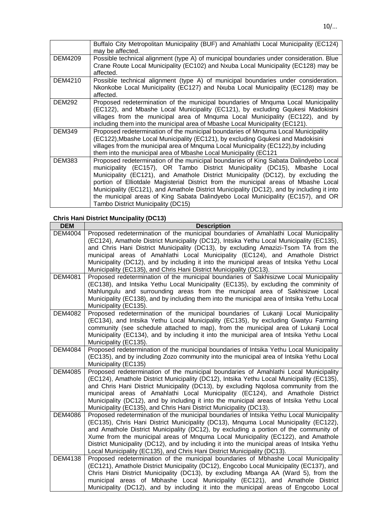|                | Buffalo City Metropolitan Municipality (BUF) and Amahlathi Local Municipality (EC124)<br>may be affected.                                                                                                                                                                                                                                                                                                                                                                                                                                                            |
|----------------|----------------------------------------------------------------------------------------------------------------------------------------------------------------------------------------------------------------------------------------------------------------------------------------------------------------------------------------------------------------------------------------------------------------------------------------------------------------------------------------------------------------------------------------------------------------------|
| <b>DEM4209</b> | Possible technical alignment (type A) of municipal boundaries under consideration. Blue<br>Crane Route Local Municipality (EC102) and Nxuba Local Municipality (EC128) may be<br>affected.                                                                                                                                                                                                                                                                                                                                                                           |
| <b>DEM4210</b> | Possible technical alignment (type A) of municipal boundaries under consideration.<br>Nkonkobe Local Municipality (EC127) and Nxuba Local Municipality (EC128) may be<br>affected.                                                                                                                                                                                                                                                                                                                                                                                   |
| <b>DEM292</b>  | Proposed redetermination of the municipal boundaries of Mnquma Local Municipality<br>(EC122), and Mbashe Local Municipality (EC121), by excluding Gqukesi Madokisini<br>villages from the municipal area of Mnquma Local Municipality (EC122), and by<br>including them into the municipal area of Mbashe Local Municipality (EC121).                                                                                                                                                                                                                                |
| <b>DEM349</b>  | Proposed redetermination of the municipal boundaries of Mnguma Local Municipality<br>(EC122), Mbashe Local Municipality (EC121), by excluding Gqukesi and Madokisini<br>villages from the municipal area of Mnquma Local Municipality (EC122), by including<br>them into the municipal area of Mbashe Local Municipality (EC121)                                                                                                                                                                                                                                     |
| <b>DEM383</b>  | Proposed redetermination of the municipal boundaries of King Sabata Dalindyebo Local<br>municipality (EC157), OR Tambo District Municipality (DC15), Mbashe Local<br>Municipality (EC121), and Amathole District Municipality (DC12), by excluding the<br>portion of Elliotdale Magisterial District from the municipal areas of Mbashe Local<br>Municipality (EC121), and Amathole District Municipality (DC12), and by including it into<br>the municipal areas of King Sabata Dalindyebo Local Municipality (EC157), and OR<br>Tambo District Municipality (DC15) |

# **Chris Hani District Muncipality (DC13)**

| <b>DEM</b>     | <b>Description</b>                                                                                                                                                                                                                                                                                                                                                                                                                                                                                                                       |
|----------------|------------------------------------------------------------------------------------------------------------------------------------------------------------------------------------------------------------------------------------------------------------------------------------------------------------------------------------------------------------------------------------------------------------------------------------------------------------------------------------------------------------------------------------------|
| <b>DEM4004</b> | Proposed redetermination of the municipal boundaries of Amahlathi Local Municipality<br>(EC124), Amathole District Municipality (DC12), Intsika Yethu Local Municipality (EC135),<br>and Chris Hani District Municipality (DC13), by excluding Amazizi-Tsom TA from the<br>municipal areas of Amahlathi Local Municipality (EC124), and Amathole District<br>Municipality (DC12), and by including it into the municipal areas of Intsika Yethu Local<br>Municipality (EC135), and Chris Hani District Municipality (DC13).              |
| <b>DEM4081</b> | Proposed redetermination of the municipal boundaries of Sakhisizwe Local Municipality<br>(EC138), and Intsika Yethu Local Municipality (EC135), by excluding the comminity of<br>Mahlungulu and surrounding areas from the municipal area of Sakhisizwe Local<br>Municipality (EC138), and by including them into the municipal area of Intsika Yethu Local<br>Municipality (EC135).                                                                                                                                                     |
| <b>DEM4082</b> | Proposed redetermination of the municipal boundaries of Lukanji Local Municipality<br>(EC134), and Intsika Yethu Local Municipality (EC135), by excluding Gwatyu Farming<br>community (see schedule attached to map), from the municipal area of Lukanji Local<br>Municipality (EC134), and by including it into the municipal area of Intsika Yethu Local<br>Municipality (EC135).                                                                                                                                                      |
| <b>DEM4084</b> | Proposed redetermination of the municipal boundaries of Intsika Yethu Local Municipality<br>(EC135), and by including Zozo community into the municipal area of Intsika Yethu Local<br>Municipality (EC135)                                                                                                                                                                                                                                                                                                                              |
| <b>DEM4085</b> | Proposed redetermination of the municipal boundaries of Amahlathi Local Municipality<br>(EC124), Amathole District Municipality (DC12), Intsika Yethu Local Municipality (EC135),<br>and Chris Hani District Municipality (DC13), by excluding Ngolosa community from the<br>municipal areas of Amahlathi Local Municipality (EC124), and Amathole District<br>Municipality (DC12), and by including it into the municipal areas of Intsika Yethu Local<br>Municipality (EC135), and Chris Hani District Municipality (DC13).            |
| <b>DEM4086</b> | Proposed redetermination of the municipal boundaries of Intsika Yethu Local Municipality<br>(EC135), Chris Hani District Municipality (DC13), Mnquma Local Municipality (EC122),<br>and Amathole District Municipality (DC12), by excluding a portion of the community of<br>Xume from the municipal areas of Mnquma Local Municipality (EC122), and Amathole<br>District Municipality (DC12), and by including it into the municipal areas of Intsika Yethu<br>Local Municipality (EC135), and Chris Hani District Municipality (DC13). |
| <b>DEM4138</b> | Proposed redetermination of the municipal boundaries of Mbhashe Local Municipality<br>(EC121), Amathole District Municipality (DC12), Engcobo Local Municipality (EC137), and<br>Chris Hani District Municipality (DC13), by excluding Mbanga AA (Ward 5), from the<br>municipal areas of Mbhashe Local Municipality (EC121), and Amathole District<br>Municipality (DC12), and by including it into the municipal areas of Engcobo Local                                                                                                |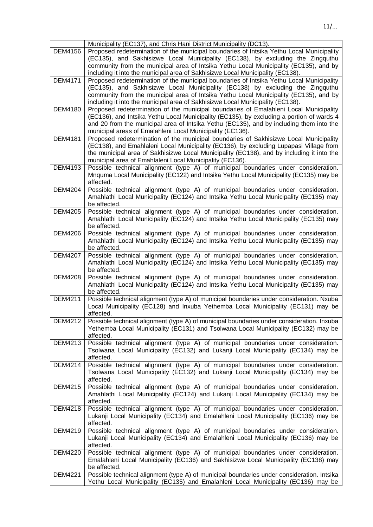|                | Municipality (EC137), and Chris Hani District Municipality (DC13).                                                                                                      |
|----------------|-------------------------------------------------------------------------------------------------------------------------------------------------------------------------|
| <b>DEM4156</b> | Proposed redetermination of the municipal boundaries of Intsika Yethu Local Municipality                                                                                |
|                | (EC135), and Sakhisizwe Local Municipality (EC138), by excluding the Zingquthu                                                                                          |
|                | community from the municipal area of Intsika Yethu Local Municipality (EC135), and by                                                                                   |
|                | including it into the municipal area of Sakhisizwe Local Municipality (EC138).                                                                                          |
| <b>DEM4171</b> | Proposed redetermination of the municipal boundaries of Intsika Yethu Local Municipality                                                                                |
|                | (EC135), and Sakhisizwe Local Municipality (EC138) by excluding the Zingquthu                                                                                           |
|                | community from the municipal area of Intsika Yethu Local Municipality (EC135), and by                                                                                   |
|                | including it into the municipal area of Sakhisizwe Local Municipality (EC138).                                                                                          |
| <b>DEM4180</b> | Proposed redetermination of the municipal boundaries of Emalahleni Local Municipality                                                                                   |
|                | (EC136), and Intsika Yethu Local Municipality (EC135), by excluding a portion of wards 4                                                                                |
|                | and 20 from the municipal area of Intsika Yethu (EC135), and by including them into the                                                                                 |
|                | municipal areas of Emalahleni Local Municipality (EC136).                                                                                                               |
| <b>DEM4181</b> | Proposed redetermination of the municipal boundaries of Sakhisizwe Local Municipality                                                                                   |
|                | (EC138), and Emahlaleni Local Municipality (EC136), by excluding Lupapasi Village from                                                                                  |
|                | the municipal area of Sakhisizwe Local Municipality (EC138), and by including it into the                                                                               |
|                | municipal area of Emahlaleni Local Municipality (EC136).                                                                                                                |
| DEM4193        | Possible technical alignment (type A) of municipal boundaries under consideration.                                                                                      |
|                | Mnquma Local Municipality (EC122) and Intsika Yethu Local Municipality (EC135) may be<br>affected.                                                                      |
| <b>DEM4204</b> | Possible technical alignment (type A) of municipal boundaries under consideration.                                                                                      |
|                | Amahlathi Local Municipality (EC124) and Intsika Yethu Local Municipality (EC135) may                                                                                   |
|                | be affected.                                                                                                                                                            |
| <b>DEM4205</b> | Possible technical alignment (type A) of municipal boundaries under consideration.                                                                                      |
|                | Amahlathi Local Municipality (EC124) and Intsika Yethu Local Municipality (EC135) may                                                                                   |
|                | be affected.                                                                                                                                                            |
| <b>DEM4206</b> | Possible technical alignment (type A) of municipal boundaries under consideration.                                                                                      |
|                | Amahlathi Local Municipality (EC124) and Intsika Yethu Local Municipality (EC135) may                                                                                   |
|                | be affected.                                                                                                                                                            |
| <b>DEM4207</b> | Possible technical alignment (type A) of municipal boundaries under consideration.                                                                                      |
|                | Amahlathi Local Municipality (EC124) and Intsika Yethu Local Municipality (EC135) may                                                                                   |
|                | be affected.                                                                                                                                                            |
| <b>DEM4208</b> | Possible technical alignment (type A) of municipal boundaries under consideration.                                                                                      |
|                | Amahlathi Local Municipality (EC124) and Intsika Yethu Local Municipality (EC135) may                                                                                   |
|                | be affected.                                                                                                                                                            |
| <b>DEM4211</b> | Possible technical alignment (type A) of municipal boundaries under consideration. Nxuba                                                                                |
|                | Local Municipality (EC128) and Inxuba Yethemba Local Municipality (EC131) may be                                                                                        |
|                | affected.                                                                                                                                                               |
| <b>DEM4212</b> | Possible technical alignment (type A) of municipal boundaries under consideration. Inxuba                                                                               |
|                | Yethemba Local Municipality (EC131) and Tsolwana Local Municipality (EC132) may be                                                                                      |
|                | affected.                                                                                                                                                               |
| DEM4213        | Possible technical alignment (type A) of municipal boundaries under consideration.<br>Tsolwana Local Municipality (EC132) and Lukanji Local Municipality (EC134) may be |
|                | affected.                                                                                                                                                               |
| <b>DEM4214</b> | Possible technical alignment (type A) of municipal boundaries under consideration.                                                                                      |
|                | Tsolwana Local Municipality (EC132) and Lukanji Local Municipality (EC134) may be                                                                                       |
|                | affected.                                                                                                                                                               |
| <b>DEM4215</b> | Possible technical alignment (type A) of municipal boundaries under consideration.                                                                                      |
|                | Amahlathi Local Municipality (EC124) and Lukanji Local Municipality (EC134) may be                                                                                      |
|                | affected.                                                                                                                                                               |
| <b>DEM4218</b> | Possible technical alignment (type A) of municipal boundaries under consideration.                                                                                      |
|                | Lukanji Local Municipality (EC134) and Emalahleni Local Municipality (EC136) may be                                                                                     |
|                | affected.                                                                                                                                                               |
| <b>DEM4219</b> | Possible technical alignment (type A) of municipal boundaries under consideration.                                                                                      |
|                | Lukanji Local Municipality (EC134) and Emalahleni Local Municipality (EC136) may be                                                                                     |
|                | affected.                                                                                                                                                               |
| <b>DEM4220</b> | Possible technical alignment (type A) of municipal boundaries under consideration.                                                                                      |
|                | Emalahleni Local Municipality (EC136) and Sakhisizwe Local Municipality (EC138) may                                                                                     |
|                | be affected.                                                                                                                                                            |
| <b>DEM4221</b> | Possible technical alignment (type A) of municipal boundaries under consideration. Intsika                                                                              |
|                | Yethu Local Municipality (EC135) and Emalahleni Local Municipality (EC136) may be                                                                                       |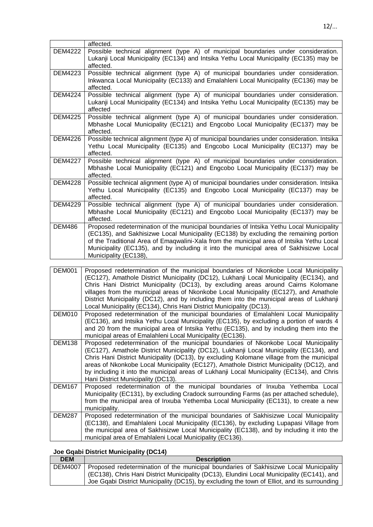|                | affected.                                                                                                                                                                                                                                                                                                                                                                                        |
|----------------|--------------------------------------------------------------------------------------------------------------------------------------------------------------------------------------------------------------------------------------------------------------------------------------------------------------------------------------------------------------------------------------------------|
| <b>DEM4222</b> | Possible technical alignment (type A) of municipal boundaries under consideration.<br>Lukanji Local Municipality (EC134) and Intsika Yethu Local Municipality (EC135) may be<br>affected.                                                                                                                                                                                                        |
| <b>DEM4223</b> | Possible technical alignment (type A) of municipal boundaries under consideration.<br>Inkwanca Local Municipality (EC133) and Emalahleni Local Municipality (EC136) may be<br>affected.                                                                                                                                                                                                          |
| <b>DEM4224</b> | Possible technical alignment (type A) of municipal boundaries under consideration.<br>Lukanji Local Municipality (EC134) and Intsika Yethu Local Municipality (EC135) may be<br>affected                                                                                                                                                                                                         |
| <b>DEM4225</b> | Possible technical alignment (type A) of municipal boundaries under consideration.<br>Mbhashe Local Municipality (EC121) and Engcobo Local Municipality (EC137) may be<br>affected.                                                                                                                                                                                                              |
| <b>DEM4226</b> | Possible technical alignment (type A) of municipal boundaries under consideration. Intsika<br>Yethu Local Municipality (EC135) and Engcobo Local Municipality (EC137) may be<br>affected.                                                                                                                                                                                                        |
| <b>DEM4227</b> | Possible technical alignment (type A) of municipal boundaries under consideration.<br>Mbhashe Local Municipality (EC121) and Engcobo Local Municipality (EC137) may be<br>affected.                                                                                                                                                                                                              |
| <b>DEM4228</b> | Possible technical alignment (type A) of municipal boundaries under consideration. Intsika<br>Yethu Local Municipality (EC135) and Engcobo Local Municipality (EC137) may be<br>affected.                                                                                                                                                                                                        |
| <b>DEM4229</b> | Possible technical alignment (type A) of municipal boundaries under consideration.<br>Mbhashe Local Municipality (EC121) and Engcobo Local Municipality (EC137) may be<br>affected.                                                                                                                                                                                                              |
| <b>DEM486</b>  | Proposed redetermination of the municipal boundaries of Intsika Yethu Local Municipality<br>(EC135), and Sakhisizwe Local Municipality (EC138) by excluding the remaining portion<br>of the Traditional Area of Emaqwalini-Xala from the municipal area of Intsika Yethu Local<br>Municipality (EC135), and by including it into the municipal area of Sakhisizwe Local<br>Municipality (EC138), |

| <b>DEM001</b> | Proposed redetermination of the municipal boundaries of Nkonkobe Local Municipality<br>(EC127), Amathole District Municipality (DC12), Lukhanji Local Municipality (EC134), and<br>Chris Hani District Municipality (DC13), by excluding areas around Cairns Kolomane<br>villages from the municipal areas of Nkonkobe Local Municipality (EC127), and Amathole<br>District Municipality (DC12), and by including them into the municipal areas of Lukhanji<br>Local Municipality (EC134), Chris Hani District Municipality (DC13). |
|---------------|-------------------------------------------------------------------------------------------------------------------------------------------------------------------------------------------------------------------------------------------------------------------------------------------------------------------------------------------------------------------------------------------------------------------------------------------------------------------------------------------------------------------------------------|
| DEM010        | Proposed redetermination of the municipal boundaries of Emalahleni Local Municipality<br>(EC136), and Intsika Yethu Local Municipality (EC135), by excluding a portion of wards 4<br>and 20 from the municipal area of Intsika Yethu (EC135), and by including them into the<br>municipal areas of Emalahleni Local Municipality (EC136).                                                                                                                                                                                           |
| <b>DEM138</b> | Proposed redetermination of the municipal boundaries of Nkonkobe Local Municipality<br>(EC127), Amathole District Municipality (DC12), Lukhanji Local Municipality (EC134), and<br>Chris Hani District Municipality (DC13), by excluding Kolomane village from the municipal<br>areas of Nkonkobe Local Municipality (EC127), Amathole District Municipality (DC12), and<br>by including it into the municipal areas of Lukhanji Local Municipality (EC134), and Chris<br>Hani District Municipality (DC13).                        |
| <b>DEM167</b> | Proposed redetermination of the municipal boundaries of Inxuba Yethemba Local<br>Municipality (EC131), by excluding Cradock surrounding Farms (as per attached schedule),<br>from the municipal area of Inxuba Yethemba Local Municipality (EC131), to create a new<br>municipality.                                                                                                                                                                                                                                                |
| <b>DEM287</b> | Proposed redetermination of the municipal boundaries of Sakhisizwe Local Municipality<br>(EC138), and Emahlaleni Local Municipality (EC136), by excluding Lupapasi Village from<br>the municipal area of Sakhisizwe Local Municipality (EC138), and by including it into the<br>municipal area of Emahlaleni Local Municipality (EC136).                                                                                                                                                                                            |

# **Joe Gqabi District Municipality (DC14)**

| <b>DEM</b> | <b>Description</b>                                                                           |
|------------|----------------------------------------------------------------------------------------------|
| DEM4007    | Proposed redetermination of the municipal boundaries of Sakhisizwe Local Municipality        |
|            | (EC138), Chris Hani District Municipality (DC13), Elundini Local Municipality (EC141), and   |
|            | Joe Gqabi District Municipality (DC15), by excluding the town of Elliot, and its surrounding |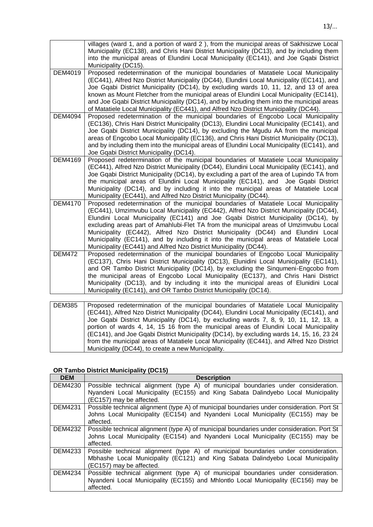|                | villages (ward 1, and a portion of ward 2), from the municipal areas of Sakhisizwe Local<br>Municipality (EC138), and Chris Hani District Municipality (DC13), and by including them<br>into the municipal areas of Elundini Local Municipality (EC141), and Joe Gqabi District<br>Municipality (DC15).                                                                                                                                                                                                                                                                                                         |
|----------------|-----------------------------------------------------------------------------------------------------------------------------------------------------------------------------------------------------------------------------------------------------------------------------------------------------------------------------------------------------------------------------------------------------------------------------------------------------------------------------------------------------------------------------------------------------------------------------------------------------------------|
| <b>DEM4019</b> | Proposed redetermination of the municipal boundaries of Matatiele Local Municipality<br>(EC441), Alfred Nzo District Municipality (DC44), Elundini Local Municipality (EC141), and<br>Joe Gqabi District Municipality (DC14), by excluding wards 10, 11, 12, and 13 of area<br>known as Mount Fletcher from the municipal areas of Elundini Local Municipality (EC141),<br>and Joe Gqabi District Municipality (DC14), and by including them into the municipal areas<br>of Matatiele Local Municipality (EC441), and Alfred Nzo District Municipality (DC44).                                                  |
| <b>DEM4094</b> | Proposed redetermination of the municipal boundaries of Engcobo Local Municipality<br>(EC136), Chris Hani District Municipality (DC13), Elundini Local Municipality (EC141), and<br>Joe Gqabi District Municipality (DC14), by excluding the Mgudu AA from the municipal<br>areas of Engcobo Local Municipality (EC136), and Chris Hani District Municipality (DC13),<br>and by including them into the municipal areas of Elundini Local Municipality (EC141), and<br>Joe Gqabi District Municipality (DC14).                                                                                                  |
| <b>DEM4169</b> | Proposed redetermination of the municipal boundaries of Matatiele Local Municipality<br>(EC441), Alfred Nzo District Municipality (DC44), Elundini Local Municipality (EC141), and<br>Joe Gqabi District Municipality (DC14), by excluding a part of the area of Lupindo TA from<br>the municipal areas of Elundini Local Municipality (EC141), and Joe Gqabi District<br>Municipality (DC14), and by including it into the municipal areas of Matatiele Local<br>Municipality (EC441), and Alfred Nzo District Municipality (DC44).                                                                            |
| <b>DEM4170</b> | Proposed redetermination of the municipal boundaries of Matatiele Local Municipality<br>(EC441), Umzimvubu Local Municipality (EC442), Alfred Nzo District Municipality (DC44),<br>Elundini Local Municipality (EC141) and Joe Gqabi District Municipality (DC14), by<br>excluding areas part of Amahlubi-Flet TA from the municipal areas of Umzimvubu Local<br>Municipality (EC442), Alfred Nzo District Municipality (DC44) and Elundini Local<br>Municipality (EC141), and by including it into the municipal areas of Matatiele Local<br>Municipality (EC441) and Alfred Nzo District Municipality (DC44). |
| <b>DEM472</b>  | Proposed redetermination of the municipal boundaries of Engcobo Local Municipality<br>(EC137), Chris Hani District Municipality (DC13), Elunidini Local Municipality (EC141),<br>and OR Tambo District Municipality (DC14), by excluding the Singumeni-Engcobo from<br>the municipal areas of Engcobo Local Municipality (EC137), and Chris Hani District<br>Municipality (DC13), and by including it into the municipal areas of Elunidini Local<br>Municipality (EC141), and OR Tambo District Municipality (DC14).                                                                                           |
| <b>DEMORE</b>  | and state the second state of Adaptation to the<br>$-1$ . A decoded with $-1$ in<br>D-<br>والمستطف الأفار المستحدث والقاعد ومنادر<br>مروعة والمرومات المرامر                                                                                                                                                                                                                                                                                                                                                                                                                                                    |

| <b>DEM385</b> | Proposed redetermination of the municipal boundaries of Matatiele Local Municipality       |
|---------------|--------------------------------------------------------------------------------------------|
|               | (EC441), Alfred Nzo District Municipality (DC44), Elundini Local Municipality (EC141), and |
|               | Joe Gqabi District Municipality (DC14), by excluding wards 7, 8, 9, 10, 11, 12, 13, a      |
|               | portion of wards 4, 14, 15 16 from the municipal areas of Elundini Local Municipality      |
|               | (EC141), and Joe Gqabi District Municipality (DC14), by excluding wards 14, 15, 16, 23 24  |
|               | from the municipal areas of Matatiele Local Municipality (EC441), and Alfred Nzo District  |
|               | Municipality (DC44), to create a new Municipality.                                         |

# **OR Tambo District Municipality (DC15)**

| <b>DEM</b>     | <b>Description</b>                                                                         |
|----------------|--------------------------------------------------------------------------------------------|
| DEM4230        | Possible technical alignment (type A) of municipal boundaries under consideration.         |
|                | Nyandeni Local Municipality (EC155) and King Sabata Dalindyebo Local Municipality          |
|                | (EC157) may be affected.                                                                   |
| <b>DEM4231</b> | Possible technical alignment (type A) of municipal boundaries under consideration. Port St |
|                | Johns Local Municipality (EC154) and Nyandeni Local Municipality (EC155) may be            |
|                | affected.                                                                                  |
| <b>DEM4232</b> | Possible technical alignment (type A) of municipal boundaries under consideration. Port St |
|                | Johns Local Municipality (EC154) and Nyandeni Local Municipality (EC155) may be            |
|                | affected.                                                                                  |
| DEM4233        | Possible technical alignment (type A) of municipal boundaries under consideration.         |
|                | Mbhashe Local Municipality (EC121) and King Sabata Dalindyebo Local Municipality           |
|                | (EC157) may be affected.                                                                   |
| DEM4234        | Possible technical alignment (type A) of municipal boundaries under consideration.         |
|                | Nyandeni Local Municipality (EC155) and Mhlontlo Local Municipality (EC156) may be         |
|                | affected.                                                                                  |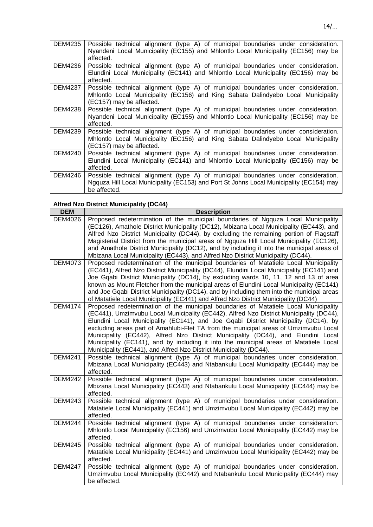| DEM4235 | Possible technical alignment (type A) of municipal boundaries under consideration.<br>Nyandeni Local Municipality (EC155) and Mhlontlo Local Municipality (EC156) may be<br>affected.               |
|---------|-----------------------------------------------------------------------------------------------------------------------------------------------------------------------------------------------------|
| DEM4236 | Possible technical alignment (type A) of municipal boundaries under consideration.<br>Elundini Local Municipality (EC141) and Mhlontlo Local Municipality (EC156) may be<br>affected.               |
| DEM4237 | Possible technical alignment (type A) of municipal boundaries under consideration.<br>Mhlontlo Local Municipality (EC156) and King Sabata Dalindyebo Local Municipality<br>(EC157) may be affected. |
| DEM4238 | Possible technical alignment (type A) of municipal boundaries under consideration.<br>Nyandeni Local Municipality (EC155) and Mhlontlo Local Municipality (EC156) may be<br>affected.               |
| DEM4239 | Possible technical alignment (type A) of municipal boundaries under consideration.<br>Mhlontlo Local Municipality (EC156) and King Sabata Dalindyebo Local Municipality<br>(EC157) may be affected. |
| DEM4240 | Possible technical alignment (type A) of municipal boundaries under consideration.<br>Elundini Local Municipality (EC141) and Mhlontlo Local Municipality (EC156) may be<br>affected.               |
| DEM4246 | Possible technical alignment (type A) of municipal boundaries under consideration.<br>Ngquza Hill Local Municipality (EC153) and Port St Johns Local Municipality (EC154) may<br>be affected.       |

# **Alfred Nzo District Municipality (DC44)**

| <b>DEM</b>     | <b>Description</b>                                                                                                                                                                                                                                                                                                                                                                                                                                                                                                                                                                                                 |
|----------------|--------------------------------------------------------------------------------------------------------------------------------------------------------------------------------------------------------------------------------------------------------------------------------------------------------------------------------------------------------------------------------------------------------------------------------------------------------------------------------------------------------------------------------------------------------------------------------------------------------------------|
| <b>DEM4026</b> | Proposed redetermination of the municipal boundaries of Ngquza Local Municipality<br>(EC126), Amathole District Municipality (DC12), Mbizana Local Municipality (EC443), and<br>Alfred Nzo District Municipality (DC44), by excluding the remaining portion of Flagstaff<br>Magisterial District from the municipal areas of Ngquza Hill Local Municipality (EC126),<br>and Amathole District Municipality (DC12), and by including it into the municipal areas of                                                                                                                                                 |
|                | Mbizana Local Municipality (EC443), and Alfred Nzo District Municipality (DC44).                                                                                                                                                                                                                                                                                                                                                                                                                                                                                                                                   |
| <b>DEM4073</b> | Proposed redetermination of the municipal boundaries of Matatiele Local Municipality<br>(EC441), Alfred Nzo District Municipality (DC44), Elundini Local Municipality (EC141) and<br>Joe Gqabi District Municipality (DC14), by excluding wards 10, 11, 12 and 13 of area<br>known as Mount Fletcher from the municipal areas of Elundini Local Municipality (EC141)<br>and Joe Gqabi District Municipality (DC14), and by including them into the municipal areas<br>of Matatiele Local Municipality (EC441) and Alfred Nzo District Municipality (DC44)                                                          |
| <b>DEM4174</b> | Proposed redetermination of the municipal boundaries of Matatiele Local Municipality<br>(EC441), Umzimvubu Local Municipality (EC442), Alfred Nzo District Municipality (DC44),<br>Elundini Local Municipality (EC141), and Joe Gqabi District Municipality (DC14), by<br>excluding areas part of Amahlubi-Flet TA from the municipal areas of Umzimvubu Local<br>Municipality (EC442), Alfred Nzo District Municipality (DC44), and Elundini Local<br>Municipality (EC141), and by including it into the municipal areas of Matatiele Local<br>Municipality (EC441), and Alfred Nzo District Municipality (DC44). |
| <b>DEM4241</b> | Possible technical alignment (type A) of municipal boundaries under consideration.<br>Mbizana Local Municipality (EC443) and Ntabankulu Local Municipality (EC444) may be<br>affected.                                                                                                                                                                                                                                                                                                                                                                                                                             |
| <b>DEM4242</b> | Possible technical alignment (type A) of municipal boundaries under consideration.<br>Mbizana Local Municipality (EC443) and Ntabankulu Local Municipality (EC444) may be<br>affected.                                                                                                                                                                                                                                                                                                                                                                                                                             |
| <b>DEM4243</b> | Possible technical alignment (type A) of municipal boundaries under consideration.<br>Matatiele Local Municipality (EC441) and Umzimvubu Local Municipality (EC442) may be<br>affected.                                                                                                                                                                                                                                                                                                                                                                                                                            |
| <b>DEM4244</b> | Possible technical alignment (type A) of municipal boundaries under consideration.<br>Mhlontlo Local Municipality (EC156) and Umzimvubu Local Municipality (EC442) may be<br>affected.                                                                                                                                                                                                                                                                                                                                                                                                                             |
| <b>DEM4245</b> | Possible technical alignment (type A) of municipal boundaries under consideration.<br>Matatiele Local Municipality (EC441) and Umzimvubu Local Municipality (EC442) may be<br>affected.                                                                                                                                                                                                                                                                                                                                                                                                                            |
| <b>DEM4247</b> | Possible technical alignment (type A) of municipal boundaries under consideration.<br>Umzimvubu Local Municipality (EC442) and Ntabankulu Local Municipality (EC444) may<br>be affected.                                                                                                                                                                                                                                                                                                                                                                                                                           |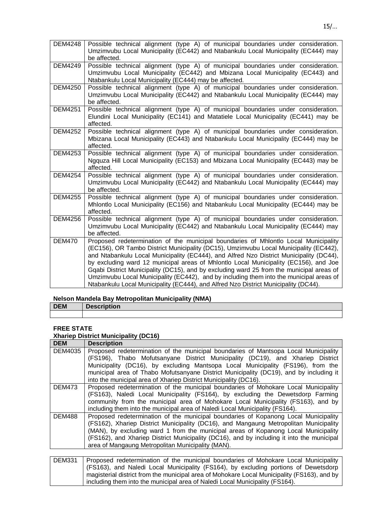| <b>DEM4248</b> | Possible technical alignment (type A) of municipal boundaries under consideration.<br>Umzimvubu Local Municipality (EC442) and Ntabankulu Local Municipality (EC444) may<br>be affected.                                                                                                                                                                                                                                                                                                                                                                                                                                                      |
|----------------|-----------------------------------------------------------------------------------------------------------------------------------------------------------------------------------------------------------------------------------------------------------------------------------------------------------------------------------------------------------------------------------------------------------------------------------------------------------------------------------------------------------------------------------------------------------------------------------------------------------------------------------------------|
| <b>DEM4249</b> | Possible technical alignment (type A) of municipal boundaries under consideration.<br>Umzimvubu Local Municipality (EC442) and Mbizana Local Municipality (EC443) and<br>Ntabankulu Local Municipality (EC444) may be affected.                                                                                                                                                                                                                                                                                                                                                                                                               |
| <b>DEM4250</b> | Possible technical alignment (type A) of municipal boundaries under consideration.<br>Umzimvubu Local Municipality (EC442) and Ntabankulu Local Municipality (EC444) may<br>be affected.                                                                                                                                                                                                                                                                                                                                                                                                                                                      |
| <b>DEM4251</b> | Possible technical alignment (type A) of municipal boundaries under consideration.<br>Elundini Local Municipality (EC141) and Matatiele Local Municipality (EC441) may be<br>affected.                                                                                                                                                                                                                                                                                                                                                                                                                                                        |
| <b>DEM4252</b> | Possible technical alignment (type A) of municipal boundaries under consideration.<br>Mbizana Local Municipality (EC443) and Ntabankulu Local Municipality (EC444) may be<br>affected.                                                                                                                                                                                                                                                                                                                                                                                                                                                        |
| <b>DEM4253</b> | Possible technical alignment (type A) of municipal boundaries under consideration.<br>Ngguza Hill Local Municipality (EC153) and Mbizana Local Municipality (EC443) may be<br>affected.                                                                                                                                                                                                                                                                                                                                                                                                                                                       |
| <b>DEM4254</b> | Possible technical alignment (type A) of municipal boundaries under consideration.<br>Umzimvubu Local Municipality (EC442) and Ntabankulu Local Municipality (EC444) may<br>be affected.                                                                                                                                                                                                                                                                                                                                                                                                                                                      |
| <b>DEM4255</b> | Possible technical alignment (type A) of municipal boundaries under consideration.<br>Mhlontlo Local Municipality (EC156) and Ntabankulu Local Municipality (EC444) may be<br>affected.                                                                                                                                                                                                                                                                                                                                                                                                                                                       |
| <b>DEM4256</b> | Possible technical alignment (type A) of municipal boundaries under consideration.<br>Umzimvubu Local Municipality (EC442) and Ntabankulu Local Municipality (EC444) may<br>be affected.                                                                                                                                                                                                                                                                                                                                                                                                                                                      |
| <b>DEM470</b>  | Proposed redetermination of the municipal boundaries of Mhlontlo Local Municipality<br>(EC156), OR Tambo District Municipality (DC15), Umzimvubu Local Municipality (EC442),<br>and Ntabankulu Local Municipality (EC444), and Alfred Nzo District Municipality (DC44),<br>by excluding ward 12 municipal areas of Mhlontlo Local Municipality (EC156), and Joe<br>Gqabi District Municipality (DC15), and by excluding ward 25 from the municipal areas of<br>Umzimvubu Local Municipality (EC442), and by including them into the municipal areas of<br>Ntabankulu Local Municipality (EC444), and Alfred Nzo District Municipality (DC44). |

### **Nelson Mandela Bay Metropolitan Municipality (NMA)**

| <b>DEM</b> | Desci |  |  |
|------------|-------|--|--|
|            |       |  |  |

#### **FREE STATE**

#### **Xhariep District Municipality (DC16)**

| <b>Description</b>                                                                                                                                                                                                                                                                                                       |
|--------------------------------------------------------------------------------------------------------------------------------------------------------------------------------------------------------------------------------------------------------------------------------------------------------------------------|
| Proposed redetermination of the municipal boundaries of Mantsopa Local Municipality<br>(FS196), Thabo Mofutsanyane District Municipality (DC19), and Xhariep District                                                                                                                                                    |
| Municipality (DC16), by excluding Mantsopa Local Municipality (FS196), from the                                                                                                                                                                                                                                          |
| municipal area of Thabo Mofutsanyane District Municipality (DC19), and by including it                                                                                                                                                                                                                                   |
| into the municipal area of Xhariep District Municipality (DC16).                                                                                                                                                                                                                                                         |
| Proposed redetermination of the municipal boundaries of Mohokare Local Municipality                                                                                                                                                                                                                                      |
| (FS163), Naledi Local Municipality (FS164), by excluding the Dewetsdorp Farming                                                                                                                                                                                                                                          |
| community from the municipal area of Mohokare Local Municipality (FS163), and by                                                                                                                                                                                                                                         |
| including them into the municipal area of Naledi Local Municipality (FS164).                                                                                                                                                                                                                                             |
| Proposed redetermination of the municipal boundaries of Kopanong Local Municipality                                                                                                                                                                                                                                      |
| (FS162), Xhariep District Municipality (DC16), and Mangaung Metropolitan Municipality                                                                                                                                                                                                                                    |
| (MAN), by excluding ward 1 from the municipal areas of Kopanong Local Municipality                                                                                                                                                                                                                                       |
| (FS162), and Xhariep District Municipality (DC16), and by including it into the municipal                                                                                                                                                                                                                                |
| area of Mangaung Metropolitan Municipality (MAN).                                                                                                                                                                                                                                                                        |
|                                                                                                                                                                                                                                                                                                                          |
| Proposed redetermination of the municipal boundaries of Mohokare Local Municipality<br>$\mathbf{r}$ . The state is the strategy of the state of the state of the state of the state of the state of the state of the state of the state of the state of the state of the state of the state of the state of the state of |
|                                                                                                                                                                                                                                                                                                                          |

| DEM331   Proposed redetermination of the municipal boundaries of Monokare Local Municipality |
|----------------------------------------------------------------------------------------------|
| (FS163), and Naledi Local Municipality (FS164), by excluding portions of Dewetsdorp          |
| magisterial district from the municipal area of Mohokare Local Municipality (FS163), and by  |
| including them into the municipal area of Naledi Local Municipality (FS164).                 |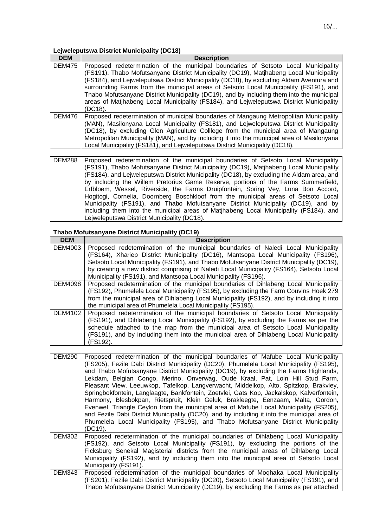# **Lejweleputswa District Municipality (DC18)**

| <b>DEM</b>    | <b>Description</b>                                                                                                                                                                                                                                                                                                                                                                                                                                                                                                                                                    |
|---------------|-----------------------------------------------------------------------------------------------------------------------------------------------------------------------------------------------------------------------------------------------------------------------------------------------------------------------------------------------------------------------------------------------------------------------------------------------------------------------------------------------------------------------------------------------------------------------|
| <b>DEM475</b> | Proposed redetermination of the municipal boundaries of Setsoto Local Municipality<br>(FS191), Thabo Mofutsanyane District Municipality (DC19), Matjhabeng Local Municipality<br>(FS184), and Lejweleputswa District Municipality (DC18), by excluding Aldam Aventura and<br>surrounding Farms from the municipal areas of Setsoto Local Municipality (FS191), and<br>Thabo Mofutsanyane District Municipality (DC19), and by including them into the municipal<br>areas of Matjhabeng Local Municipality (FS184), and Lejweleputswa District Municipality<br>(DC18). |
| <b>DEM476</b> | Proposed redetermination of municipal boundaries of Mangaung Metropolitan Municipality<br>(MAN), Masilonyana Local Municipality (FS181), and Lejweleputswa District Municipality<br>(DC18), by excluding Glen Agriculture Colllege from the municipal area of Mangaung<br>Metropolitan Municipality (MAN), and by including it into the municipal area of Masilonyana<br>Local Municipality (FS181), and Lejweleputswa District Municipality (DC18).                                                                                                                  |

| DEM288   Proposed redetermination of the municipal boundaries of Setsoto Local Municipality |
|---------------------------------------------------------------------------------------------|
| (FS191), Thabo Mofutsanyane District Municipality (DC19), Matjhabeng Local Municipality     |
| (FS184), and Leiweleputswa District Municipality (DC18), by excluding the Aldam area, and   |
| by including the Willem Pretorius Game Reserve, portions of the Farms Summerfield,          |
| Erfbloem, Wessel, Riverside, the Farms Druipfontein, Spring Vey, Luna Bon Accord,           |
| Hogitogi, Cornelia, Doornberg Boschkloof from the municipal areas of Setsoto Local          |
| Municipality (FS191), and Thabo Mofutsanyane District Municipality (DC19), and by           |
| including them into the municipal areas of Matihabeng Local Municipality (FS184), and       |
| Lejweleputswa District Municipality (DC18).                                                 |

# **Thabo Mofutsanyane District Municipality (DC19)**

| <b>DEM</b>     | <b>Description</b>                                                                        |
|----------------|-------------------------------------------------------------------------------------------|
| DEM4003        | Proposed redetermination of the municipal boundaries of Naledi Local Municipality         |
|                | (FS164), Xhariep District Municipality (DC16), Mantsopa Local Municipality (FS196),       |
|                | Setsoto Local Municipality (FS191), and Thabo Mofutsanyane District Municipality (DC19),  |
|                | by creating a new district comprising of Naledi Local Municipality (FS164), Setsoto Local |
|                | Municipality (FS191), and Mantsopa Local Municipality (FS196).                            |
| DEM4098        | Proposed redetermination of the municipal boundaries of Dihlabeng Local Municipality      |
|                | (FS192), Phumelela Local Municipality (FS195), by excluding the Farm Couvins Hoek 279     |
|                | from the municipal area of Dihlabeng Local Municipality (FS192), and by including it into |
|                | the municipal area of Phumelela Local Municipality (FS195).                               |
| <b>DEM4102</b> | Proposed redetermination of the municipal boundaries of Setsoto Local Municipality        |
|                | (FS191), and Dihlabeng Local Municipality (FS192), by excluding the Farms as per the      |
|                | schedule attached to the map from the municipal area of Setsoto Local Municipality        |
|                | (FS191), and by including them into the municipal area of Dihlabeng Local Municipality    |
|                | (FS192).                                                                                  |

| <b>DEM290</b> | Proposed redetermination of the municipal boundaries of Mafube Local Municipality<br>(FS205), Fezile Dabi District Municipality (DC20), Phumelela Local Municipality (FS195),<br>and Thabo Mofutsanyane District Municipality (DC19), by excluding the Farms Highlands,<br>Lekdam, Belgian Congo, Merino, Onverwag, Oude Kraal, Pat, Loin Hill Stud Farm,<br>Pleasant View, Leeuwkop, Tafelkop, Langverwacht, Middelkop, Alto, Spitzkop, Brakvley,<br>Springbokfontein, Langlaagte, Bankfontein, Zoetvlei, Gats Kop, Jackalskop, Kalverfontein,<br>Harmony, Blesbokpan, Rietspruit, Klein Geluk, Brakleegte, Eenzaam, Malta, Gordon,<br>Evenwel, Triangle Ceylon from the municipal area of Mafube Local Municipality (FS205),<br>and Fezile Dabi District Municipality (DC20), and by including it into the municipal area of<br>Phumelela Local Municipality (FS195), and Thabo Mofutsanyane District Municipality<br>(DC19). |
|---------------|---------------------------------------------------------------------------------------------------------------------------------------------------------------------------------------------------------------------------------------------------------------------------------------------------------------------------------------------------------------------------------------------------------------------------------------------------------------------------------------------------------------------------------------------------------------------------------------------------------------------------------------------------------------------------------------------------------------------------------------------------------------------------------------------------------------------------------------------------------------------------------------------------------------------------------|
| DEM302        | Proposed redetermination of the municipal boundaries of Dihlabeng Local Municipality<br>(FS192), and Setsoto Local Municipality (FS191), by excluding the portions of the<br>Ficksburg Senekal Magisterial districts from the municipal areas of Dihlabeng Local<br>Municipality (FS192), and by including them into the municipal area of Setsoto Local<br>Municipality (FS191).                                                                                                                                                                                                                                                                                                                                                                                                                                                                                                                                               |
| DEM343        | Proposed redetermination of the municipal boundaries of Moghaka Local Municipality<br>(FS201), Fezile Dabi District Municipality (DC20), Setsoto Local Municipality (FS191), and<br>Thabo Mofutsanyane District Municipality (DC19), by excluding the Farms as per attached                                                                                                                                                                                                                                                                                                                                                                                                                                                                                                                                                                                                                                                     |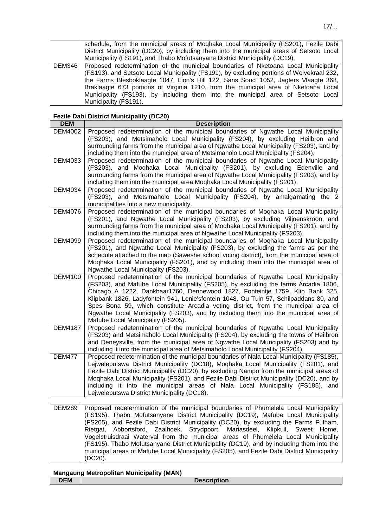|        | schedule, from the municipal areas of Moghaka Local Municipality (FS201), Fezile Dabi     |
|--------|-------------------------------------------------------------------------------------------|
|        | District Municipality (DC20), by including them into the municipal areas of Setsoto Local |
|        | Municipality (FS191), and Thabo Mofutsanyane District Municipality (DC19).                |
| DEM346 | Proposed redetermination of the municipal boundaries of Nketoana Local Municipality       |
|        | (FS193), and Setsoto Local Municipality (FS191), by excluding portions of Wolvekraal 232, |
|        | the Farms Blesboklaagte 1047, Lion's Hill 122, Sans Souci 1052, Jagters Vlaagte 368,      |
|        | Braklaagte 673 portions of Virginia 1210, from the municipal area of Nketoana Local       |
|        | Municipality (FS193), by including them into the municipal area of Setsoto Local          |
|        | Municipality (FS191).                                                                     |

#### **Fezile Dabi District Municipality (DC20)**

| <b>DEM</b>     | <b>Description</b>                                                                                                                                                        |
|----------------|---------------------------------------------------------------------------------------------------------------------------------------------------------------------------|
| <b>DEM4002</b> | Proposed redetermination of the municipal boundaries of Ngwathe Local Municipality<br>(FS203), and Metsimaholo Local Municipality (FS204), by excluding Heilbron and      |
|                | surrounding farms from the municipal area of Ngwathe Local Municipality (FS203), and by                                                                                   |
|                | including them into the municipal area of Metsimaholo Local Municipality (FS204).                                                                                         |
| DEM4033        | Proposed redetermination of the municipal boundaries of Ngwathe Local Municipality                                                                                        |
|                | (FS203), and Moghaka Local Municipality (FS201), by excluding Edenville and                                                                                               |
|                | surrounding farms from the municipal area of Ngwathe Local Municipality (FS203), and by                                                                                   |
|                | including them into the municipal area Moqhaka Local Municipality (FS201).                                                                                                |
| DEM4034        | Proposed redetermination of the municipal boundaries of Ngwathe Local Municipality                                                                                        |
|                | (FS203), and Metsimaholo Local Municipality (FS204), by amalgamating the 2<br>municipalities into a new municipality.                                                     |
| <b>DEM4076</b> | Proposed redetermination of the municipal boundaries of Moghaka Local Municipality                                                                                        |
|                | (FS201), and Ngwathe Local Municipality (FS203), by excluding Viljoenskroon, and                                                                                          |
|                | surrounding farms from the municipal area of Moghaka Local Municipality (FS201), and by                                                                                   |
|                | including them into the municipal area of Ngwathe Local Municipality (FS203).                                                                                             |
| <b>DEM4099</b> | Proposed redetermination of the municipal boundaries of Moghaka Local Municipality                                                                                        |
|                | (FS201), and Ngwathe Local Municipality (FS203), by excluding the farms as per the                                                                                        |
|                | schedule attached to the map (Saweshe school voting district), from the municipal area of                                                                                 |
|                | Moghaka Local Municipality (FS201), and by including them into the municipal area of<br>Ngwathe Local Municipality (FS203).                                               |
| <b>DEM4100</b> | Proposed redetermination of the municipal boundaries of Ngwathe Local Municipality                                                                                        |
|                | (FS203), and Mafube Local Municipality (FS205), by excluding the farms Arcadia 1806,                                                                                      |
|                | Chicago A 1222, Dankbaar1760, Dennewood 1827, Fonteintje 1759, Klip Bank 325,                                                                                             |
|                | Klipbank 1826, Ladyfontein 941, Lenie'sfontein 1048, Ou Tuin 57, Schilpaddans 80, and                                                                                     |
|                | Spes Bona 59, which constitute Arcadia voting district, from the municipal area of                                                                                        |
|                | Ngwathe Local Municipality (FS203), and by including them into the municipal area of                                                                                      |
| <b>DEM4187</b> | Mafube Local Municipality (FS205).<br>Proposed redetermination of the municipal boundaries of Ngwathe Local Municipality                                                  |
|                | (FS203) and Metsimaholo Local Municipality (FS204), by excluding the towns of Heilbron                                                                                    |
|                | and Deneysville, from the municipal area of Ngwathe Local Muncipality (FS203) and by                                                                                      |
|                | including it into the municipal area of Metsimaholo Local Municipality (FS204).                                                                                           |
| <b>DEM477</b>  | Proposed redetermination of the municipal boundaries of Nala Local Municipality (FS185),                                                                                  |
|                | Lejweleputswa District Municipality (DC18), Moqhaka Local Municipality (FS201), and                                                                                       |
|                | Fezile Dabi District Municipality (DC20), by excluding Nampo from the municipal areas of                                                                                  |
|                | Moghaka Local Municipality (FS201), and Fezile Dabi District Municipality (DC20), and by<br>including it into the municipal areas of Nala Local Municipality (FS185), and |
|                | Lejweleputswa District Municipality (DC18).                                                                                                                               |
|                |                                                                                                                                                                           |

DEM289 | Proposed redetermination of the municipal boundaries of Phumelela Local Municipality (FS195), Thabo Mofutsanyane District Municipality (DC19), Mafube Local Municipality (FS205), and Fezile Dabi District Municipality (DC20), by excluding the Farms Fulham, Rietgat, Abbortsford, Zaaihoek, Strydpoort, Mariasdeel, Klipkuil, Sweet Home, Vogelstruisdraai Waterval from the municipal areas of Phumelela Local Municipality (FS195), Thabo Mofutsanyane District Municipality (DC19), and by including them into the municipal areas of Mafube Local Municipality (FS205), and Fezile Dabi District Municipality (DC20).

|            | <b>Mangaung Metropolitan Municipality (MAN)</b> |                    |
|------------|-------------------------------------------------|--------------------|
| <b>DEM</b> |                                                 | <b>Description</b> |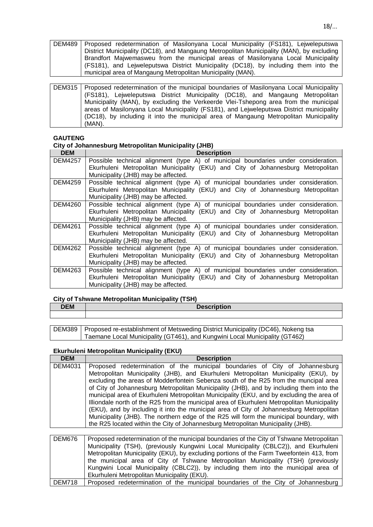| DEM489   Proposed redetermination of Masilonyana Local Municipality (FS181), Lejweleputswa |
|--------------------------------------------------------------------------------------------|
| District Municipality (DC18), and Mangaung Metropolitan Municipality (MAN), by excluding   |
| Brandfort Majwemasweu from the municipal areas of Masilonyana Local Municipality           |
| (FS181), and Leiweleputswa District Municipality (DC18), by including them into the        |
| municipal area of Mangaung Metropolitan Municipality (MAN).                                |

| DEM315   Proposed redetermination of the municipal boundaries of Masilonyana Local Municipality |
|-------------------------------------------------------------------------------------------------|
| (FS181), Lejweleputswa District Municipality (DC18), and Mangaung Metropolitan                  |
| Municipality (MAN), by excluding the Verkeerde Vlei-Tshepong area from the municipal            |
| areas of Masilonyana Local Municipality (FS181), and Lejweleputswa District municipality        |
| (DC18), by including it into the municipal area of Mangaung Metropolitan Municipality           |
| (MAN).                                                                                          |

#### **GAUTENG**

## **City of Johannesburg Metropolitan Municipality (JHB)**

| <b>DEM</b>     | <b>Description</b>                                                                                                                                                     |
|----------------|------------------------------------------------------------------------------------------------------------------------------------------------------------------------|
| DEM4257        | Possible technical alignment (type A) of municipal boundaries under consideration.<br>Ekurhuleni Metropolitan Municipality (EKU) and City of Johannesburg Metropolitan |
|                | Municipality (JHB) may be affected.                                                                                                                                    |
| DEM4259        | Possible technical alignment (type A) of municipal boundaries under consideration.                                                                                     |
|                | Ekurhuleni Metropolitan Municipality (EKU) and City of Johannesburg Metropolitan                                                                                       |
|                | Municipality (JHB) may be affected.                                                                                                                                    |
| DEM4260        | Possible technical alignment (type A) of municipal boundaries under consideration.                                                                                     |
|                | Ekurhuleni Metropolitan Municipality (EKU) and City of Johannesburg Metropolitan                                                                                       |
|                | Municipality (JHB) may be affected.                                                                                                                                    |
| <b>DEM4261</b> | Possible technical alignment (type A) of municipal boundaries under consideration.                                                                                     |
|                | Ekurhuleni Metropolitan Municipality (EKU) and City of Johannesburg Metropolitan                                                                                       |
|                | Municipality (JHB) may be affected.                                                                                                                                    |
| DEM4262        | Possible technical alignment (type A) of municipal boundaries under consideration.                                                                                     |
|                | Ekurhuleni Metropolitan Municipality (EKU) and City of Johannesburg Metropolitan                                                                                       |
|                | Municipality (JHB) may be affected.                                                                                                                                    |
| DEM4263        | Possible technical alignment (type A) of municipal boundaries under consideration.                                                                                     |
|                | Ekurhuleni Metropolitan Municipality (EKU) and City of Johannesburg Metropolitan                                                                                       |
|                | Municipality (JHB) may be affected.                                                                                                                                    |

## **City of Tshwane Metropolitan Municipality (TSH)**

| <b>DEM</b> | <b>D.L.</b><br>$\sim$<br><b>Description</b> |
|------------|---------------------------------------------|
|            |                                             |

| DEM389   Proposed re-establishment of Metsweding District Municipality (DC46), Nokeng tsa |
|-------------------------------------------------------------------------------------------|
| Taemane Local Municipality (GT461), and Kungwini Local Municipality (GT462)               |

#### **Ekurhuleni Metropolitan Municipality (EKU)**

| <b>DEM</b>    | <b>Description</b>                                                                                                                                                                                                                                                                                                                                                                                                                                                                                                                                                                                                                                                                                                                                                                                                           |
|---------------|------------------------------------------------------------------------------------------------------------------------------------------------------------------------------------------------------------------------------------------------------------------------------------------------------------------------------------------------------------------------------------------------------------------------------------------------------------------------------------------------------------------------------------------------------------------------------------------------------------------------------------------------------------------------------------------------------------------------------------------------------------------------------------------------------------------------------|
| DEM4031       | Proposed redetermination of the municipal boundaries of City of Johannesburg<br>Metropolitan Municipality (JHB), and Ekurhuleni Metropolitan Municipality (EKU), by<br>excluding the areas of Modderfontein Sebenza south of the R25 from the muncipal area<br>of City of Johannesburg Metropolitan Municipality (JHB), and by including them into the<br>municipal area of Ekurhuleni Metropolitan Municipality (EKU, and by excluding the area of<br>Illiondale north of the R25 from the municipal area of Ekurhuleni Metropolitan Municipality<br>(EKU), and by including it into the municipal area of City of Johannesburg Metropolitan<br>Municipality (JHB). The northern edge of the R25 will form the municipal boundary, with<br>the R25 located within the City of Johannesburg Metropolitan Municipality (JHB). |
|               |                                                                                                                                                                                                                                                                                                                                                                                                                                                                                                                                                                                                                                                                                                                                                                                                                              |
| <b>DEM676</b> | Proposed redetermination of the municipal boundaries of the City of Tshwane Metropolitan<br>Municipality (TSH), (previously Kungwini Local Municipality (CBLC2)), and Ekurhuleni<br>Metropolitan Municipality (EKU), by excluding portions of the Farm Tweefontein 413, from<br>the municipal area of City of Tshwane Metropolitan Municipality (TSH) (previously<br>Kungwini Local Municipality (CBLC2)), by including them into the municipal area of<br>Ekurhuleni Metropolitan Municipality (EKU).                                                                                                                                                                                                                                                                                                                       |

DEM718 Proposed redetermination of the municipal boundaries of the City of Johannesburg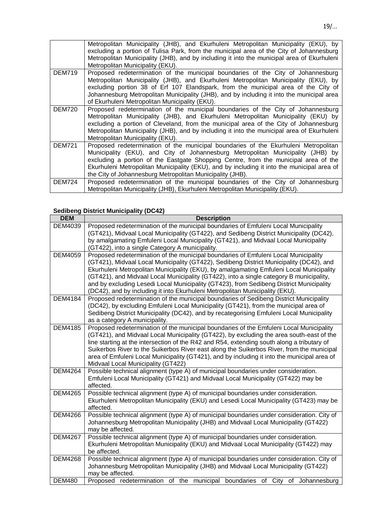|               | Metropolitan Municipality (JHB), and Ekurhuleni Metropolitan Municipality (EKU), by<br>excluding a portion of Tulisa Park, from the municipal area of the City of Johannesburg<br>Metropolitan Municipality (JHB), and by including it into the municipal area of Ekurhuleni<br>Metropolitan Municipality (EKU).                                                                                                         |
|---------------|--------------------------------------------------------------------------------------------------------------------------------------------------------------------------------------------------------------------------------------------------------------------------------------------------------------------------------------------------------------------------------------------------------------------------|
| <b>DEM719</b> | Proposed redetermination of the municipal boundaries of the City of Johannesburg<br>Metropolitan Municipality (JHB), and Ekurhuleni Metropolitan Municipality (EKU), by<br>excluding portion 38 of Erf 107 Elandspark, from the municipal area of the City of<br>Johannesburg Metropolitan Municipality (JHB), and by including it into the municipal area<br>of Ekurhuleni Metropolitan Municipality (EKU).             |
| <b>DEM720</b> | Proposed redetermination of the municipal boundaries of the City of Johannesburg<br>Metropolitan Municipality (JHB), and Ekurhuleni Metropolitan Municipality (EKU) by<br>excluding a portion of Cleveland, from the municipal area of the City of Johannesburg<br>Metropolitan Municipality (JHB), and by including it into the municipal area of Ekurhuleni<br>Metropolitan Municipality (EKU).                        |
| <b>DEM721</b> | Proposed redetermination of the municipal boundaries of the Ekurhuleni Metropolitan<br>Municipality (EKU), and City of Johannesburg Metropolitan Municipality (JHB) by<br>excluding a portion of the Eastgate Shopping Centre, from the municipal area of the<br>Ekurhuleni Metropolitan Municipality (EKU), and by including it into the municipal area of<br>the City of Johannesburg Metropolitan Municipality (JHB). |
| DEM724        | Proposed redetermination of the municipal boundaries of the City of Johannesburg<br>Metropolitan Municipality (JHB), Ekurhuleni Metropolitan Municipality (EKU).                                                                                                                                                                                                                                                         |

# **Sedibeng District Municipality (DC42)**

| <b>DEM</b>     | <b>Description</b>                                                                                                                                                                                                                                                                                                                                                                                                                                                                                                                              |
|----------------|-------------------------------------------------------------------------------------------------------------------------------------------------------------------------------------------------------------------------------------------------------------------------------------------------------------------------------------------------------------------------------------------------------------------------------------------------------------------------------------------------------------------------------------------------|
| DEM4039        | Proposed redetermination of the municipal boundaries of Emfuleni Local Municipality<br>(GT421), Midvaal Local Municipality (GT422), and Sedibeng District Municipality (DC42),<br>by amalgamating Emfuleni Local Municipality (GT421), and Midvaal Local Municipality                                                                                                                                                                                                                                                                           |
|                | (GT422), into a single Category A municipality.                                                                                                                                                                                                                                                                                                                                                                                                                                                                                                 |
| <b>DEM4059</b> | Proposed redetermination of the municipal boundaries of Emfuleni Local Municipality<br>(GT421), Midvaal Local Municipality (GT422), Sedibeng District Municipality (DC42), and<br>Ekurhuleni Metropolitan Municipality (EKU), by amalgamating Emfuleni Local Municipality<br>(GT421), and Midvaal Local Municipality (GT422), into a single category B municipality,<br>and by excluding Lesedi Local Municipality (GT423), from Sedibeng District Municipality<br>(DC42), and by including it into Ekurhuleni Metropolitan Municipality (EKU). |
| <b>DEM4184</b> | Proposed redetermination of the municipal boundaries of Sedibeng District Municipality<br>(DC42), by excluding Emfuleni Local Municipality (GT421), from the municipal area of<br>Sedibeng District Municipality (DC42), and by recategorising Emfuleni Local Municipality<br>as a category A municipality.                                                                                                                                                                                                                                     |
| <b>DEM4185</b> | Proposed redetermination of the municipal boundaries of the Emfuleni Local Municipality<br>(GT421), and Midvaal Local Municipality (GT422), by excluding the area south-east of the<br>line starting at the intersection of the R42 and R54, extending south along a tributary of<br>Suikerbos River to the Suikerbos River east along the Suikerbos River, from the municipal<br>area of Emfuleni Local Municipality (GT421), and by including it into the municipal area of<br>Midvaal Local Municipality (GT422)                             |
| <b>DEM4264</b> | Possible technical alignment (type A) of municipal boundaries under consideration.<br>Emfuleni Local Municipality (GT421) and Midvaal Local Municipality (GT422) may be<br>affected.                                                                                                                                                                                                                                                                                                                                                            |
| <b>DEM4265</b> | Possible technical alignment (type A) of municipal boundaries under consideration.<br>Ekurhuleni Metropolitan Municipality (EKU) and Lesedi Local Municipality (GT423) may be<br>affected.                                                                                                                                                                                                                                                                                                                                                      |
| <b>DEM4266</b> | Possible technical alignment (type A) of municipal boundaries under consideration. City of<br>Johannesburg Metropolitan Municipality (JHB) and Midvaal Local Municipality (GT422)<br>may be affected.                                                                                                                                                                                                                                                                                                                                           |
| <b>DEM4267</b> | Possible technical alignment (type A) of municipal boundaries under consideration.<br>Ekurhuleni Metropolitan Municipality (EKU) and Midvaal Local Municipality (GT422) may<br>be affected.                                                                                                                                                                                                                                                                                                                                                     |
| <b>DEM4268</b> | Possible technical alignment (type A) of municipal boundaries under consideration. City of<br>Johannesburg Metropolitan Municipality (JHB) and Midvaal Local Municipality (GT422)<br>may be affected.                                                                                                                                                                                                                                                                                                                                           |
| <b>DEM480</b>  | Proposed redetermination of the municipal boundaries of City of Johannesburg                                                                                                                                                                                                                                                                                                                                                                                                                                                                    |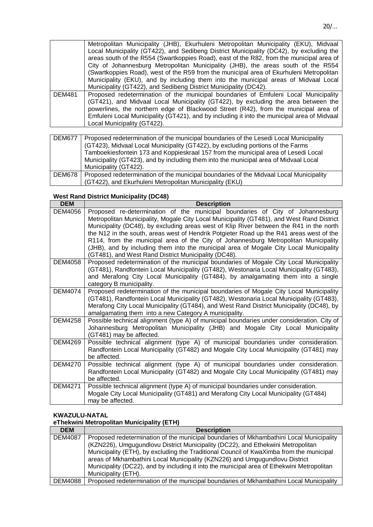|               | Metropolitan Municipality (JHB), Ekurhuleni Metropolitan Municipality (EKU), Midvaal        |
|---------------|---------------------------------------------------------------------------------------------|
|               | Local Municipality (GT422), and Sedibeng District Municipality (DC42), by excluding the     |
|               | areas south of the R554 (Swartkoppies Road), east of the R82, from the municipal area of    |
|               | City of Johannesburg Metropolitan Municipality (JHB), the areas south of the R554           |
|               | (Swartkoppies Road), west of the R59 from the municipal area of Ekurhuleni Metropolitan     |
|               | Municipality (EKU), and by including them into the municipal areas of Midvaal Local         |
|               | Municipality (GT422), and Sedibeng District Municipality (DC42).                            |
| <b>DEM481</b> | Proposed redetermination of the municipal boundaries of Emfuleni Local Municipality         |
|               | (GT421), and Midvaal Local Municipality (GT422), by excluding the area between the          |
|               | powerlines, the northern edge of Blackwood Street (R42), from the municipal area of         |
|               | Emfuleni Local Municipality (GT421), and by including it into the municipal area of Midvaal |
|               | Local Municipality (GT422).                                                                 |

| <b>DEM677</b> | Proposed redetermination of the municipal boundaries of the Lesedi Local Municipality<br>(GT423), Midvaal Local Municipality (GT422), by excluding portions of the Farms<br>Tamboekiesfontein 173 and Koppieskraal 157 from the municipal area of Lesedi Local |
|---------------|----------------------------------------------------------------------------------------------------------------------------------------------------------------------------------------------------------------------------------------------------------------|
|               | Municipality (GT423), and by including them into the municipal area of Midvaal Local                                                                                                                                                                           |
|               | Municipality (GT422).                                                                                                                                                                                                                                          |
| <b>DEM678</b> | Proposed redetermination of the municipal boundaries of the Midvaal Local Municipality                                                                                                                                                                         |
|               | (GT422), and Ekurhuleni Metropolitan Municipality (EKU)                                                                                                                                                                                                        |

### **West Rand District Municipality (DC48)**

| <b>DEM</b>     | <b>Description</b>                                                                                                                                                                                                                                                                                                                                                                                                                                                                                                                                                                                        |
|----------------|-----------------------------------------------------------------------------------------------------------------------------------------------------------------------------------------------------------------------------------------------------------------------------------------------------------------------------------------------------------------------------------------------------------------------------------------------------------------------------------------------------------------------------------------------------------------------------------------------------------|
| <b>DEM4056</b> | Proposed re-determination of the municipal boundaries of City of Johannesburg<br>Metropolitan Municipality, Mogale City Local Municipality (GT481), and West Rand District<br>Municipality (DC48), by excluding areas west of Klip River between the R41 in the north<br>the N12 in the south, areas west of Hendrik Potgieter Road up the R41 areas west of the<br>R114, from the municipal area of the City of Johannesburg Metropolitan Municipality<br>(JHB), and by including them into the municipal area of Mogale City Local Municipality<br>(GT481), and West Rand District Municipality (DC48). |
| <b>DEM4058</b> | Proposed redetermination of the municipal boundaries of Mogale City Local Municipality<br>(GT481), Randfontein Local Municipality (GT482), Westonaria Local Municipality (GT483),<br>and Merafong City Local Municipality (GT484), by amalgamating them into a single<br>category B municipality.                                                                                                                                                                                                                                                                                                         |
| <b>DEM4074</b> | Proposed redetermination of the municipal boundaries of Mogale City Local Municipality<br>(GT481), Randfontein Local Municipality (GT482), Westonaria Local Municipality (GT483),<br>Merafong City Local Municipality (GT484), and West Rand District Municipality (DC48), by<br>amalgamating them into a new Category A municipality.                                                                                                                                                                                                                                                                    |
| <b>DEM4258</b> | Possible technical alignment (type A) of municipal boundaries under consideration. City of<br>Johannesburg Metropolitan Municipality (JHB) and Mogale City Local Municipality<br>(GT481) may be affected.                                                                                                                                                                                                                                                                                                                                                                                                 |
| <b>DEM4269</b> | Possible technical alignment (type A) of municipal boundaries under consideration.<br>Randfontein Local Municipality (GT482) and Mogale City Local Municipality (GT481) may<br>be affected.                                                                                                                                                                                                                                                                                                                                                                                                               |
| <b>DEM4270</b> | Possible technical alignment (type A) of municipal boundaries under consideration.<br>Randfontein Local Municipality (GT482) and Mogale City Local Municipality (GT481) may<br>be affected.                                                                                                                                                                                                                                                                                                                                                                                                               |
| <b>DEM4271</b> | Possible technical alignment (type A) of municipal boundaries under consideration.<br>Mogale City Local Municipality (GT481) and Merafong City Local Municipality (GT484)<br>may be affected.                                                                                                                                                                                                                                                                                                                                                                                                             |

#### **KWAZULU-NATAL**

**eThekwini Metropolitan Municipality (ETH)**

| <b>DEM</b>     | <b>Description</b>                                                                         |
|----------------|--------------------------------------------------------------------------------------------|
| <b>DEM4087</b> | Proposed redetermination of the municipal boundaries of Mkhambathini Local Municipality    |
|                | (KZN226), Umgugundlovu District Municipality (DC22), and Ethekwini Metropolitan            |
|                | Municipality (ETH), by excluding the Traditional Council of KwaXimba from the municipal    |
|                | areas of Mkhambathini Local Municipality (KZN226) and Umgugundlovu District                |
|                | Municipality (DC22), and by including it into the municipal area of Ethekwini Metropolitan |
|                | Municipality (ETH).                                                                        |
| <b>DEM4088</b> | Proposed redetermination of the municipal boundaries of Mkhambathini Local Municipality    |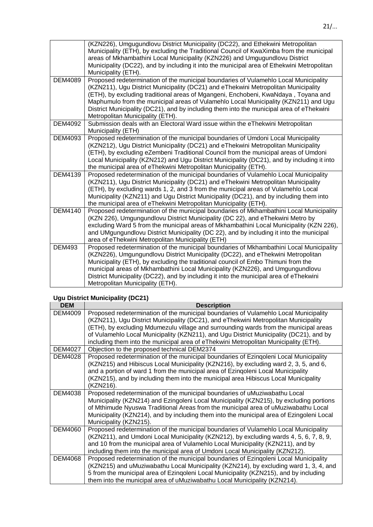|                | (KZN226), Umgugundlovu District Municipality (DC22), and Ethekwini Metropolitan<br>Municipality (ETH), by excluding the Traditional Council of KwaXimba from the municipal<br>areas of Mkhambathini Local Municipality (KZN226) and Umgugundlovu District<br>Municipality (DC22), and by including it into the municipal area of Ethekwini Metropolitan<br>Municipality (ETH).                                                                                                          |
|----------------|-----------------------------------------------------------------------------------------------------------------------------------------------------------------------------------------------------------------------------------------------------------------------------------------------------------------------------------------------------------------------------------------------------------------------------------------------------------------------------------------|
| <b>DEM4089</b> | Proposed redetermination of the municipal boundaries of Vulamehlo Local Municipality<br>(KZN211), Ugu District Municipality (DC21) and eThekwini Metropolitan Municipality<br>(ETH), by excluding traditional areas of Mgangeni, Enchobeni, KwaNdaya, Toyana and<br>Maphumulo from the municipal areas of Vulamehlo Local Municipality (KZN211) and Ugu<br>District Municipality (DC21), and by including them into the municipal area of eThekwini<br>Metropolitan Municipality (ETH). |
| <b>DEM4092</b> | Submission deals with an Electoral Ward issue within the eThekwini Metropolitan<br>Municipality (ETH)                                                                                                                                                                                                                                                                                                                                                                                   |
| DEM4093        | Proposed redetermination of the municipal boundaries of Umdoni Local Municipality<br>(KZN212), Ugu District Municipality (DC21) and eThekwini Metropolitan Municipality<br>(ETH), by excluding eZembeni Traditional Council from the municipal areas of Umdoni<br>Local Municipality (KZN212) and Ugu District Municipality (DC21), and by including it into<br>the municipal area of eThekwini Metropolitan Municipality (ETH).                                                        |
| <b>DEM4139</b> | Proposed redetermination of the municipal boundaries of Vulamehlo Local Municipality<br>(KZN211), Ugu District Municipality (DC21) and eThekwini Metropolitan Municipality<br>(ETH), by excluding wards 1, 2, and 3 from the municipal areas of Vulamehlo Local<br>Municipality (KZN211) and Ugu District Municipality (DC21), and by including them into<br>the municipal area of eThekwini Metropolitan Municipality (ETH).                                                           |
| <b>DEM4140</b> | Proposed redetermination of the municipal boundaries of Mkhambathini Local Municipality<br>(KZN 226), Umgungundlovu District Municipality (DC 22), and eThekwini Metro by<br>excluding Ward 5 from the municipal areas of Mkhambathini Local Municipality (KZN 226),<br>and UMgungundlovu District Municipality (DC 22), and by including it into the municipal<br>area of eThekwini Metropolitan Municipality (ETH)                                                                    |
| <b>DEM493</b>  | Proposed redetermination of the municipal boundaries of Mkhambathini Local Municipality<br>(KZN226), Umgungundlovu District Municipality (DC22), and eThekwini Metropolitan<br>Municipality (ETH), by excluding the traditional council of Embo Thimuni from the<br>municipal areas of Mkhambathini Local Municipality (KZN226), and Umgungundlovu<br>District Municipality (DC22), and by including it into the municipal area of eThekwini<br>Metropolitan Municipality (ETH).        |

# **Ugu District Municipality (DC21)**

| <b>DEM</b>     | <b>Description</b>                                                                                                                                                                                                                                                                                                                                                                                                                                    |
|----------------|-------------------------------------------------------------------------------------------------------------------------------------------------------------------------------------------------------------------------------------------------------------------------------------------------------------------------------------------------------------------------------------------------------------------------------------------------------|
| DEM4009        | Proposed redetermination of the municipal boundaries of Vulamehlo Local Municipality<br>(KZN211), Ugu District Municipality (DC21), and eThekwini Metropolitan Municipality<br>(ETH), by excluding Mdumezulu village and surrounding wards from the municipal areas<br>of Vulamehlo Local Municipality (KZN211), and Ugu District Municipality (DC21), and by<br>including them into the municipal area of eThekwini Metropolitan Municipality (ETH). |
| <b>DEM4027</b> | Objection to the proposed technical DEM2374                                                                                                                                                                                                                                                                                                                                                                                                           |
| DEM4028        | Proposed redetermination of the municipal boundaries of Ezingoleni Local Municipality<br>(KZN215) and Hibiscus Local Municipality (KZN216), by excluding ward 2, 3, 5, and 6,<br>and a portion of ward 1 from the municipal area of Ezingoleni Local Municipality<br>(KZN215), and by including them into the municipal area Hibiscus Local Municipality<br>(KZN216).                                                                                 |
| DEM4038        | Proposed redetermination of the municipal boundaries of uMuziwabathu Local<br>Municipality (KZN214) and Ezingoleni Local Municipality (KZN215), by excluding portions<br>of Mthimude Nyuswa Traditional Areas from the municipal area of uMuziwabathu Local<br>Municipality (KZN214), and by including them into the municipal area of Ezingoleni Local<br>Municipality (KZN215).                                                                     |
| DEM4060        | Proposed redetermination of the municipal boundaries of Vulamehlo Local Municipality<br>(KZN211), and Umdoni Local Municipality (KZN212), by excluding wards 4, 5, 6, 7, 8, 9,<br>and 10 from the municipal area of Vulamehlo Local Municipality (KZN211), and by<br>including them into the municipal area of Umdoni Local Municipality (KZN212).                                                                                                    |
| DEM4068        | Proposed redetermination of the municipal boundaries of Ezingoleni Local Municipality<br>(KZN215) and uMuziwabathu Local Municipality (KZN214), by excluding ward 1, 3, 4, and<br>5 from the municipal area of Ezingoleni Local Municipality (KZN215), and by including<br>them into the municipal area of uMuziwabathu Local Municipality (KZN214).                                                                                                  |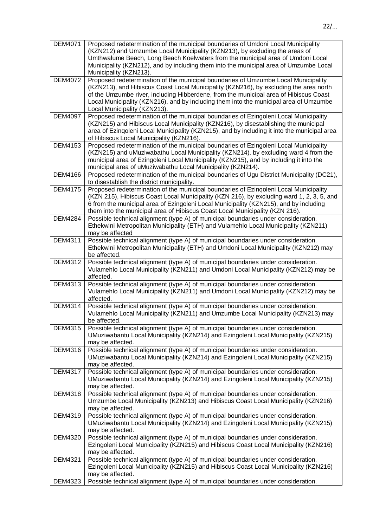| <b>DEM4071</b> | Proposed redetermination of the municipal boundaries of Umdoni Local Municipality<br>(KZN212) and Umzumbe Local Municipality (KZN213), by excluding the areas of<br>Umthwalume Beach, Long Beach Koelwaters from the municipal area of Umdoni Local<br>Municipality (KZN212), and by including them into the municipal area of Umzumbe Local<br>Municipality (KZN213).                        |
|----------------|-----------------------------------------------------------------------------------------------------------------------------------------------------------------------------------------------------------------------------------------------------------------------------------------------------------------------------------------------------------------------------------------------|
| <b>DEM4072</b> | Proposed redetermination of the municipal boundaries of Umzumbe Local Municipality<br>(KZN213), and Hibiscus Coast Local Municipality (KZN216), by excluding the area north<br>of the Umzumbe river, including Hibberdene, from the municipal area of Hibiscus Coast<br>Local Municipality (KZN216), and by including them into the municipal area of Umzumbe<br>Local Municipality (KZN213). |
| <b>DEM4097</b> | Proposed redetermination of the municipal boundaries of Ezingoleni Local Municipality<br>(KZN215) and Hibiscus Local Municipality (KZN216), by disestablishing the municipal<br>area of Ezingoleni Local Municipality (KZN215), and by including it into the municipal area<br>of Hibiscus Local Municipality (KZN216).                                                                       |
| <b>DEM4153</b> | Proposed redetermination of the municipal boundaries of Ezingoleni Local Municipality<br>(KZN215) and uMuziwabathu Local Municipality (KZN214), by excluding ward 4 from the<br>municipal area of Ezingoleni Local Municipality (KZN215), and by including it into the<br>municipal area of uMuziwabathu Local Municipality (KZN214).                                                         |
| <b>DEM4166</b> | Proposed redetermination of the municipal boundaries of Ugu District Municipality (DC21),<br>to disestablish the district municipality.                                                                                                                                                                                                                                                       |
| <b>DEM4175</b> | Proposed redetermination of the municipal boundaries of Ezingoleni Local Municipality<br>(KZN 215), Hibiscus Coast Local Municipality (KZN 216), by excluding ward 1, 2, 3, 5, and<br>6 from the municipal area of Ezingoleni Local Municipality (KZN215), and by including<br>them into the municipal area of Hibiscus Coast Local Municipality (KZN 216).                                   |
| <b>DEM4284</b> | Possible technical alignment (type A) of municipal boundaries under consideration.<br>Ethekwini Metropolitan Municipality (ETH) and Vulamehlo Local Municipality (KZN211)<br>may be affected                                                                                                                                                                                                  |
| DEM4311        | Possible technical alignment (type A) of municipal boundaries under consideration.<br>Ethekwini Metropolitan Municipality (ETH) and Umdoni Local Municipality (KZN212) may<br>be affected.                                                                                                                                                                                                    |
| <b>DEM4312</b> | Possible technical alignment (type A) of municipal boundaries under consideration.<br>Vulamehlo Local Municipality (KZN211) and Umdoni Local Municipality (KZN212) may be<br>affected.                                                                                                                                                                                                        |
| <b>DEM4313</b> | Possible technical alignment (type A) of municipal boundaries under consideration.<br>Vulamehlo Local Municipality (KZN211) and Umdoni Local Municipality (KZN212) may be<br>affected.                                                                                                                                                                                                        |
| <b>DEM4314</b> | Possible technical alignment (type A) of municipal boundaries under consideration.<br>Vulamehlo Local Municipality (KZN211) and Umzumbe Local Municipality (KZN213) may<br>be affected.                                                                                                                                                                                                       |
| <b>DEM4315</b> | Possible technical alignment (type A) of municipal boundaries under consideration.<br>UMuziwabantu Local Municipality (KZN214) and Ezingoleni Local Municipality (KZN215)<br>may be affected.                                                                                                                                                                                                 |
| <b>DEM4316</b> | Possible technical alignment (type A) of municipal boundaries under consideration.<br>UMuziwabantu Local Municipality (KZN214) and Ezingoleni Local Municipality (KZN215)<br>may be affected.                                                                                                                                                                                                 |
| <b>DEM4317</b> | Possible technical alignment (type A) of municipal boundaries under consideration.<br>UMuziwabantu Local Municipality (KZN214) and Ezingoleni Local Municipality (KZN215)<br>may be affected.                                                                                                                                                                                                 |
| <b>DEM4318</b> | Possible technical alignment (type A) of municipal boundaries under consideration.<br>Umzumbe Local Municipality (KZN213) and Hibiscus Coast Local Municipality (KZN216)<br>may be affected.                                                                                                                                                                                                  |
| DEM4319        | Possible technical alignment (type A) of municipal boundaries under consideration.<br>UMuziwabantu Local Municipality (KZN214) and Ezingoleni Local Municipality (KZN215)<br>may be affected.                                                                                                                                                                                                 |
| <b>DEM4320</b> | Possible technical alignment (type A) of municipal boundaries under consideration.<br>Ezingoleni Local Municipality (KZN215) and Hibiscus Coast Local Municipality (KZN216)<br>may be affected.                                                                                                                                                                                               |
| <b>DEM4321</b> | Possible technical alignment (type A) of municipal boundaries under consideration.<br>Ezingoleni Local Municipality (KZN215) and Hibiscus Coast Local Municipality (KZN216)<br>may be affected.                                                                                                                                                                                               |
| <b>DEM4323</b> | Possible technical alignment (type A) of municipal boundaries under consideration.                                                                                                                                                                                                                                                                                                            |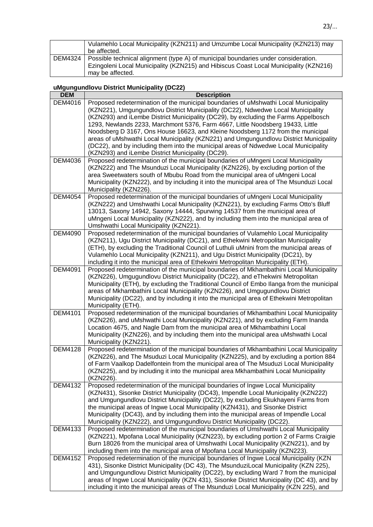|         | Vulamehlo Local Municipality (KZN211) and Umzumbe Local Municipality (KZN213) may     |
|---------|---------------------------------------------------------------------------------------|
|         | be affected.                                                                          |
| DEM4324 | Possible technical alignment (type A) of municipal boundaries under consideration.    |
|         | Ezingoleni Local Municipality (KZN215) and Hibiscus Coast Local Municipality (KZN216) |
|         | may be affected.                                                                      |

# **uMgungundlovu District Municipality (DC22)**

| <b>DEM</b>     | <b>Description</b>                                                                                                                                                                   |
|----------------|--------------------------------------------------------------------------------------------------------------------------------------------------------------------------------------|
| DEM4016        | Proposed redetermination of the municipal boundaries of uMshwathi Local Municipality<br>(KZN221), Umgungundlovu District Municipality (DC22), Ndwedwe Local Municipality             |
|                | (KZN293) and iLembe District Municipality (DC29), by excluding the Farms Appelbosch<br>1293, Newlands 2233, Marchmont 5376, Farm 4667, Little Noodsberg 19433, Little                |
|                | Noodsberg D 3167, Ons House 16623, and Kleine Noodsberg 1172 from the municipal                                                                                                      |
|                | areas of uMshwathi Local Municipality (KZN221) and Umgungundlovu District Municipality                                                                                               |
|                | (DC22), and by including them into the municipal areas of Ndwedwe Local Municipality                                                                                                 |
|                | (KZN293) and iLembe District Municipality (DC29).                                                                                                                                    |
| <b>DEM4036</b> | Proposed redetermination of the municipal boundaries of uMngeni Local Municipality                                                                                                   |
|                | (KZN222) and The Msunduzi Local Municipality (KZN226), by excluding portion of the                                                                                                   |
|                | area Sweetwaters south of Mbubu Road from the municipal area of uMngeni Local                                                                                                        |
|                | Municipality (KZN222), and by including it into the municipal area of The Msunduzi Local<br>Municipality (KZN226).                                                                   |
| <b>DEM4054</b> | Proposed redetermination of the municipal boundaries of uMngeni Local Municipality                                                                                                   |
|                | (KZN222) and Umshwathi Local Municipality (KZN221), by excluding Farms Otto's Bluff                                                                                                  |
|                | 13013, Saxony 14942, Saxony 14444, Spurwing 14537 from the municipal area of<br>uMngeni Local Municipality (KZN222), and by including them into the municipal area of                |
|                | Umshwathi Local Municipality (KZN221).                                                                                                                                               |
| <b>DEM4090</b> | Proposed redetermination of the municipal boundaries of Vulamehlo Local Municipality                                                                                                 |
|                | (KZN211), Ugu District Municipality (DC21), and Ethekwini Metropolitan Municipality                                                                                                  |
|                | (ETH), by excluding the Traditional Council of Luthuli uMnini from the municipal areas of                                                                                            |
|                | Vulamehlo Local Municipality (KZN211), and Ugu District Municipality (DC21), by<br>including it into the municipal area of Ethekwini Metropolitan Municipality (ETH).                |
| <b>DEM4091</b> | Proposed redetermination of the municipal boundaries of Mkhambathini Local Municipality                                                                                              |
|                | (KZN226), Umgugundlovu District Municipality (DC22), and eThekwini Metropolitan                                                                                                      |
|                | Municipality (ETH), by excluding the Traditional Council of Embo Ilanga from the municipal                                                                                           |
|                | areas of Mkhambathini Local Municipality (KZN226), and Umgugundlovu District                                                                                                         |
|                | Municipality (DC22), and by including it into the municipal area of Ethekwini Metropolitan                                                                                           |
|                | Municipality (ETH).                                                                                                                                                                  |
| DEM4101        | Proposed redetermination of the municipal boundaries of Mkhambathini Local Municipality<br>(KZN226), and uMshwathi Local Municipality (KZN221), and by excluding Farm Inanda         |
|                | Location 4675, and Nagle Dam from the municipal area of Mkhambathini Local                                                                                                           |
|                | Municipality (KZN226), and by including them into the municipal area uMshwathi Local                                                                                                 |
|                | Municipality (KZN221).                                                                                                                                                               |
| <b>DEM4128</b> | Proposed redetermination of the municipal boundaries of Mkhambathini Local Municipality                                                                                              |
|                | (KZN226), and The Msuduzi Local Municipality (KZN225), and by excluding a portion 884                                                                                                |
|                | of Farm Vaalkop Dadelfontein from the municipal area of The Msuduzi Local Municipality                                                                                               |
|                | (KZN225), and by including it into the municipal area Mkhambathini Local Municipality<br>(KZN226).                                                                                   |
| <b>DEM4132</b> | Proposed redetermination of the municipal boundaries of Ingwe Local Municipality                                                                                                     |
|                | (KZN431), Sisonke District Municipality (DC43), Impendle Local Municipality (KZN222)                                                                                                 |
|                | and Umgungundlovu District Municipality (DC22), by excluding Ekukhayeni Farms from                                                                                                   |
|                | the municipal areas of Ingwe Local Municipality (KZN431), and Sisonke District                                                                                                       |
|                | Municipality (DC43), and by including them into the municipal areas of Impendle Local<br>Municipality (KZN222), and Umgungundlovu District Municipality (DC22).                      |
| DEM4133        | Proposed redetermination of the municipal boundaries of Umshwathi Local Municipality                                                                                                 |
|                | (KZN221), Mpofana Local Municipality (KZN223), by excluding portion 2 of Farms Craigie                                                                                               |
|                | Burn 18026 from the municipal area of Umshwathi Local Municipality (KZN221), and by                                                                                                  |
|                | including them into the municipal area of Mpofana Local Municipality (KZN223).                                                                                                       |
| <b>DEM4152</b> | Proposed redetermination of the municipal boundaries of Ingwe Local Municipality (KZN                                                                                                |
|                | 431), Sisonke District Municipality (DC 43), The MsunduziLocal Municipality (KZN 225),                                                                                               |
|                | and Umgungundlovu District Municipality (DC22), by excluding Ward 7 from the municipal<br>areas of Ingwe Local Municipality (KZN 431), Sisonke District Municipality (DC 43), and by |
|                | including it into the municipal areas of The Msunduzi Local Municipality (KZN 225), and                                                                                              |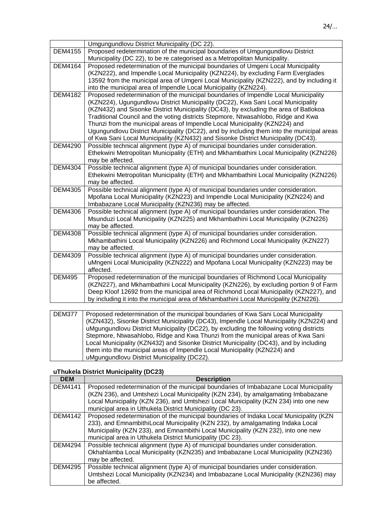|                 | Umgungundlovu District Municipality (DC 22).                                                                                                                                 |
|-----------------|------------------------------------------------------------------------------------------------------------------------------------------------------------------------------|
| <b>DEM4155</b>  | Proposed redetermination of the municipal boundaries of Umgungundlovu District                                                                                               |
|                 | Municipality (DC 22), to be re categorised as a Metropolitan Municipality.                                                                                                   |
| <b>DEM4164</b>  | Proposed redetermination of the municipal boundaries of Umgeni Local Municipality                                                                                            |
|                 | (KZN222), and Impendle Local Municipality (KZN224), by excluding Farm Everglades                                                                                             |
|                 | 13592 from the municipal area of Umgeni Local Municipality (KZN222), and by including it                                                                                     |
|                 | into the municipal area of Impendle Local Municipality (KZN224).                                                                                                             |
| <b>DEM4182</b>  | Proposed redetermination of the municipal boundaries of Impendle Local Municipality                                                                                          |
|                 | (KZN224), Ugungundlovu District Municipality (DC22), Kwa Sani Local Municipality                                                                                             |
|                 | (KZN432) and Sisonke District Municipality (DC43), by excluding the area of Batlokoa                                                                                         |
|                 | Traditional Council and the voting districts Stepmore, Ntwasahlobo, Ridge and Kwa                                                                                            |
|                 | Thunzi from the municipal areas of Impendle Local Municipality (KZN224) and                                                                                                  |
|                 | Ugungundlovu District Municipality (DC22), and by including them into the municipal areas                                                                                    |
|                 | of Kwa Sani Local Municipality (KZN432) and Sisonke District Municipality (DC43).                                                                                            |
| <b>DEM4290</b>  | Possible technical alignment (type A) of municipal boundaries under consideration.                                                                                           |
|                 | Ethekwini Metropolitan Municipality (ETH) and Mkhambathini Local Municipality (KZN226)                                                                                       |
| <b>DEM4304</b>  | may be affected.                                                                                                                                                             |
|                 | Possible technical alignment (type A) of municipal boundaries under consideration.<br>Ethekwini Metropolitan Municipality (ETH) and Mkhambathini Local Municipality (KZN226) |
|                 | may be affected.                                                                                                                                                             |
| <b>DEM4305</b>  | Possible technical alignment (type A) of municipal boundaries under consideration.                                                                                           |
|                 | Mpofana Local Municipality (KZN223) and Impendle Local Municipality (KZN224) and                                                                                             |
|                 | Imbabazane Local Municipality (KZN236) may be affected.                                                                                                                      |
| <b>DEM4306</b>  | Possible technical alignment (type A) of municipal boundaries under consideration. The                                                                                       |
|                 | Msunduzi Local Municipality (KZN225) and Mkhambathini Local Municipality (KZN226)                                                                                            |
|                 | may be affected.                                                                                                                                                             |
| <b>DEM4308</b>  | Possible technical alignment (type A) of municipal boundaries under consideration.                                                                                           |
|                 | Mkhambathini Local Municipality (KZN226) and Richmond Local Municipality (KZN227)                                                                                            |
|                 | may be affected.                                                                                                                                                             |
| <b>DEM4309</b>  | Possible technical alignment (type A) of municipal boundaries under consideration.                                                                                           |
|                 | uMngeni Local Municipality (KZN222) and Mpofana Local Municipality (KZN223) may be                                                                                           |
|                 | affected.                                                                                                                                                                    |
| <b>DEM495</b>   | Proposed redetermination of the municipal boundaries of Richmond Local Municipality                                                                                          |
|                 | (KZN227), and Mkhambathini Local Municipality (KZN226), by excluding portion 9 of Farm                                                                                       |
|                 | Deep Kloof 12692 from the municipal area of Richmond Local Municipality (KZN227), and                                                                                        |
|                 | by including it into the municipal area of Mkhambathini Local Municipality (KZN226).                                                                                         |
|                 |                                                                                                                                                                              |
| $\Gamma$ DEMOZZ | Drepeaced redetermination of the municipal boundaries of Kun Capi Local Municipality                                                                                         |

| <b>DEM377</b> | Proposed redetermination of the municipal boundaries of Kwa Sani Local Municipality      |
|---------------|------------------------------------------------------------------------------------------|
|               | (KZN432), Sisonke District Municipality (DC43), Impendle Local Municipality (KZN224) and |
|               | uMgungundlovu District Municipality (DC22), by excluding the following voting districts  |
|               | Stepmore, Ntwasahlobo, Ridge and Kwa Thunzi from the municipal areas of Kwa Sani         |
|               | Local Municipality (KZN432) and Sisonke District Municipality (DC43), and by including   |
|               | them into the municipal areas of Impendle Local Municipality (KZN224) and                |
|               | uMgungundlovu District Municipality (DC22).                                              |

# **uThukela District Municipality (DC23)**

| <b>DEM</b>     | <b>Description</b>                                                                     |
|----------------|----------------------------------------------------------------------------------------|
| <b>DEM4141</b> | Proposed redetermination of the municipal boundaries of Imbabazane Local Municipality  |
|                | (KZN 236), and Umtshezi Local Municipality (KZN 234), by amalgamating Imbabazane       |
|                | Local Municipality (KZN 236), and Umtshezi Local Municipality (KZN 234) into one new   |
|                | municipal area in Uthukela District Municipality (DC 23).                              |
| DEM4142        | Proposed redetermination of the municipal boundaries of Indaka Local Municipality (KZN |
|                | 233), and EmnambithiLocal Municipality (KZN 232), by amalgamating Indaka Local         |
|                | Municipality (KZN 233), and Emnambithi Local Municipality (KZN 232), into one new      |
|                | municipal area in Uthukela District Municipality (DC 23).                              |
| DEM4294        | Possible technical alignment (type A) of municipal boundaries under consideration.     |
|                | Okhahlamba Local Municipality (KZN235) and Imbabazane Local Municipality (KZN236)      |
|                | may be affected.                                                                       |
| <b>DEM4295</b> | Possible technical alignment (type A) of municipal boundaries under consideration.     |
|                | Umtshezi Local Municipality (KZN234) and Imbabazane Local Municipality (KZN236) may    |
|                | be affected.                                                                           |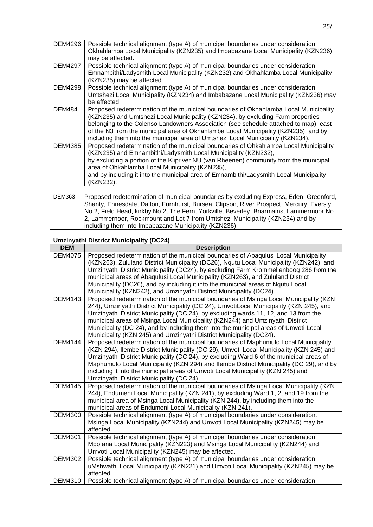| <b>DEM4296</b> | Possible technical alignment (type A) of municipal boundaries under consideration.      |
|----------------|-----------------------------------------------------------------------------------------|
|                | Okhahlamba Local Municipality (KZN235) and Imbabazane Local Municipality (KZN236)       |
|                | may be affected.                                                                        |
| <b>DEM4297</b> | Possible technical alignment (type A) of municipal boundaries under consideration.      |
|                | Emnambithi/Ladysmith Local Municipality (KZN232) and Okhahlamba Local Municipality      |
|                | (KZN235) may be affected.                                                               |
| <b>DEM4298</b> | Possible technical alignment (type A) of municipal boundaries under consideration.      |
|                | Umtshezi Local Municipality (KZN234) and Imbabazane Local Municipality (KZN236) may     |
|                | be affected.                                                                            |
| DEM484         | Proposed redetermination of the municipal boundaries of Okhahlamba Local Municipality   |
|                | (KZN235) and Umtshezi Local Municipality (KZN234), by excluding Farm properties         |
|                | belonging to the Colenso Landowners Association (see schedule attached to map), east    |
|                | of the N3 from the municipal area of Okhahlamba Local Municipality (KZN235), and by     |
|                | including them into the municipal area of Umtshezi Local Municipality (KZN234).         |
| <b>DEM4385</b> | Proposed redetermination of the municipal boundaries of Ohkahlamba Local Municipality   |
|                | (KZN235) and Emnambithi/Ladysmith Local Municipality (KZN232),                          |
|                | by excluding a portion of the Klipriver NU (van Rheenen) community from the municipal   |
|                | area of Ohkahlamba Local Municipality (KZN235),                                         |
|                | and by including it into the municipal area of Emnambithi/Ladysmith Local Municipality  |
|                | (KZN232).                                                                               |
|                |                                                                                         |
| <b>DEM363</b>  | Proposed redetermination of municipal boundaries by excluding Express, Eden, Greenford, |
|                | Shanty, Ennesdale, Dalton, Furnhurst, Bursea, Clipson, River Prospect, Mercury, Eversly |

| DEM363 | Proposed redetermination of municipal boundaries by excluding Express, Eden, Greenford, |
|--------|-----------------------------------------------------------------------------------------|
|        | Shanty, Ennesdale, Dalton, Furnhurst, Bursea, Clipson, River Prospect, Mercury, Eversly |
|        | No 2, Field Head, kirkby No 2, The Fern, Yorkville, Beverley, Briarmains, Lammermoor No |
|        | 2, Lammernoor, Rockmount and Lot 7 from Umtshezi Municipality (KZN234) and by           |
|        | including them into Imbabazane Municipality (KZN236).                                   |

## **Umzinyathi District Municipality (DC24)**

| <b>DEM</b>     | <b>Description</b>                                                                                                                                                                                                                                                                                                                                                                                                                                                                                                         |
|----------------|----------------------------------------------------------------------------------------------------------------------------------------------------------------------------------------------------------------------------------------------------------------------------------------------------------------------------------------------------------------------------------------------------------------------------------------------------------------------------------------------------------------------------|
| <b>DEM4075</b> | Proposed redetermination of the municipal boundaries of Abaqulusi Local Municipality<br>(KZN263), Zululand District Municipality (DC26), Ngutu Local Municipality (KZN242), and<br>Umzinyathi District Municipality (DC24), by excluding Farm Krommellenboog 286 from the<br>municipal areas of Abaqulusi Local Municipality (KZN263), and Zululand District<br>Municipality (DC26), and by including it into the municipal areas of Nqutu Local<br>Municipality (KZN242), and Umzinyathi District Municipality (DC24).    |
| <b>DEM4143</b> | Proposed redetermination of the municipal boundaries of Msinga Local Municipality (KZN)<br>244), Umzinyathi District Municipality (DC 24), UmvotiLocal Municipality (KZN 245), and<br>Umzinyathi District Municipality (DC 24), by excluding wards 11, 12, and 13 from the<br>municipal areas of Msinga Local Municipality (KZN244) and Umzinyathi District<br>Municipality (DC 24), and by including them into the municipal areas of Umvoti Local<br>Municipality (KZN 245) and Umzinyathi District Municipality (DC24). |
| <b>DEM4144</b> | Proposed redetermination of the municipal boundaries of Maphumulo Local Municipality<br>(KZN 294), Ilembe District Municipality (DC 29), Umvoti Local Municipality (KZN 245) and<br>Umzinyathi District Municipality (DC 24), by excluding Ward 6 of the municipal areas of<br>Maphumulo Local Municipality (KZN 294) and Ilembe District Municipality (DC 29), and by<br>including it into the municipal areas of Umvoti Local Municipality (KZN 245) and<br>Umzinyathi District Municipality (DC 24).                    |
| <b>DEM4145</b> | Proposed redetermination of the municipal boundaries of Msinga Local Municipality (KZN<br>244), Endumeni Local Municipality (KZN 241), by excluding Ward 1, 2, and 19 from the<br>municipal area of Msinga Local Municipality (KZN 244), by including them into the<br>municipal areas of Endumeni Local Municipality (KZN 241).                                                                                                                                                                                           |
| <b>DEM4300</b> | Possible technical alignment (type A) of municipal boundaries under consideration.<br>Msinga Local Municipality (KZN244) and Umvoti Local Municipality (KZN245) may be<br>affected.                                                                                                                                                                                                                                                                                                                                        |
| <b>DEM4301</b> | Possible technical alignment (type A) of municipal boundaries under consideration.<br>Mpofana Local Municipality (KZN223) and Msinga Local Municipality (KZN244) and<br>Umvoti Local Municipality (KZN245) may be affected.                                                                                                                                                                                                                                                                                                |
| <b>DEM4302</b> | Possible technical alignment (type A) of municipal boundaries under consideration.<br>uMshwathi Local Municipality (KZN221) and Umvoti Local Municipality (KZN245) may be<br>affected.                                                                                                                                                                                                                                                                                                                                     |
| DEM4310        | Possible technical alignment (type A) of municipal boundaries under consideration.                                                                                                                                                                                                                                                                                                                                                                                                                                         |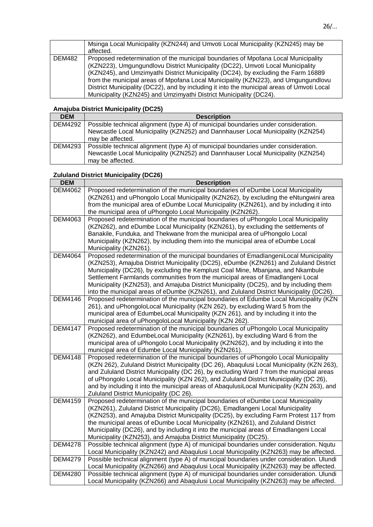|        | Msinga Local Municipality (KZN244) and Umvoti Local Municipality (KZN245) may be           |
|--------|--------------------------------------------------------------------------------------------|
|        | affected.                                                                                  |
| DEM482 | Proposed redetermination of the municipal boundaries of Mpofana Local Municipality         |
|        | (KZN223), Umgungundlovu District Municipality (DC22), Umvoti Local Municipality            |
|        | (KZN245), and Umzimyathi District Municipality (DC24), by excluding the Farm 16889         |
|        | from the municipal areas of Mpofana Local Municipality (KZN223), and Umgungundlovu         |
|        | District Municipality (DC22), and by including it into the municipal areas of Umvoti Local |
|        | Municipality (KZN245) and Umzimyathi District Municipality (DC24).                         |

## **Amajuba District Municipality (DC25)**

| <b>DEM</b>     | <b>Description</b>                                                                 |
|----------------|------------------------------------------------------------------------------------|
| <b>DEM4292</b> | Possible technical alignment (type A) of municipal boundaries under consideration. |
|                | Newcastle Local Municipality (KZN252) and Dannhauser Local Municipality (KZN254)   |
|                | may be affected.                                                                   |
| DEM4293        | Possible technical alignment (type A) of municipal boundaries under consideration. |
|                | Newcastle Local Municipality (KZN252) and Dannhauser Local Municipality (KZN254)   |
|                | may be affected.                                                                   |

# **Zululand District Municipality (DC26)**

| <b>DEM</b>     | <b>Description</b>                                                                                                                                                                  |
|----------------|-------------------------------------------------------------------------------------------------------------------------------------------------------------------------------------|
| <b>DEM4062</b> | Proposed redetermination of the municipal boundaries of eDumbe Local Municipality                                                                                                   |
|                | (KZN261) and uPhongolo Local Municipality (KZN262), by excluding the eNtungwini area                                                                                                |
|                | from the municipal area of eDumbe Local Municipality (KZN261), and by including it into                                                                                             |
|                | the municipal area of uPhongolo Local Municipality (KZN262).                                                                                                                        |
| <b>DEM4063</b> | Proposed redetermination of the municipal boundaries of uPhongolo Local Municipality                                                                                                |
|                | (KZN262), and eDumbe Local Municipality (KZN261), by excluding the settlements of                                                                                                   |
|                | Banakile, Funduka, and Thekwane from the municipal area of uPhongolo Local                                                                                                          |
|                | Municipality (KZN262), by including them into the municipal area of eDumbe Local<br>Municipality (KZN261).                                                                          |
| <b>DEM4064</b> | Proposed redetermination of the municipal boundaries of EmadlangeniLocal Municipality                                                                                               |
|                | (KZN253), Amajuba District Municipality (DC25), eDumbe (KZN261) and Zululand District                                                                                               |
|                | Municipality (DC26), by excluding the Kemplust Coal Mine, Mbanjana, and Nkambule                                                                                                    |
|                | Settlement Farmlands communities from the municipal areas of Emadlangeni Local                                                                                                      |
|                | Municipality (KZN253), and Amajuba District Municipality (DC25), and by including them                                                                                              |
|                | into the municipal areas of eDumbe (KZN261), and Zululand District Municipality (DC26).                                                                                             |
| <b>DEM4146</b> | Proposed redetermination of the municipal boundaries of Edumbe Local Municipality (KZN                                                                                              |
|                | 261), and uPhongoloLocal Municipality (KZN 262), by excluding Ward 5 from the                                                                                                       |
|                | municipal area of EdumbeLocal Municipality (KZN 261), and by including it into the                                                                                                  |
|                | municipal area of uPhongoloLocal Municipality (KZN 262).                                                                                                                            |
| <b>DEM4147</b> | Proposed redetermination of the municipal boundaries of uPhongolo Local Municipality                                                                                                |
|                | (KZN262), and EdumbeLocal Municipality (KZN261), by excluding Ward 6 from the                                                                                                       |
|                | municipal area of uPhongolo Local Municipality (KZN262), and by including it into the                                                                                               |
| <b>DEM4148</b> | municipal area of Edumbe Local Municipality (KZN261).<br>Proposed redetermination of the municipal boundaries of uPhongolo Local Municipality                                       |
|                | (KZN 262), Zululand District Municipality (DC 26), Abaqulusi Local Municipality (KZN 263),                                                                                          |
|                | and Zululand District Municipality (DC 26), by excluding Ward 7 from the municipal areas                                                                                            |
|                | of uPhongolo Local Municipality (KZN 262), and Zululand District Municipality (DC 26),                                                                                              |
|                | and by including it into the municipal areas of AbaqulusiLocal Municipality (KZN 263), and                                                                                          |
|                | Zululand District Municipality (DC 26).                                                                                                                                             |
| <b>DEM4159</b> | Proposed redetermination of the municipal boundaries of eDumbe Local Municipality                                                                                                   |
|                | (KZN261), Zululand District Municipality (DC26), Emadlangeni Local Municipality                                                                                                     |
|                | (KZN253), and Amajuba District Municipality (DC25), by excluding Farm Protest 117 from                                                                                              |
|                | the municipal areas of eDumbe Local Municipality (KZN261), and Zululand District                                                                                                    |
|                | Municipality (DC26), and by including it into the municipal areas of Emadlangeni Local                                                                                              |
|                | Municipality (KZN253), and Amajuba District Municipality (DC25).                                                                                                                    |
| <b>DEM4278</b> | Possible technical alignment (type A) of municipal boundaries under consideration. Nqutu                                                                                            |
|                | Local Municipality (KZN242) and Abaqulusi Local Municipality (KZN263) may be affected.                                                                                              |
| <b>DEM4279</b> | Possible technical alignment (type A) of municipal boundaries under consideration. Ulundi                                                                                           |
| <b>DEM4280</b> | Local Municipality (KZN266) and Abaqulusi Local Municipality (KZN263) may be affected.<br>Possible technical alignment (type A) of municipal boundaries under consideration. Ulundi |
|                | Local Municipality (KZN266) and Abaqulusi Local Municipality (KZN263) may be affected.                                                                                              |
|                |                                                                                                                                                                                     |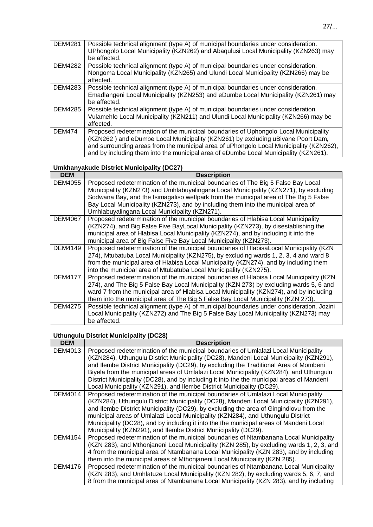| <b>DEM4281</b> | Possible technical alignment (type A) of municipal boundaries under consideration.<br>UPhongolo Local Municipality (KZN262) and Abaqulusi Local Municipality (KZN263) may<br>be affected. |
|----------------|-------------------------------------------------------------------------------------------------------------------------------------------------------------------------------------------|
|                |                                                                                                                                                                                           |
| <b>DEM4282</b> | Possible technical alignment (type A) of municipal boundaries under consideration.                                                                                                        |
|                | Nongoma Local Municipality (KZN265) and Ulundi Local Municipality (KZN266) may be<br>affected.                                                                                            |
|                |                                                                                                                                                                                           |
| DEM4283        | Possible technical alignment (type A) of municipal boundaries under consideration.                                                                                                        |
|                | Emadlangeni Local Municipality (KZN253) and eDumbe Local Municipality (KZN261) may                                                                                                        |
|                | be affected.                                                                                                                                                                              |
| <b>DEM4285</b> | Possible technical alignment (type A) of municipal boundaries under consideration.                                                                                                        |
|                | Vulamehlo Local Municipality (KZN211) and Ulundi Local Municipality (KZN266) may be                                                                                                       |
|                |                                                                                                                                                                                           |
|                | affected.                                                                                                                                                                                 |
| <b>DEM474</b>  | Proposed redetermination of the municipal boundaries of Uphongolo Local Municipality                                                                                                      |
|                | (KZN262) and eDumbe Local Municipality (KZN261) by excluding uBivane Poort Dam,                                                                                                           |
|                | and surrounding areas from the municipal area of uPhongolo Local Municipality (KZN262),                                                                                                   |
|                | and by including them into the municipal area of eDumbe Local Municipality (KZN261).                                                                                                      |

## **Umkhanyakude District Municipality (DC27)**

| <b>DEM</b>     | <b>Description</b>                                                                        |
|----------------|-------------------------------------------------------------------------------------------|
| DEM4055        | Proposed redetermination of the municipal boundaries of The Big 5 False Bay Local         |
|                | Municipality (KZN273) and Umhlabuyalingana Local Municipality (KZN271), by excluding      |
|                | Sodwana Bay, and the Isimagaliso wetlpark from the municipal area of The Big 5 False      |
|                | Bay Local Municipality (KZN273), and by including them into the municipal area of         |
|                | Umhlabuyalingana Local Municipality (KZN271).                                             |
| <b>DEM4067</b> | Proposed redetermination of the municipal boundaries of Hlabisa Local Municipality        |
|                | (KZN274), and Big False Five BayLocal Municipality (KZN273), by disestablishing the       |
|                | municipal area of Hlabisa Local Municipality (KZN274), and by including it into the       |
|                | municipal area of Big False Five Bay Local Municipality (KZN273).                         |
| DEM4149        | Proposed redetermination of the municipal boundaries of HlabisaLocal Municipality (KZN    |
|                | 274), Mtubatuba Local Municipality (KZN275), by excluding wards 1, 2, 3, 4 and ward 8     |
|                | from the municipal area of Hlabisa Local Municipality (KZN274), and by including them     |
|                | into the municipal area of Mtubatuba Local Municipality (KZN275).                         |
| <b>DEM4177</b> | Proposed redetermination of the municipal boundaries of Hlabisa Local Municipality (KZN)  |
|                | 274), and The Big 5 False Bay Local Municipality (KZN 273) by excluding wards 5, 6 and    |
|                | ward 7 from the municipal area of Hlabisa Local Municipality (KZN274), and by including   |
|                | them into the municipal area of The Big 5 False Bay Local Municipality (KZN 273).         |
| DEM4275        | Possible technical alignment (type A) of municipal boundaries under consideration. Jozini |
|                | Local Municipality (KZN272) and The Big 5 False Bay Local Municipality (KZN273) may       |
|                | be affected.                                                                              |

# **Uthungulu District Municipality (DC28)**

| <b>DEM</b>     | <b>Description</b>                                                                        |
|----------------|-------------------------------------------------------------------------------------------|
| DEM4013        | Proposed redetermination of the municipal boundaries of Umlalazi Local Municipality       |
|                | (KZN284), Uthungulu District Municipality (DC28), Mandeni Local Municipality (KZN291),    |
|                | and Ilembe District Municipality (DC29), by excluding the Traditional Area of Mombeni     |
|                | Biyela from the municipal areas of Umlalazi Local Municipality (KZN284), and Uthungulu    |
|                | District Municipality (DC28), and by including it into the the municipal areas of Mandeni |
|                | Local Municipality (KZN291), and Ilembe District Municipality (DC29).                     |
| DEM4014        | Proposed redetermination of the municipal boundaries of Umlalazi Local Municipality       |
|                | (KZN284), Uthungulu District Municipality (DC28), Mandeni Local Municipality (KZN291),    |
|                | and llembe District Municipality (DC29), by excluding the area of Gingindlovu from the    |
|                | municipal areas of Umlalazi Local Municipality (KZN284), and Uthungulu District           |
|                | Municipality (DC28), and by including it into the the municipal areas of Mandeni Local    |
|                | Municipality (KZN291), and Ilembe District Municipality (DC29).                           |
| <b>DEM4154</b> | Proposed redetermination of the municipal boundaries of Ntambanana Local Municipality     |
|                | (KZN 283), and Mthonjaneni Local Municipality (KZN 285), by excluding wards 1, 2, 3, and  |
|                | 4 from the municipal area of Ntambanana Local Municipality (KZN 283), and by including    |
|                | them into the municipal areas of Mthonjaneni Local Municipality (KZN 285).                |
| <b>DEM4176</b> | Proposed redetermination of the municipal boundaries of Ntambanana Local Municipality     |
|                | (KZN 283), and Umhlatuze Local Municipality (KZN 282), by excluding wards 5, 6, 7, and    |
|                | 8 from the municipal area of Ntambanana Local Municipality (KZN 283), and by including    |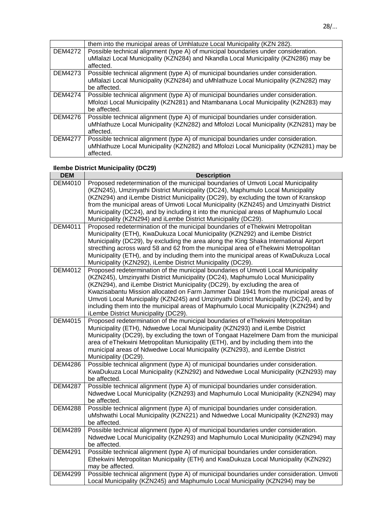|                | them into the municipal areas of Umhlatuze Local Municipality (KZN 282).              |
|----------------|---------------------------------------------------------------------------------------|
| <b>DEM4272</b> | Possible technical alignment (type A) of municipal boundaries under consideration.    |
|                | uMlalazi Local Municipality (KZN284) and Nkandla Local Municipality (KZN286) may be   |
|                | affected.                                                                             |
| <b>DEM4273</b> | Possible technical alignment (type A) of municipal boundaries under consideration.    |
|                | uMlalazi Local Municipality (KZN284) and uMhlathuze Local Municipality (KZN282) may   |
|                | be affected.                                                                          |
| <b>DEM4274</b> | Possible technical alignment (type A) of municipal boundaries under consideration.    |
|                | Mfolozi Local Municipality (KZN281) and Ntambanana Local Municipality (KZN283) may    |
|                | be affected.                                                                          |
| <b>DEM4276</b> | Possible technical alignment (type A) of municipal boundaries under consideration.    |
|                | uMhlathuze Local Municipality (KZN282) and Mfolozi Local Municipality (KZN281) may be |
|                | affected.                                                                             |
| <b>DEM4277</b> | Possible technical alignment (type A) of municipal boundaries under consideration.    |
|                | uMhlathuze Local Municipality (KZN282) and Mfolozi Local Municipality (KZN281) may be |
|                | affected.                                                                             |

## **Ilembe District Municipality (DC29)**

| <b>DEM</b>     | <b>Description</b>                                                                                                                                                   |
|----------------|----------------------------------------------------------------------------------------------------------------------------------------------------------------------|
| <b>DEM4010</b> | Proposed redetermination of the municipal boundaries of Umvoti Local Municipality                                                                                    |
|                | (KZN245), Umzinyathi District Municipality (DC24), Maphumulo Local Municipality                                                                                      |
|                | (KZN294) and iLembe District Municipality (DC29), by excluding the town of Kranskop                                                                                  |
|                | from the municipal areas of Umvoti Local Municipality (KZN245) and Umzinyathi District                                                                               |
|                | Municipality (DC24), and by including it into the municipal areas of Maphumulo Local                                                                                 |
|                | Municipality (KZN294) and iLembe District Municipality (DC29).                                                                                                       |
| DEM4011        | Proposed redetermination of the municipal boundaries of eThekwini Metropolitan                                                                                       |
|                | Municipality (ETH), KwaDukuza Local Municipality (KZN292) and iLembe District                                                                                        |
|                | Municipality (DC29), by excluding the area along the King Shaka International Airport                                                                                |
|                | strecthing across ward 58 and 62 from the municipal area of eThekwini Metropolitan                                                                                   |
|                | Municipality (ETH), and by including them into the municipal areas of KwaDukuza Local                                                                                |
| <b>DEM4012</b> | Municipality (KZN292), iLembe District Municipality (DC29).                                                                                                          |
|                | Proposed redetermination of the municipal boundaries of Umvoti Local Municipality<br>(KZN245), Umzinyathi District Municipality (DC24), Maphumulo Local Municipality |
|                | (KZN294), and iLembe District Municipality (DC29), by excluding the area of                                                                                          |
|                | Kwazisabantu Mission allocated on Farm Jammer Daal 1941 from the municipal areas of                                                                                  |
|                | Umvoti Local Municipality (KZN245) and Umzinyathi District Municipality (DC24), and by                                                                               |
|                | including them into the municipal areas of Maphumulo Local Municipality (KZN294) and                                                                                 |
|                | iLembe District Municipality (DC29).                                                                                                                                 |
| <b>DEM4015</b> | Proposed redetermination of the municipal boundaries of eThekwini Metropolitan                                                                                       |
|                | Municipality (ETH), Ndwedwe Local Municipality (KZN293) and iLembe District                                                                                          |
|                | Municipality (DC29), by excluding the town of Tongaat Hazelmere Dam from the municipal                                                                               |
|                | area of eThekwini Metropolitan Municipality (ETH), and by including them into the                                                                                    |
|                | municipal areas of Ndwedwe Local Municipality (KZN293), and iLembe District                                                                                          |
|                | Municipality (DC29).                                                                                                                                                 |
| <b>DEM4286</b> | Possible technical alignment (type A) of municipal boundaries under consideration.                                                                                   |
|                | KwaDukuza Local Municipality (KZN292) and Ndwedwe Local Municipality (KZN293) may                                                                                    |
|                | be affected.                                                                                                                                                         |
| <b>DEM4287</b> | Possible technical alignment (type A) of municipal boundaries under consideration.                                                                                   |
|                | Ndwedwe Local Municipality (KZN293) and Maphumulo Local Municipality (KZN294) may                                                                                    |
|                | be affected.                                                                                                                                                         |
| <b>DEM4288</b> | Possible technical alignment (type A) of municipal boundaries under consideration.                                                                                   |
|                | uMshwathi Local Municipality (KZN221) and Ndwedwe Local Municipality (KZN293) may                                                                                    |
| <b>DEM4289</b> | be affected.<br>Possible technical alignment (type A) of municipal boundaries under consideration.                                                                   |
|                | Ndwedwe Local Municipality (KZN293) and Maphumulo Local Municipality (KZN294) may                                                                                    |
|                | be affected.                                                                                                                                                         |
| <b>DEM4291</b> | Possible technical alignment (type A) of municipal boundaries under consideration.                                                                                   |
|                | Ethekwini Metropolitan Municipality (ETH) and KwaDukuza Local Municipality (KZN292)                                                                                  |
|                | may be affected.                                                                                                                                                     |
| <b>DEM4299</b> | Possible technical alignment (type A) of municipal boundaries under consideration. Umvoti                                                                            |
|                | Local Municipality (KZN245) and Maphumulo Local Municipality (KZN294) may be                                                                                         |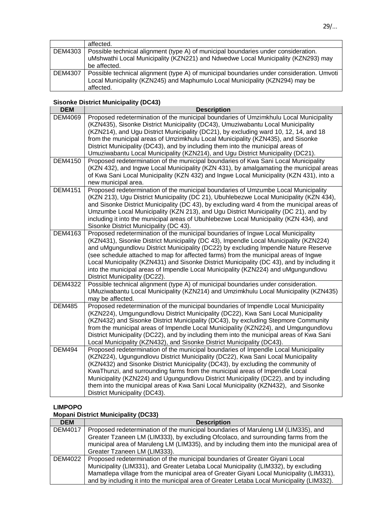| affected.                                                                                 |
|-------------------------------------------------------------------------------------------|
| Possible technical alignment (type A) of municipal boundaries under consideration.        |
| uMshwathi Local Municipality (KZN221) and Ndwedwe Local Municipality (KZN293) may         |
| be affected.                                                                              |
| Possible technical alignment (type A) of municipal boundaries under consideration. Umvoti |
| Local Municipality (KZN245) and Maphumulo Local Municipality (KZN294) may be<br>affected. |
|                                                                                           |

#### **Sisonke District Municipality (DC43)**

| <b>DEM</b>     | <b>Description</b>                                                                                                                                                                                       |
|----------------|----------------------------------------------------------------------------------------------------------------------------------------------------------------------------------------------------------|
| <b>DEM4069</b> | Proposed redetermination of the municipal boundaries of Umzimkhulu Local Municipality<br>(KZN435), Sisonke District Municipality (DC43), Umuziwabantu Local Municipality                                 |
|                | (KZN214), and Ugu District Municipality (DC21), by excluding ward 10, 12, 14, and 18<br>from the municipal areas of Umzimkhulu Local Municipality (KZN435), and Sisonke                                  |
|                | District Municipality (DC43), and by including them into the municipal areas of                                                                                                                          |
| <b>DEM4150</b> | Umuziwabantu Local Municipality (KZN214), and Ugu District Municipality (DC21).<br>Proposed redetermination of the municipal boundaries of Kwa Sani Local Municipality                                   |
|                | (KZN 432), and Ingwe Local Municipality (KZN 431), by amalgamating the municipal areas<br>of Kwa Sani Local Municipality (KZN 432) and Ingwe Local Municipality (KZN 431), into a<br>new municipal area. |
| <b>DEM4151</b> | Proposed redetermination of the municipal boundaries of Umzumbe Local Municipality<br>(KZN 213), Ugu District Municipality (DC 21), Ubuhlebezwe Local Municipality (KZN 434),                            |
|                | and Sisonke District Municipality (DC 43), by excluding ward 4 from the municipal areas of                                                                                                               |
|                | Umzumbe Local Municipality (KZN 213), and Ugu District Municipality (DC 21), and by                                                                                                                      |
|                | including it into the municipal areas of Ubuhlebezwe Local Municipality (KZN 434), and<br>Sisonke District Municipality (DC 43).                                                                         |
| DEM4163        | Proposed redetermination of the municipal boundaries of Ingwe Local Municipality                                                                                                                         |
|                | (KZN431), Sisonke District Municipality (DC 43), Impendle Local Municipality (KZN224)<br>and uMgungundlovu District Municipality (DC22) by excluding Impendle Nature Reserve                             |
|                | (see schedule attached to map for affected farms) from the municipal areas of Ingwe                                                                                                                      |
|                | Local Municipality (KZN431) and Sisonke District Municipality (DC 43), and by including it                                                                                                               |
|                | into the municipal areas of Impendle Local Municipality (KZN224) and uMgungundlovu<br>District Municipality (DC22).                                                                                      |
| <b>DEM4322</b> | Possible technical alignment (type A) of municipal boundaries under consideration.                                                                                                                       |
|                | UMuziwabantu Local Municipality (KZN214) and Umzimkhulu Local Municipality (KZN435)<br>may be affected.                                                                                                  |
| <b>DEM485</b>  | Proposed redetermination of the municipal boundaries of Impendle Local Municipality                                                                                                                      |
|                | (KZN224), Umgungundlovu District Municipality (DC22), Kwa Sani Local Municipality<br>(KZN432) and Sisonke District Municipality (DC43), by excluding Stepmore Community                                  |
|                | from the municipal areas of Impendle Local Municipality (KZN224), and Umgungundlovu                                                                                                                      |
|                | District Municipality (DC22), and by including them into the municipal areas of Kwa Sani                                                                                                                 |
| <b>DEM494</b>  | Local Municipality (KZN432), and Sisonke District Municipality (DC43).<br>Proposed redetermination of the municipal boundaries of Impendle Local Municipality                                            |
|                | (KZN224), Ugungundlovu District Municipality (DC22), Kwa Sani Local Municipality                                                                                                                         |
|                | (KZN432) and Sisonke District Municipality (DC43), by excluding the community of                                                                                                                         |
|                | KwaThunzi, and surrounding farms from the municipal areas of Impendle Local                                                                                                                              |
|                | Municipality (KZN224) and Ugungundlovu District Municipality (DC22), and by including<br>them into the municipal areas of Kwa Sani Local Municipality (KZN432), and Sisonke                              |
|                | District Municipality (DC43).                                                                                                                                                                            |

### **LIMPOPO**

#### **Mopani District Municipality (DC33)**

| <b>DEM</b>     | <b>Description</b>                                                                         |
|----------------|--------------------------------------------------------------------------------------------|
| <b>DEM4017</b> | Proposed redetermination of the municipal boundaries of Maruleng LM (LIM335), and          |
|                | Greater Tzaneen LM (LIM333), by excluding Ofcolaco, and surrounding farms from the         |
|                | municipal area of Maruleng LM (LIM335), and by including them into the municipal area of   |
|                | Greater Tzaneen LM (LIM333).                                                               |
| <b>DEM4022</b> | Proposed redetermination of the municipal boundaries of Greater Giyani Local               |
|                | Municipality (LIM331), and Greater Letaba Local Municipality (LIM332), by excluding        |
|                | Mamatlepa village from the municipal area of Greater Giyani Local Municipality (LIM331),   |
|                | and by including it into the municipal area of Greater Letaba Local Municipality (LIM332). |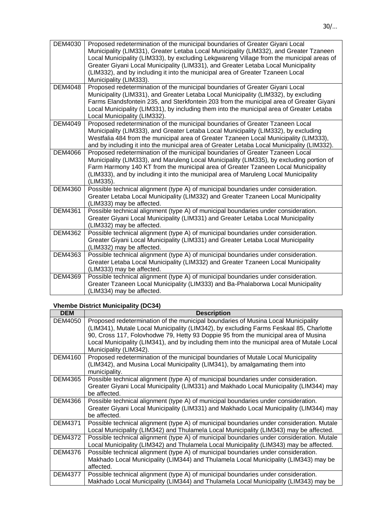| DEM4030        | Proposed redetermination of the municipal boundaries of Greater Giyani Local<br>Municipality (LIM331), Greater Letaba Local Municipality (LIM332), and Greater Tzaneen<br>Local Municipality (LIM333), by excluding Lekgwareng Village from the municipal areas of<br>Greater Giyani Local Municipality (LIM331), and Greater Letaba Local Municipality<br>(LIM332), and by including it into the municipal area of Greater Tzaneen Local<br>Municipality (LIM333). |
|----------------|---------------------------------------------------------------------------------------------------------------------------------------------------------------------------------------------------------------------------------------------------------------------------------------------------------------------------------------------------------------------------------------------------------------------------------------------------------------------|
| <b>DEM4048</b> | Proposed redetermination of the municipal boundaries of Greater Giyani Local<br>Municipality (LIM331), and Greater Letaba Local Municipality (LIM332), by excluding<br>Farms Elandsfontein 235, and Sterkfontein 203 from the municipal area of Greater Giyani<br>Local Municipality (LIM331), by including them into the municipal area of Greater Letaba<br>Local Municipality (LIM332).                                                                          |
| <b>DEM4049</b> | Proposed redetermination of the municipal boundaries of Greater Tzaneen Local<br>Municipality (LIM333), and Greater Letaba Local Municipality (LIM332), by excluding<br>Westfalia 484 from the municipal area of Greater Tzaneen Local Municipality (LIM333),<br>and by including it into the municipal area of Greater Letaba Local Municipality (LIM332).                                                                                                         |
| <b>DEM4066</b> | Proposed redetermination of the municipal boundaries of Greater Tzaneen Local<br>Municipality (LIM333), and Maruleng Local Municipality (LIM335), by excluding portion of<br>Farm Harmony 140 KT from the municipal area of Greater Tzaneen Local Municipality<br>(LIM333), and by including it into the municipal area of Maruleng Local Municipality<br>(LIM335).                                                                                                 |
| <b>DEM4360</b> | Possible technical alignment (type A) of municipal boundaries under consideration.<br>Greater Letaba Local Municipality (LIM332) and Greater Tzaneen Local Municipality<br>(LIM333) may be affected.                                                                                                                                                                                                                                                                |
| <b>DEM4361</b> | Possible technical alignment (type A) of municipal boundaries under consideration.<br>Greater Giyani Local Municipality (LIM331) and Greater Letaba Local Municipality<br>(LIM332) may be affected.                                                                                                                                                                                                                                                                 |
| <b>DEM4362</b> | Possible technical alignment (type A) of municipal boundaries under consideration.<br>Greater Giyani Local Municipality (LIM331) and Greater Letaba Local Municipality<br>(LIM332) may be affected.                                                                                                                                                                                                                                                                 |
| DEM4363        | Possible technical alignment (type A) of municipal boundaries under consideration.<br>Greater Letaba Local Municipality (LIM332) and Greater Tzaneen Local Municipality<br>(LIM333) may be affected.                                                                                                                                                                                                                                                                |
| <b>DEM4369</b> | Possible technical alignment (type A) of municipal boundaries under consideration.<br>Greater Tzaneen Local Municipality (LIM333) and Ba-Phalaborwa Local Municipality<br>(LIM334) may be affected.                                                                                                                                                                                                                                                                 |

# **Vhembe District Municipality (DC34)**

| <b>DEM</b>     | <b>Description</b>                                                                         |
|----------------|--------------------------------------------------------------------------------------------|
| <b>DEM4050</b> | Proposed redetermination of the municipal boundaries of Musina Local Municipality          |
|                | (LIM341), Mutale Local Municipality (LIM342), by excluding Farms Feskaal 85, Charlotte     |
|                | 90, Cross 117, Folovhodwe 79, Hetty 93 Doppie 95 from the municipal area of Musina         |
|                | Local Municipality (LIM341), and by including them into the municipal area of Mutale Local |
|                | Municipality (LIM342).                                                                     |
| DEM4160        | Proposed redetermination of the municipal boundaries of Mutale Local Municipality          |
|                | (LIM342), and Musina Local Municipality (LIM341), by amalgamating them into                |
|                | municipality.                                                                              |
| <b>DEM4365</b> | Possible technical alignment (type A) of municipal boundaries under consideration.         |
|                | Greater Giyani Local Municipality (LIM331) and Makhado Local Municipality (LIM344) may     |
|                | be affected.                                                                               |
| <b>DEM4366</b> | Possible technical alignment (type A) of municipal boundaries under consideration.         |
|                | Greater Giyani Local Municipality (LIM331) and Makhado Local Municipality (LIM344) may     |
|                | be affected.                                                                               |
| <b>DEM4371</b> | Possible technical alignment (type A) of municipal boundaries under consideration. Mutale  |
|                | Local Municipality (LIM342) and Thulamela Local Municipality (LIM343) may be affected.     |
| <b>DEM4372</b> | Possible technical alignment (type A) of municipal boundaries under consideration. Mutale  |
|                | Local Municipality (LIM342) and Thulamela Local Municipality (LIM343) may be affected.     |
| <b>DEM4376</b> | Possible technical alignment (type A) of municipal boundaries under consideration.         |
|                | Makhado Local Municipality (LIM344) and Thulamela Local Municipality (LIM343) may be       |
|                | affected.                                                                                  |
| <b>DEM4377</b> | Possible technical alignment (type A) of municipal boundaries under consideration.         |
|                | Makhado Local Municipality (LIM344) and Thulamela Local Municipality (LIM343) may be       |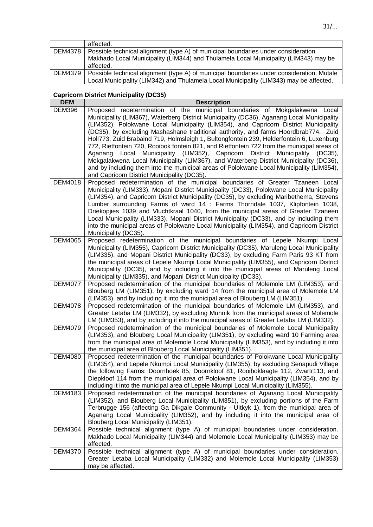|         | affected.                                                                                         |
|---------|---------------------------------------------------------------------------------------------------|
|         | DEM4378   Possible technical alignment (type A) of municipal boundaries under consideration.      |
|         | Makhado Local Municipality (LIM344) and Thulamela Local Municipality (LIM343) may be<br>affected. |
| DEM4379 | Possible technical alignment (type A) of municipal boundaries under consideration. Mutale         |
|         | Local Municipality (LIM342) and Thulamela Local Municipality (LIM343) may be affected.            |

# **Capricorn District Municipality (DC35)**

| <b>DEM</b>     | <b>Description</b>                                                                                                                                                                                                                                                                                                                                                                                                                                                                                                                                                                                                                                                                                                                                                                                                                                                                  |
|----------------|-------------------------------------------------------------------------------------------------------------------------------------------------------------------------------------------------------------------------------------------------------------------------------------------------------------------------------------------------------------------------------------------------------------------------------------------------------------------------------------------------------------------------------------------------------------------------------------------------------------------------------------------------------------------------------------------------------------------------------------------------------------------------------------------------------------------------------------------------------------------------------------|
| <b>DEM396</b>  | Proposed redetermination of the municipal boundaries of Mokgalakwena Local<br>Municipality (LIM367), Waterberg District Municipality (DC36), Aganang Local Municipality<br>(LIM352), Polokwane Local Municipality (LIM354), and Capricorn District Municipality<br>(DC35), by excluding Mashashane traditional authority, and farms Hoordbrab774, Zuid<br>Holl773, Zuid Brabaind 719, Holmsleigh 1, Bultongfontein 239, Helderfontein 6, Luxenburg<br>772, Rietfontein 720, Rooibok fontein 821, and Rietfontein 722 from the municipal areas of<br>Municipality (LIM352), Capricorn District<br>Municipality<br>Aganang<br>Local<br>$(DC35)$ ,<br>Mokgalakwena Local Municipality (LIM367), and Waterberg District Municipality (DC36),<br>and by including them into the municipal areas of Polokwane Local Municipality (LIM354),<br>and Capricorn District Municipality (DC35). |
| <b>DEM4018</b> | Proposed redetermination of the municipal boundaries of Greater Tzaneen Local<br>Municipality (LIM333), Mopani District Municipality (DC33), Polokwane Local Municipality<br>(LIM354), and Capricorn District Municipality (DC35), by excluding Maribethema, Stevens<br>Lumber surrounding Farms of ward 14 : Farms Thorndale 1037, Klipfontein 1038,<br>Driekopjies 1039 and Vluchtkraal 1040, from the municipal areas of Greater Tzaneen<br>Local Municipality (LIM333), Mopani District Municipality (DC33), and by including them<br>into the municipal areas of Polokwane Local Municipality (LIM354), and Capricorn District<br>Municipality (DC35).                                                                                                                                                                                                                         |
| <b>DEM4065</b> | Proposed redetermination of the municipal boundaries of Lepele Nkumpi Local<br>Municipality (LIM355), Capricorn District Municipality (DC35), Maruleng Local Municipality<br>(LIM335), and Mopani District Municipality (DC33), by excluding Farm Paris 93 KT from<br>the municipal areas of Lepele Nkumpi Local Municipality (LIM355), and Capricorn District<br>Municipality (DC35), and by including it into the municipal areas of Maruleng Local<br>Municipality (LIM335), and Mopani District Municipality (DC33).                                                                                                                                                                                                                                                                                                                                                            |
| <b>DEM4077</b> | Proposed redetermination of the municipal boundaries of Molemole LM (LIM353), and<br>Blouberg LM (LIM351), by excluding ward 14 from the municipal area of Molemole LM<br>(LIM353), and by including it into the municipal area of Blouberg LM (LIM351).                                                                                                                                                                                                                                                                                                                                                                                                                                                                                                                                                                                                                            |
| <b>DEM4078</b> | Proposed redetermination of the municipal boundaries of Molemole LM (LIM353), and<br>Greater Letaba LM (LIM332), by excluding Munnik from the municipal areas of Molemole<br>LM (LIM353), and by including it into the municipal areas of Greater Letaba LM (LIM332).                                                                                                                                                                                                                                                                                                                                                                                                                                                                                                                                                                                                               |
| <b>DEM4079</b> | Proposed redetermination of the municipal boundaries of Molemole Local Municipality<br>(LIM353), and Blouberg Local Municipality (LIM351), by excluding ward 10 Farming area<br>from the municipal area of Molemole Local Municipality (LIM353), and by including it into<br>the municipal area of Blouberg Local Municipality (LIM351).                                                                                                                                                                                                                                                                                                                                                                                                                                                                                                                                            |
| <b>DEM4080</b> | Proposed redetermination of the municipal boundaries of Polokwane Local Municipality<br>(LIM354), and Lepele Nkumpi Local Municipality (LIM355), by excluding Senapudi Village<br>the following Farms: Doornhoek 85, Doornkloof 81, Rooiboklaagte 112, Zwartr113, and<br>Diepkloof 114 from the municipal area of Polokwane Local Municipality (LIM354), and by<br>including it into the municipal area of Lepele Nkumpi Local Municipality (LIM355).                                                                                                                                                                                                                                                                                                                                                                                                                               |
| DEM4183        | Proposed redetermination of the municipal boundaries of Aganang Local Municipality<br>(LIM352), and Blouberg Local Municipality (LIM351), by excluding portions of the Farm<br>Terbrugge 156 (affecting Ga Dikgale Community - Ultkyk 1), from the municipal area of<br>Aganang Local Municipality (LIM352), and by including it into the municipal area of<br>Blouberg Local Municipality (LIM351).                                                                                                                                                                                                                                                                                                                                                                                                                                                                                |
| <b>DEM4364</b> | Possible technical alignment (type A) of municipal boundaries under consideration.<br>Makhado Local Municipality (LIM344) and Molemole Local Municipality (LIM353) may be<br>affected.                                                                                                                                                                                                                                                                                                                                                                                                                                                                                                                                                                                                                                                                                              |
| <b>DEM4370</b> | Possible technical alignment (type A) of municipal boundaries under consideration.<br>Greater Letaba Local Municipality (LIM332) and Molemole Local Municipality (LIM353)<br>may be affected.                                                                                                                                                                                                                                                                                                                                                                                                                                                                                                                                                                                                                                                                                       |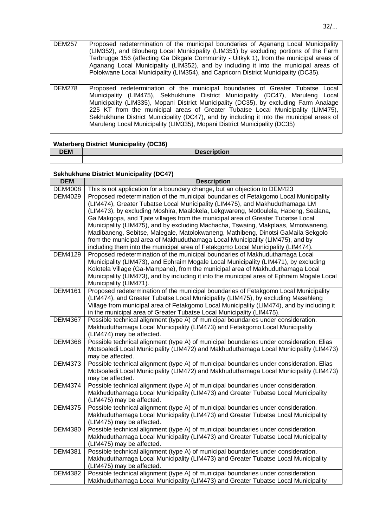| <b>DEM257</b> | Proposed redetermination of the municipal boundaries of Aganang Local Municipality<br>(LIM352), and Blouberg Local Municipality (LIM351) by excluding portions of the Farm<br>Terbrugge 156 (affecting Ga Dikgale Community - Uitkyk 1), from the municipal areas of<br>Aganang Local Municipality (LIM352), and by including it into the municipal areas of<br>Polokwane Local Municipality (LIM354), and Capricorn District Municipality (DC35).                                                                   |
|---------------|----------------------------------------------------------------------------------------------------------------------------------------------------------------------------------------------------------------------------------------------------------------------------------------------------------------------------------------------------------------------------------------------------------------------------------------------------------------------------------------------------------------------|
| <b>DEM278</b> | Proposed redetermination of the municipal boundaries of Greater Tubatse Local<br>Municipality (LIM475), Sekhukhune District Municipality (DC47), Maruleng Local<br>Municipality (LIM335), Mopani District Municipality (DC35), by excluding Farm Analage<br>225 KT from the municipal areas of Greater Tubatse Local Municipality (LIM475),<br>Sekhukhune District Municipality (DC47), and by including it into the municipal areas of<br>Maruleng Local Municipality (LIM335), Mopani District Municipality (DC35) |

# **Waterberg District Municipality (DC36)**

| <b>DEM</b> | <b>Description</b> |
|------------|--------------------|
|            |                    |

# **Sekhukhune District Municipality (DC47)**

| <b>DEM</b>     | <b>Description</b>                                                                                                                                                                                                                                                                                                                                                                                                                                                                                                                                                                                                                                                                           |
|----------------|----------------------------------------------------------------------------------------------------------------------------------------------------------------------------------------------------------------------------------------------------------------------------------------------------------------------------------------------------------------------------------------------------------------------------------------------------------------------------------------------------------------------------------------------------------------------------------------------------------------------------------------------------------------------------------------------|
| <b>DEM4008</b> | This is not application for a boundary change, but an objection to DEM423                                                                                                                                                                                                                                                                                                                                                                                                                                                                                                                                                                                                                    |
| <b>DEM4029</b> | Proposed redetermination of the municipal boundaries of Fetakgomo Local Municipality<br>(LIM474), Greater Tubatse Local Municipality (LIM475), and Makhuduthamaga LM<br>(LIM473), by excluding Moshira, Maalokela, Lekgwareng, Motloulela, Habeng, Sealana,<br>Ga Makgopa, and Tjate villages from the municipal area of Greater Tubatse Local<br>Municipality (LIM475), and by excluding Machacha, Tswaing, Vlakplaas, Mmotwaneng,<br>Madibaneng, Sebitse, Malegale, Matolokwaneng, Mathibeng, Dinotsi GaMaila Sekgolo<br>from the municipal area of Makhuduthamaga Local Municipality (LIM475), and by<br>including them into the municipal area of Fetakgomo Local Municipality (LIM474). |
| <b>DEM4129</b> | Proposed redetermination of the municipal boundaries of Makhuduthamaga Local<br>Municipality (LIM473), and Ephraim Mogale Local Municipality (LIM471), by excluding<br>Kolotela Village (Ga-Mampane), from the municipal area of Makhuduthamaga Local<br>Municipality (LIM473), and by including it into the municipal area of Ephraim Mogale Local<br>Municipality (LIM471).                                                                                                                                                                                                                                                                                                                |
| <b>DEM4161</b> | Proposed redetermination of the municipal boundaries of Fetakgomo Local Municipality<br>(LIM474), and Greater Tubatse Local Municipality (LIM475), by excluding Masehleng<br>Village from municipal area of Fetakgomo Local Municipality (LIM474), and by including it<br>in the municipal area of Greater Tubatse Local Municipality (LIM475).                                                                                                                                                                                                                                                                                                                                              |
| <b>DEM4367</b> | Possible technical alignment (type A) of municipal boundaries under consideration.<br>Makhuduthamaga Local Municipality (LIM473) and Fetakgomo Local Municipality<br>(LIM474) may be affected.                                                                                                                                                                                                                                                                                                                                                                                                                                                                                               |
| <b>DEM4368</b> | Possible technical alignment (type A) of municipal boundaries under consideration. Elias<br>Motsoaledi Local Municipality (LIM472) and Makhuduthamaga Local Municipality (LIM473)<br>may be affected.                                                                                                                                                                                                                                                                                                                                                                                                                                                                                        |
| <b>DEM4373</b> | Possible technical alignment (type A) of municipal boundaries under consideration. Elias<br>Motsoaledi Local Municipality (LIM472) and Makhuduthamaga Local Municipality (LIM473)<br>may be affected.                                                                                                                                                                                                                                                                                                                                                                                                                                                                                        |
| <b>DEM4374</b> | Possible technical alignment (type A) of municipal boundaries under consideration.<br>Makhuduthamaga Local Municipality (LIM473) and Greater Tubatse Local Municipality<br>(LIM475) may be affected.                                                                                                                                                                                                                                                                                                                                                                                                                                                                                         |
| <b>DEM4375</b> | Possible technical alignment (type A) of municipal boundaries under consideration.<br>Makhuduthamaga Local Municipality (LIM473) and Greater Tubatse Local Municipality<br>(LIM475) may be affected.                                                                                                                                                                                                                                                                                                                                                                                                                                                                                         |
| <b>DEM4380</b> | Possible technical alignment (type A) of municipal boundaries under consideration.<br>Makhuduthamaga Local Municipality (LIM473) and Greater Tubatse Local Municipality<br>(LIM475) may be affected.                                                                                                                                                                                                                                                                                                                                                                                                                                                                                         |
| <b>DEM4381</b> | Possible technical alignment (type A) of municipal boundaries under consideration.<br>Makhuduthamaga Local Municipality (LIM473) and Greater Tubatse Local Municipality<br>(LIM475) may be affected.                                                                                                                                                                                                                                                                                                                                                                                                                                                                                         |
| <b>DEM4382</b> | Possible technical alignment (type A) of municipal boundaries under consideration.<br>Makhuduthamaga Local Municipality (LIM473) and Greater Tubatse Local Municipality                                                                                                                                                                                                                                                                                                                                                                                                                                                                                                                      |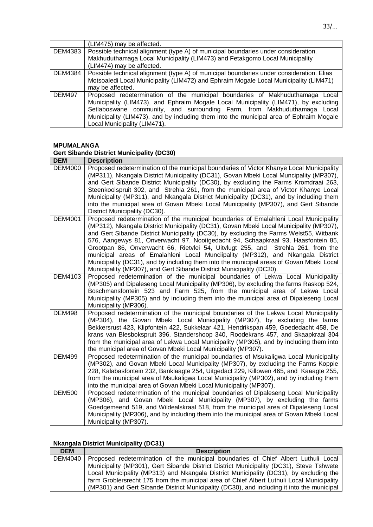|               | (LIM475) may be affected.                                                                |
|---------------|------------------------------------------------------------------------------------------|
| DEM4383       | Possible technical alignment (type A) of municipal boundaries under consideration.       |
|               | Makhuduthamaga Local Municipality (LIM473) and Fetakgomo Local Municipality              |
|               | (LIM474) may be affected.                                                                |
| DEM4384       | Possible technical alignment (type A) of municipal boundaries under consideration. Elias |
|               | Motsoaledi Local Municipality (LIM472) and Ephraim Mogale Local Municipality (LIM471)    |
|               | may be affected.                                                                         |
| <b>DEM497</b> | Proposed redetermination of the municipal boundaries of Makhuduthamaga Local             |
|               | Municipality (LIM473), and Ephraim Mogale Local Municipality (LIM471), by excluding      |
|               | Setlaboswane community, and surrounding Farm, from Makhuduthamaga Local                  |
|               | Municipality (LIM473), and by including them into the municipal area of Ephraim Mogale   |
|               | Local Municipality (LIM471).                                                             |

# **MPUMALANGA**

# **Gert Sibande District Municipality (DC30)**

| <b>DEM</b>     | <b>Description</b>                                                                                                                                                                                                                                                                                                                                                                                                                                                                                                                                                                                                                                                                                         |
|----------------|------------------------------------------------------------------------------------------------------------------------------------------------------------------------------------------------------------------------------------------------------------------------------------------------------------------------------------------------------------------------------------------------------------------------------------------------------------------------------------------------------------------------------------------------------------------------------------------------------------------------------------------------------------------------------------------------------------|
| <b>DEM4000</b> | Proposed redetermination of the municipal boundaries of Victor Khanye Local Municipality<br>(MP311), Nkangala District Municipality (DC31), Govan Mbeki Local Muncipality (MP307),<br>and Gert Sibande District Municipality (DC30), by excluding the Farms Kromdraai 263,<br>Steenkoolspruit 302, and Strehla 261, from the municipal area of Victor Khanye Local<br>Municipality (MP311), and Nkangala District Municipality (DC31), and by including them<br>into the municipal area of Govan Mbeki Local Municipality (MP307), and Gert Sibande                                                                                                                                                        |
|                | District Municipality (DC30).                                                                                                                                                                                                                                                                                                                                                                                                                                                                                                                                                                                                                                                                              |
| <b>DEM4001</b> | Proposed redetermination of the municipal boundaries of Emalahleni Local Municipality<br>(MP312), Nkangala District Municipality (DC31), Govan Mbeki Local Municipality (MP307),<br>and Gert Sibande District Municipality (DC30), by excluding the Farms Welst55, Witbank<br>576, Aangewys 81, Onverwacht 97, Nooitgedacht 94, Schaapkraal 93, Haasfontein 85,<br>Grootpan 86, Onverwacht 66, Rietvlei 54, Uitvlugt 255, and Strehla 261, from the<br>municipal areas of Emalahleni Local Munciipality (MP312), and Nkangala District<br>Municipality (DC31), and by including them into the municipal areas of Govan Mbeki Local<br>Municipality (MP307), and Gert Sibande District Municipality (DC30). |
| <b>DEM4103</b> | Proposed redetermination of the municipal boundaries of Lekwa Local Municipality<br>(MP305) and Dipaleseng Local Municipality (MP306), by excluding the farms Raskop 524,<br>Boschmansfontein 523 and Farm 525, from the municipal area of Lekwa Local<br>Municipality (MP305) and by including them into the municipal area of Dipaleseng Local<br>Municipality (MP306).                                                                                                                                                                                                                                                                                                                                  |
| <b>DEM498</b>  | Proposed redetermination of the municipal boundaries of the Lekwa Local Municipality<br>(MP304), the Govan Mbeki Local Municipality (MP307), by excluding the farms<br>Bekkersrust 423, Klipfontein 422, Sukkelaar 421, Hendrikspan 459, Goededacht 458, De<br>krans van Blesbokspruit 396, Standershoop 340, Roodekrans 457, and Skaapkraal 304<br>from the municipal area of Lekwa Local Municipality (MP305), and by including them into<br>the municipal area of Govan Mbeki Local Municipality (MP307).                                                                                                                                                                                               |
| <b>DEM499</b>  | Proposed redetermination of the municipal boundaries of Msukaligwa Local Municipality<br>(MP302), and Govan Mbeki Local Municipality (MP307), by excluding the Farms Koppie<br>228, Kalabasfontein 232, Banklaagte 254, Uitgedact 229, Killowen 465, and Kaaagte 255,<br>from the municipal area of Msukaligwa Local Municipality (MP302), and by including them<br>into the municipal area of Govan Mbeki Local Municipality (MP307).                                                                                                                                                                                                                                                                     |
| <b>DEM500</b>  | Proposed redetermination of the municipal boundaries of Dipaleseng Local Municipality<br>(MP306), and Govan Mbeki Local Municipality (MP307), by excluding the farms<br>Goedgemeend 519, and Wildealskraal 518, from the municipal area of Dipaleseng Local<br>Municipality (MP306), and by including them into the municipal area of Govan Mbeki Local<br>Municipality (MP307).                                                                                                                                                                                                                                                                                                                           |

# **Nkangala District Municipality (DC31)**

| <b>DEM</b> | <b>Description</b>                                                                         |
|------------|--------------------------------------------------------------------------------------------|
| DEM4040    | Proposed redetermination of the municipal boundaries of Chief Albert Luthuli Local         |
|            | Municipality (MP301), Gert Sibande District District Municipality (DC31), Steve Tshwete    |
|            | Local Municipality (MP313) and Nkangala District Municipality (DC31), by excluding the     |
|            | farm Groblersrecht 175 from the municipal area of Chief Albert Luthuli Local Municipality  |
|            | (MP301) and Gert Sibande District Municipality (DC30), and including it into the municipal |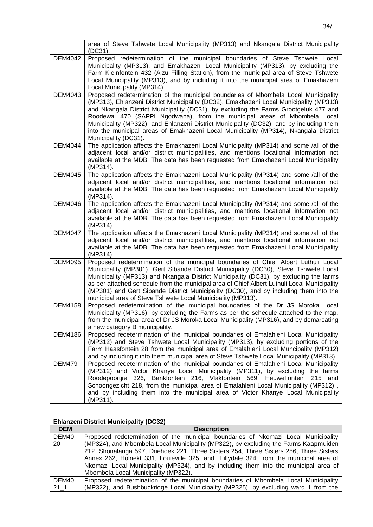|                | area of Steve Tshwete Local Municipality (MP313) and Nkangala District Municipality<br>(DC31).                                                                                                                                                                                                                                                                                                                                                                                                                                                                |
|----------------|---------------------------------------------------------------------------------------------------------------------------------------------------------------------------------------------------------------------------------------------------------------------------------------------------------------------------------------------------------------------------------------------------------------------------------------------------------------------------------------------------------------------------------------------------------------|
| <b>DEM4042</b> | Proposed redetermination of the municipal boundaries of Steve Tshwete Local<br>Municipality (MP313), and Emakhazeni Local Municipality (MP313), by excluding the<br>Farm Kleinfontein 432 (Alzu Filling Station), from the municipal area of Steve Tshwete<br>Local Municipality (MP313), and by including it into the municipal area of Emakhazeni<br>Local Municipality (MP314).                                                                                                                                                                            |
| DEM4043        | Proposed redetermination of the municipal boundaries of Mbombela Local Municipality<br>(MP313), Ehlanzeni District Municipality (DC32), Emakhazeni Local Municipality (MP313)<br>and Nkangala District Municipality (DC31), by excluding the Farms Grootgeluk 477 and<br>Roodewal 470 (SAPPI Ngodwana), from the municipal areas of Mbombela Local<br>Municipality (MP322), and Ehlanzeni District Municipality (DC32), and by including them<br>into the municipal areas of Emakhazeni Local Municipality (MP314), Nkangala District<br>Municipality (DC31). |
| <b>DEM4044</b> | The application affects the Emakhazeni Local Municipality (MP314) and some /all of the<br>adjacent local and/or district municipalities, and mentions locational information not<br>available at the MDB. The data has been requested from Emakhazeni Local Municipality<br>(MP314).                                                                                                                                                                                                                                                                          |
| <b>DEM4045</b> | The application affects the Emakhazeni Local Municipality (MP314) and some /all of the<br>adjacent local and/or district municipalities, and mentions locational information not<br>available at the MDB. The data has been requested from Emakhazeni Local Municipality<br>(MP314).                                                                                                                                                                                                                                                                          |
| <b>DEM4046</b> | The application affects the Emakhazeni Local Municipality (MP314) and some /all of the<br>adjacent local and/or district municipalities, and mentions locational information not<br>available at the MDB. The data has been requested from Emakhazeni Local Municipality<br>(MP314).                                                                                                                                                                                                                                                                          |
| <b>DEM4047</b> | The application affects the Emakhazeni Local Municipality (MP314) and some /all of the<br>adjacent local and/or district municipalities, and mentions locational information not<br>available at the MDB. The data has been requested from Emakhazeni Local Municipality<br>(MP314).                                                                                                                                                                                                                                                                          |
| <b>DEM4095</b> | Proposed redetermination of the municipal boundaries of Chief Albert Luthuli Local<br>Municipality (MP301), Gert Sibande District Municipality (DC30), Steve Tshwete Local<br>Municipality (MP313) and Nkangala District Municipality (DC31), by excluding the farms<br>as per attached schedule from the municipal area of Chief Albert Luthuli Local Municipality<br>(MP301) and Gert Sibande District Municipality (DC30), and by including them into the<br>municipal area of Steve Tshwete Local Municipality (MP313).                                   |
| <b>DEM4158</b> | Proposed redetermination of the municipal boundaries of the Dr JS Moroka Local<br>Municipality (MP316), by excluding the Farms as per the schedule attached to the map,<br>from the municipal area of Dr JS Moroka Local Municipality (MP316), and by demarcating<br>a new category B municipality.                                                                                                                                                                                                                                                           |
| <b>DEM4186</b> | Proposed redetermination of the municipal boundaries of Emalahleni Local Municipality<br>(MP312) and Steve Tshwete Local Municipality (MP313), by excluding portions of the<br>Farm Haasfontein 28 from the municipal area of Emalahleni Local Muncipality (MP312)<br>and by including it into them municipal area of Steve Tshwete Local Municipality (MP313).                                                                                                                                                                                               |
| <b>DEM479</b>  | Proposed redetermination of the municipal boundaries of Emalahleni Local Municipality<br>(MP312) and Victor Khanye Local Municipality (MP311), by excluding the farms<br>Roodepoortjie 326, Bankfontein 216, Vlakfontein 569, Heuwelfontein<br>215<br>and<br>Schoongezicht 218, from the municipal area of Emalahleni Local Municipality (MP312),<br>and by including them into the municipal area of Victor Khanye Local Municipality<br>(MP311).                                                                                                            |

# **Ehlanzeni District Municipality (DC32)**

| <b>DEM</b>      | <b>Description</b>                                                                     |
|-----------------|----------------------------------------------------------------------------------------|
| DEM40           | Proposed redetermination of the municipal boundaries of Nkomazi Local Municipality     |
| -20             | (MP324), and Mbombela Local Municipality (MP322), by excluding the Farms Kaapmuiden    |
|                 | 212, Shonalanga 597, Driehoek 221, Three Sisters 254, Three Sisters 256, Three Sisters |
|                 | Annex 262, Holnekt 331, Louieville 325, and Lillydale 324, from the municipal area of  |
|                 | Nkomazi Local Municipality (MP324), and by including them into the municipal area of   |
|                 | Mbombela Local Municipality (MP322).                                                   |
| DEM40           | Proposed redetermination of the municipal boundaries of Mbombela Local Municipality    |
| 21 <sub>1</sub> | (MP322), and Bushbuckridge Local Municipality (MP325), by excluding ward 1 from the    |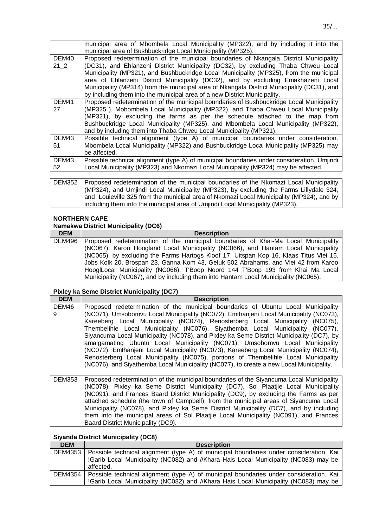|              | municipal area of Mbombela Local Municipality (MP322), and by including it into the<br>municipal area of Bushbuckridge Local Municipality (MP325).                                                                                                                                                                                                                                                                                                                                                                                     |
|--------------|----------------------------------------------------------------------------------------------------------------------------------------------------------------------------------------------------------------------------------------------------------------------------------------------------------------------------------------------------------------------------------------------------------------------------------------------------------------------------------------------------------------------------------------|
| DEM40<br>212 | Proposed redetermination of the municipal boundaries of Nkangala District Municipality<br>(DC31), and Ehlanzeni District Municipality (DC32), by excluding Thaba Chweu Local<br>Municipality (MP321), and Bushbuckridge Local Municipality (MP325), from the municipal<br>area of Ehlanzeni District Municipality (DC32), and by excluding Emakhazeni Local<br>Municipality (MP314) from the municipal area of Nkangala District Municipality (DC31), and<br>by including them into the municipal area of a new District Municipality. |
| DEM41<br>27  | Proposed redetermination of the municipal boundaries of Bushbuckridge Local Municipality<br>(MP325), Mobombela Local Municipality (MP322), and Thaba Chweu Local Municipality<br>(MP321), by excluding the farms as per the schedule attached to the map from<br>Bushbuckridge Local Municipality (MP325), and Mbombela Local Municipality (MP322),<br>and by including them into Thaba Chweu Local Municipality (MP321).                                                                                                              |
| DEM43<br>51  | Possible technical alignment (type A) of municipal boundaries under consideration.<br>Mbombela Local Municipality (MP322) and Bushbuckridge Local Municipality (MP325) may<br>be affected.                                                                                                                                                                                                                                                                                                                                             |
| DEM43<br>52  | Possible technical alignment (type A) of municipal boundaries under consideration. Umjindi<br>Local Municipality (MP323) and Nkomazi Local Municipality (MP324) may be affected.                                                                                                                                                                                                                                                                                                                                                       |

| DEM352   Proposed redetermination of the municipal boundaries of the Nkomazi Local Municipality |
|-------------------------------------------------------------------------------------------------|
| (MP324), and Umjindi Local Municipality (MP323), by excluding the Farms Lillydale 324,          |
| and Louieville 325 from the municipal area of Nkomazi Local Municipality (MP324), and by        |
| including them into the municipal area of Umjindi Local Municipality (MP323).                   |

#### **NORTHERN CAPE**

## **Namakwa District Municipality (DC6)**

| <b>DEM</b> | <b>Description</b>                                                                          |
|------------|---------------------------------------------------------------------------------------------|
|            | DEM496   Proposed redetermination of the municipal boundaries of Khai-Ma Local Municipality |
|            | (NC067), Karoo Hoogland Local Municipality (NC066), and Hantam Local Municipality           |
|            | (NC065), by excluding the Farms Hartogs Kloof 17, Uitspan Kop 16, Klaas Titus Vlei 15,      |
|            | Jobs Kolk 20, Brospan 23, Ganna Kom 43, Geluk 502 Abrahams, and Vlei 42 from Karoo          |
|            | HooglLocal Municipality (NC066), T'Boop Noord 144 T'Boop 193 from Khai Ma Local             |
|            | Municipality (NC067), and by including them into Hantam Local Municipality (NC065).         |

#### **Pixley ka Seme District Municipality (DC7)**

| <b>DEM</b> | <b>Description</b>                                                                       |
|------------|------------------------------------------------------------------------------------------|
| DEM46      | Proposed redetermination of the municipal boundaries of Ubuntu Local Municipality        |
| 9          | (NC071), Umsobomvu Local Municipality (NC072), Emthanjeni Local Municipality (NC073),    |
|            | Kareeberg Local Municipality (NC074), Renosterberg Local Municipality (NC075),           |
|            | Thembelihle Local Municipality (NC076), Siyathemba Local Municipality (NC077),           |
|            | Siyancuma Local Municipality (NC078), and Pixley ka Seme District Municipality (DC7), by |
|            | amalgamating Ubuntu Local Municipality (NC071), Umsobomvu Local Municipality             |
|            | (NC072), Emthanjeni Local Municipality (NC073), Kareeberg Local Municipality (NC074),    |
|            | Renosterberg Local Municipality (NC075), portions of Thembelihle Local Municipality      |
|            | (NC076), and Siyathemba Local Municipality (NC077), to create a new Local Municipality.  |

DEM353 Proposed redetermination of the municipal boundaries of the Siyancuma Local Municipality (NC078), Pixley ka Seme District Municipality (DC7), Sol Plaatjie Local Municipality (NC091), and Frances Baard District Municipality (DC9), by excluding the Farms as per attached schedule (the town of Campbell), from the municipal areas of Siyancuma Local Municipality (NC078), and Pixley ka Seme District Municipality (DC7), and by including them into the municipal areas of Sol Plaatjie Local Municipality (NC091), and Frances Baard District Municipality (DC9).

#### **Siyanda District Municipality (DC8)**

| <b>DEM</b> | <b>Description</b>                                                                     |
|------------|----------------------------------------------------------------------------------------|
| DEM4353    | Possible technical alignment (type A) of municipal boundaries under consideration. Kai |
|            | !Garib Local Municipality (NC082) and //Khara Hais Local Municipality (NC083) may be   |
|            | affected.                                                                              |
| DEM4354    | Possible technical alignment (type A) of municipal boundaries under consideration. Kai |
|            | !Garib Local Municipality (NC082) and //Khara Hais Local Municipality (NC083) may be   |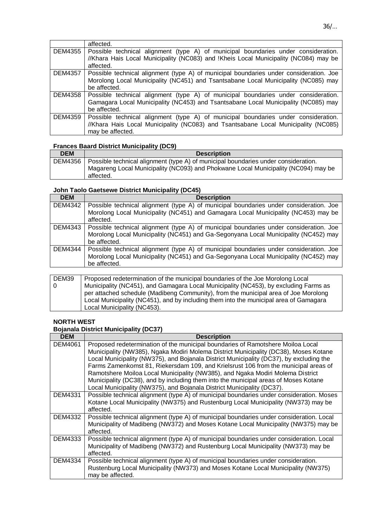|                | affected.                                                                              |
|----------------|----------------------------------------------------------------------------------------|
| DEM4355        | Possible technical alignment (type A) of municipal boundaries under consideration.     |
|                | //Khara Hais Local Municipality (NC083) and !Kheis Local Municipality (NC084) may be   |
|                | affected.                                                                              |
| <b>DEM4357</b> | Possible technical alignment (type A) of municipal boundaries under consideration. Joe |
|                | Morolong Local Municipality (NC451) and Tsantsabane Local Municipality (NC085) may     |
|                | be affected.                                                                           |
| DEM4358        | Possible technical alignment (type A) of municipal boundaries under consideration.     |
|                | Gamagara Local Municipality (NC453) and Tsantsabane Local Municipality (NC085) may     |
|                | be affected.                                                                           |
| <b>DEM4359</b> | Possible technical alignment (type A) of municipal boundaries under consideration.     |
|                | //Khara Hais Local Municipality (NC083) and Tsantsabane Local Municipality (NC085)     |
|                | may be affected.                                                                       |

#### **Frances Baard District Municipality (DC9)**

| <b>Description</b>                                                                              |
|-------------------------------------------------------------------------------------------------|
| DEM4356   Possible technical alignment (type A) of municipal boundaries under consideration.    |
| Magareng Local Municipality (NC093) and Phokwane Local Municipality (NC094) may be<br>affected. |
|                                                                                                 |

#### **John Taolo Gaetsewe District Municipality (DC45)**

| <b>DEM</b>     | <b>Description</b>                                                                     |
|----------------|----------------------------------------------------------------------------------------|
| <b>DEM4342</b> | Possible technical alignment (type A) of municipal boundaries under consideration. Joe |
|                | Morolong Local Municipality (NC451) and Gamagara Local Municipality (NC453) may be     |
|                | affected.                                                                              |
| DEM4343        | Possible technical alignment (type A) of municipal boundaries under consideration. Joe |
|                | Morolong Local Municipality (NC451) and Ga-Segonyana Local Municipality (NC452) may    |
|                | be affected.                                                                           |
| <b>DEM4344</b> | Possible technical alignment (type A) of municipal boundaries under consideration. Joe |
|                | Morolong Local Municipality (NC451) and Ga-Segonyana Local Municipality (NC452) may    |
|                | be affected.                                                                           |
|                |                                                                                        |

| DEM39 | Proposed redetermination of the municipal boundaries of the Joe Morolong Local        |
|-------|---------------------------------------------------------------------------------------|
| 0     | Municipality (NC451), and Gamagara Local Municipality (NC453), by excluding Farms as  |
|       | per attached schedule (Madibeng Community), from the municipal area of Joe Morolong   |
|       | Local Municipality (NC451), and by including them into the municipal area of Gamagara |
|       | Local Municipality (NC453).                                                           |

### **NORTH WEST**

#### **Bojanala District Municipality (DC37)**

| <b>DEM</b>     | <b>Description</b>                                                                       |
|----------------|------------------------------------------------------------------------------------------|
| DEM4061        | Proposed redetermination of the municipal boundaries of Ramotshere Moiloa Local          |
|                | Municipality (NW385), Ngaka Modiri Molema District Municipality (DC38), Moses Kotane     |
|                | Local Municipality (NW375), and Bojanala District Municipality (DC37), by excluding the  |
|                | Farms Zamenkomst 81, Riekersdam 109, and Krielsrust 106 from the municipal areas of      |
|                | Ramotshere Moiloa Local Municipality (NW385), and Ngaka Modiri Molema District           |
|                | Municipality (DC38), and by including them into the municipal areas of Moses Kotane      |
|                | Local Municipality (NW375), and Bojanala District Municipality (DC37).                   |
| <b>DEM4331</b> | Possible technical alignment (type A) of municipal boundaries under consideration. Moses |
|                | Kotane Local Municipality (NW375) and Rustenburg Local Municipality (NW373) may be       |
|                | affected.                                                                                |
| DEM4332        | Possible technical alignment (type A) of municipal boundaries under consideration. Local |
|                | Municipality of Madibeng (NW372) and Moses Kotane Local Municipality (NW375) may be      |
|                | affected.                                                                                |
| DEM4333        | Possible technical alignment (type A) of municipal boundaries under consideration. Local |
|                | Municipality of Madibeng (NW372) and Rustenburg Local Municipality (NW373) may be        |
|                | affected.                                                                                |
| DEM4334        | Possible technical alignment (type A) of municipal boundaries under consideration.       |
|                | Rustenburg Local Municipality (NW373) and Moses Kotane Local Municipality (NW375)        |
|                | may be affected.                                                                         |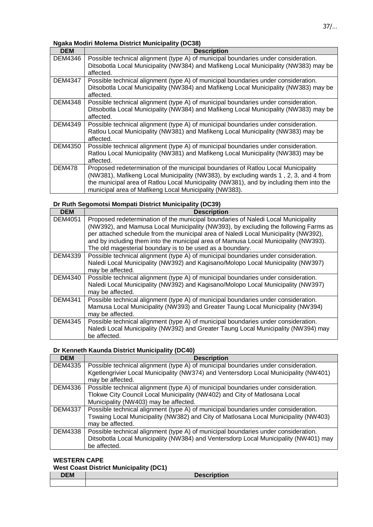### **Ngaka Modiri Molema District Municipality (DC38)**

| <b>DEM</b>     | <b>Description</b>                                                                                                                                                                                                                                                                                                             |
|----------------|--------------------------------------------------------------------------------------------------------------------------------------------------------------------------------------------------------------------------------------------------------------------------------------------------------------------------------|
| DEM4346        | Possible technical alignment (type A) of municipal boundaries under consideration.<br>Ditsobotla Local Municipality (NW384) and Mafikeng Local Municipality (NW383) may be<br>affected.                                                                                                                                        |
| <b>DEM4347</b> | Possible technical alignment (type A) of municipal boundaries under consideration.<br>Ditsobotla Local Municipality (NW384) and Mafikeng Local Municipality (NW383) may be<br>affected.                                                                                                                                        |
| DEM4348        | Possible technical alignment (type A) of municipal boundaries under consideration.<br>Ditsobotla Local Municipality (NW384) and Mafikeng Local Municipality (NW383) may be<br>affected.                                                                                                                                        |
| DEM4349        | Possible technical alignment (type A) of municipal boundaries under consideration.<br>Ratlou Local Municipality (NW381) and Mafikeng Local Municipality (NW383) may be<br>affected.                                                                                                                                            |
| DEM4350        | Possible technical alignment (type A) of municipal boundaries under consideration.<br>Ratlou Local Municipality (NW381) and Mafikeng Local Municipality (NW383) may be<br>affected.                                                                                                                                            |
| <b>DEM478</b>  | Proposed redetermination of the municipal boundaries of Ratlou Local Municipality<br>(NW381), Mafikeng Local Municipality (NW383), by excluding wards 1, 2, 3, and 4 from<br>the municipal area of Ratlou Local Municipality (NW381), and by including them into the<br>municipal area of Mafikeng Local Municipality (NW383). |

#### **Dr Ruth Segomotsi Mompati District Municipality (DC39)**

| <b>DEM</b>     | <b>Description</b>                                                                                                                                                                         |
|----------------|--------------------------------------------------------------------------------------------------------------------------------------------------------------------------------------------|
| DEM4051        | Proposed redetermination of the municipal boundaries of Naledi Local Municipality<br>(NW392), and Mamusa Local Municipality (NW393), by excluding the following Farms as                   |
|                | per attached schedule from the municipal area of Naledi Local Municipality (NW392),<br>and by including them into the municipal area of Mamusa Local Municipality (NW393).                 |
|                | The old magesterial boundary is to be used as a boundary.                                                                                                                                  |
| DEM4339        | Possible technical alignment (type A) of municipal boundaries under consideration.<br>Naledi Local Municipality (NW392) and Kagisano/Molopo Local Municipality (NW397)<br>may be affected. |
| DEM4340        | Possible technical alignment (type A) of municipal boundaries under consideration.<br>Naledi Local Municipality (NW392) and Kagisano/Molopo Local Municipality (NW397)<br>may be affected. |
| <b>DEM4341</b> | Possible technical alignment (type A) of municipal boundaries under consideration.<br>Mamusa Local Municipality (NW393) and Greater Taung Local Municipality (NW394)<br>may be affected.   |
| <b>DEM4345</b> | Possible technical alignment (type A) of municipal boundaries under consideration.<br>Naledi Local Municipality (NW392) and Greater Taung Local Municipality (NW394) may<br>be affected.   |

#### **Dr Kenneth Kaunda District Municipality (DC40)**

| <b>DEM</b>     | <b>Description</b>                                                                   |
|----------------|--------------------------------------------------------------------------------------|
| <b>DEM4335</b> | Possible technical alignment (type A) of municipal boundaries under consideration.   |
|                | Kgetlengrivier Local Municipality (NW374) and Ventersdorp Local Municipality (NW401) |
|                | may be affected.                                                                     |
| <b>DEM4336</b> | Possible technical alignment (type A) of municipal boundaries under consideration.   |
|                | Tlokwe City Council Local Municipality (NW402) and City of Matlosana Local           |
|                | Municipality (NW403) may be affected.                                                |
| <b>DEM4337</b> | Possible technical alignment (type A) of municipal boundaries under consideration.   |
|                | Tswaing Local Municipality (NW382) and City of Matlosana Local Municipality (NW403)  |
|                | may be affected.                                                                     |
| <b>DEM4338</b> | Possible technical alignment (type A) of municipal boundaries under consideration.   |
|                | Ditsobotla Local Municipality (NW384) and Ventersdorp Local Municipality (NW401) may |
|                | be affected.                                                                         |
|                |                                                                                      |

#### **WESTERN CAPE West Coast District Municipality (DC1)**

| <b>Trest Coast District Municipality (DCT)</b> |                    |
|------------------------------------------------|--------------------|
| <b>DEM</b>                                     | <b>Description</b> |
|                                                |                    |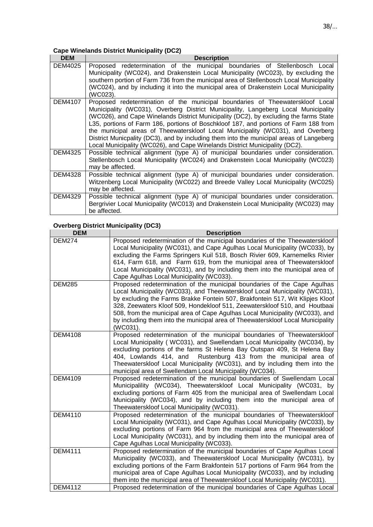## **Cape Winelands District Municipality (DC2)**

| <b>DEM</b>     | <b>Description</b>                                                                                                                                                                                                                                                                                                                                                                                                                                                                                                                                                                                                |
|----------------|-------------------------------------------------------------------------------------------------------------------------------------------------------------------------------------------------------------------------------------------------------------------------------------------------------------------------------------------------------------------------------------------------------------------------------------------------------------------------------------------------------------------------------------------------------------------------------------------------------------------|
| DEM4025        | Proposed redetermination of the municipal boundaries of Stellenbosch Local<br>Municipality (WC024), and Drakenstein Local Municipality (WC023), by excluding the<br>southern portion of Farm 736 from the municipal area of Stellenbosch Local Municipality<br>(WC024), and by including it into the municipal area of Drakenstein Local Municipality<br>(WC023).                                                                                                                                                                                                                                                 |
| <b>DEM4107</b> | Proposed redetermination of the municipal boundaries of Theewaterskloof Local<br>Municipality (WC031), Overberg District Municipality, Langeberg Local Municipality<br>(WC026), and Cape Winelands District Municipality (DC2), by excluding the farms State<br>L35, portions of Farm 186, portions of Boschkloof 187, and portions of Farm 188 from<br>the municipal areas of Theewaterskloof Local Municipality (WC031), and Overberg<br>District Municpality (DC3), and by including them into the municipal areas of Langeberg<br>Local Municipality (WC026), and Cape Winelands District Municipality (DC2). |
| DEM4325        | Possible technical alignment (type A) of municipal boundaries under consideration.<br>Stellenbosch Local Municipality (WC024) and Drakenstein Local Municipality (WC023)<br>may be affected.                                                                                                                                                                                                                                                                                                                                                                                                                      |
| <b>DEM4328</b> | Possible technical alignment (type A) of municipal boundaries under consideration.<br>Witzenberg Local Municipality (WC022) and Breede Valley Local Municipality (WC025)<br>may be affected.                                                                                                                                                                                                                                                                                                                                                                                                                      |
| DEM4329        | Possible technical alignment (type A) of municipal boundaries under consideration.<br>Bergrivier Local Municipality (WC013) and Drakenstein Local Municipality (WC023) may<br>be affected.                                                                                                                                                                                                                                                                                                                                                                                                                        |

# **Overberg District Municipality (DC3)**

| <b>DEM</b>     | <b>Description</b>                                                                                                                                                                                                                                                                                                                                                                                                                                                                                    |
|----------------|-------------------------------------------------------------------------------------------------------------------------------------------------------------------------------------------------------------------------------------------------------------------------------------------------------------------------------------------------------------------------------------------------------------------------------------------------------------------------------------------------------|
| <b>DEM274</b>  | Proposed redetermination of the municipal boundaries of the Theewaterskloof<br>Local Municipality (WC031), and Cape Agulhas Local Municipality (WC033), by<br>excluding the Farms Springers Kuil 518, Bosch Rivier 609, Karnemelks Rivier                                                                                                                                                                                                                                                             |
|                | 614, Farm 618, and Farm 619, from the municipal area of Theewaterskloof<br>Local Municipality (WC031), and by including them into the municipal area of<br>Cape Agulhas Local Municipality (WC033).                                                                                                                                                                                                                                                                                                   |
| <b>DEM285</b>  | Proposed redetermination of the municipal boundaries of the Cape Agulhas<br>Local Municipality (WC033), and Theewaterskloof Local Municipality (WC031),<br>by excluding the Farms Brakke Fontein 507, Brakfontein 517, Wit Klipjes Kloof<br>328, Zeewaters Kloof 509, Hondekloof 511, Zeewaterskloof 510, and Houtbaai<br>508, from the municipal area of Cape Agulhas Local Municipality (WC033), and<br>by including them into the municipal area of Theewaterskloof Local Municipality<br>(WC031). |
| <b>DEM4108</b> | Proposed redetermination of the municipal boundaries of Theewaterskloof<br>Local Municipality (WC031), and Swellendam Local Municipality (WC034), by<br>excluding portions of the farms St Helena Bay Outspan 409, St Helena Bay<br>404, Lowlands 414, and<br>Rustenburg 413 from the municipal area of<br>Theewaterskloof Local Municipality (WC031), and by including them into the<br>municipal area of Swellendam Local Municipality (WC034).                                                     |
| <b>DEM4109</b> | Proposed redetermination of the municipal boundaries of Swellendam Local<br>Municipalility (WC034), Theewaterskloof Local Municipality (WC031, by<br>excluding portions of Farm 405 from the municipal area of Swellendam Local<br>Municipality (WC034), and by including them into the municipal area of<br>Theewaterskloof Local Municipality (WC031).                                                                                                                                              |
| <b>DEM4110</b> | Proposed redetermination of the municipal boundaries of Theewaterskloof<br>Local Municipality (WC031), and Cape Agulhas Local Municipality (WC033), by<br>excluding portions of Farm 964 from the municipal area of Theewaterskloof<br>Local Municipality (WC031), and by including them into the municipal area of<br>Cape Agulhas Local Municipality (WC033).                                                                                                                                       |
| <b>DEM4111</b> | Proposed redetermination of the municipal boundaries of Cape Agulhas Local<br>Municipality (WC033), and Theewaterskloof Local Municipality (WC031), by<br>excluding portions of the Farm Brakfontein 517 portions of Farm 964 from the<br>municipal area of Cape Agulhas Local Municipality (WC033), and by including<br>them into the municipal area of Theewaterskloof Local Municipality (WC031).                                                                                                  |
| <b>DEM4112</b> | Proposed redetermination of the municipal boundaries of Cape Agulhas Local                                                                                                                                                                                                                                                                                                                                                                                                                            |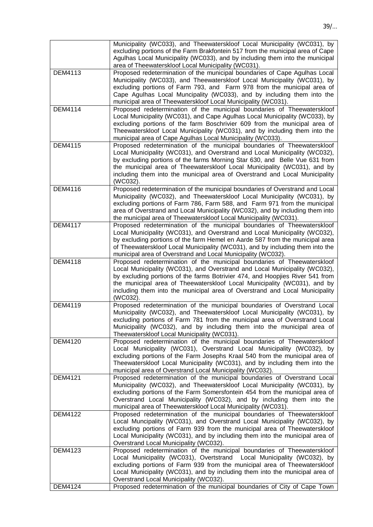|                | Municipality (WC033), and Theewaterskloof Local Municipality (WC031), by<br>excluding portions of the Farm Brakfontein 517 from the municipal area of Cape<br>Agulhas Local Municipality (WC033), and by including them into the municipal<br>area of Theewaterskloof Local Municipality (WC031).                                                                                                             |
|----------------|---------------------------------------------------------------------------------------------------------------------------------------------------------------------------------------------------------------------------------------------------------------------------------------------------------------------------------------------------------------------------------------------------------------|
| <b>DEM4113</b> | Proposed redetermination of the municipal boundaries of Cape Agulhas Local<br>Municipality (WC033), and Theewaterskloof Local Municipality (WC031), by<br>excluding portions of Farm 793, and Farm 978 from the municipal area of<br>Cape Agulhas Local Muncipality (WC033), and by including them into the                                                                                                   |
|                | municipal area of Theewaterskloof Local Municipality (WC031).                                                                                                                                                                                                                                                                                                                                                 |
| <b>DEM4114</b> | Proposed redetermination of the municipal boundaries of Theewaterskloof<br>Local Municipality (WC031), and Cape Agulhas Local Municipality (WC033), by<br>excluding portions of the farm Boschrivier 609 from the municipal area of<br>Theewaterskloof Local Municipality (WC031), and by including them into the<br>municipal area of Cape Agulhas Local Municipality (WC033).                               |
| <b>DEM4115</b> | Proposed redetermination of the municipal boundaries of Theewaterskloof<br>Local Municipality (WC031), and Overstrand and Local Municipality (WC032),<br>by excluding portions of the farms Morning Star 630, and Belle Vue 631 from<br>the municipal area of Theewaterskloof Local Municipality (WC031), and by<br>including them into the municipal area of Overstrand and Local Municipality<br>(WC032).   |
| <b>DEM4116</b> | Proposed redetermination of the municipal boundaries of Overstrand and Local<br>Municipality (WC032), and Theewaterskloof Local Municipality (WC031), by<br>excluding portions of Farm 786, Farm 588, and Farm 971 from the municipal<br>area of Overstrand and Local Municipality (WC032), and by including them into<br>the municipal area of Theewaterskloof Local Municipality (WC031).                   |
| <b>DEM4117</b> | Proposed redetermination of the municipal boundaries of Theewaterskloof<br>Local Municipality (WC031), and Overstrand and Local Municipality (WC032),<br>by excluding portions of the farm Hemel en Aarde 587 from the municipal area<br>of Theewaterskloof Local Municipality (WC031), and by including them into the<br>municipal area of Overstrand and Local Municipality (WC032).                        |
| <b>DEM4118</b> | Proposed redetermination of the municipal boundaries of Theewaterskloof<br>Local Municipality (WC031), and Overstrand and Local Municipality (WC032),<br>by excluding portions of the farms Botrivier 474, and Hoopjies River 541 from<br>the municipal area of Theewaterskloof Local Municipality (WC031), and by<br>including them into the municipal area of Overstrand and Local Municipality<br>(WC032). |
| <b>DEM4119</b> | Proposed redetermination of the municipal boundaries of Overstrand Local<br>Municipality (WC032), and Theewaterskloof Local Municipality (WC031), by<br>excluding portions of Farm 781 from the municipal area of Overstrand Local<br>Municipality (WC032), and by including them into the municipal area of<br>Theewaterskloof Local Municipality (WC031).                                                   |
| <b>DEM4120</b> | Proposed redetermination of the municipal boundaries of Theewaterskloof<br>Local Municipality (WC031), Overstrand Local Municipality (WC032), by<br>excluding portions of the Farm Josephs Kraal 540 from the municipal area of<br>Theewaterskloof Local Municipality (WC031), and by including them into the<br>municipal area of Overstrand Local Municipality (WC032).                                     |
| <b>DEM4121</b> | Proposed redetermination of the municipal boundaries of Overstrand Local<br>Municipality (WC032), and Theewaterskloof Local Municipality (WC031), by<br>excluding portions of the Farm Somersfontein 454 from the municipal area of<br>Overstrand Local Municipality (WC032), and by including them into the<br>municipal area of Theewaterskloof Local Municipality (WC031).                                 |
| <b>DEM4122</b> | Proposed redetermination of the municipal boundaries of Theewaterskloof<br>Local Muncipality (WC031), and Overstrand Local Municipality (WC032), by<br>excluding portions of Farm 939 from the municipal area of Theewaterskloof<br>Local Municipality (WC031), and by including them into the municipal area of<br>Overstrand Local Municipality (WC032).                                                    |
| DEM4123        | Proposed redetermination of the municipal boundaries of Theewaterskloof<br>Local Municipality (WC031), Overtstrand Local Municipality (WC032), by<br>excluding portions of Farm 939 from the municipal area of Theewaterskloof<br>Local Municipality (WC031), and by including them into the municipal area of<br>Overstrand Local Municipality (WC032).                                                      |
| <b>DEM4124</b> | Proposed redetermination of the municipal boundaries of City of Cape Town                                                                                                                                                                                                                                                                                                                                     |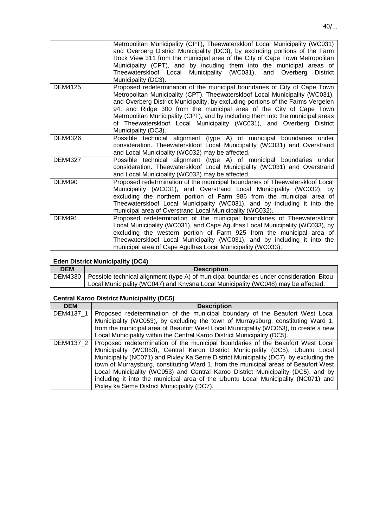|                | Metropolitan Municipality (CPT), Theewaterskloof Local Municipality (WC031)<br>and Overberg District Municipality (DC3), by excluding portions of the Farm<br>Rock View 311 from the municipal area of the City of Cape Town Metropolitan<br>Municipality (CPT), and by incuding them into the municipal areas of<br>Theewaterskloof Local Municipality (WC031), and Overberg<br><b>District</b><br>Municipality (DC3).                                                                              |
|----------------|------------------------------------------------------------------------------------------------------------------------------------------------------------------------------------------------------------------------------------------------------------------------------------------------------------------------------------------------------------------------------------------------------------------------------------------------------------------------------------------------------|
| <b>DEM4125</b> | Proposed redetermination of the municipal boundaries of City of Cape Town<br>Metropolitan Municipality (CPT), Theewaterskloof Local Municipality (WC031),<br>and Overberg District Municipality, by excluding portions of the Farms Vergelen<br>94, and Ridge 300 from the municipal area of the City of Cape Town<br>Metropolitan Municipality (CPT), and by including them into the municipal areas<br>of Theewaterskloof Local Municipality (WC031), and Overberg District<br>Municipality (DC3). |
| <b>DEM4326</b> | Possible technical alignment (type A) of municipal boundaries under<br>consideration. Theewaterskloof Local Municipality (WC031) and Overstrand<br>and Local Municipality (WC032) may be affected.                                                                                                                                                                                                                                                                                                   |
| <b>DEM4327</b> | Possible technical alignment (type A) of municipal boundaries under<br>consideration. Theewaterskloof Local Municipality (WC031) and Overstrand<br>and Local Municipality (WC032) may be affected.                                                                                                                                                                                                                                                                                                   |
| <b>DEM490</b>  | Proposed redetrmination of the municipal boundaries of Theewaterskloof Local<br>Municipality (WC031), and Overstrand Local Municipality (WC032), by<br>excluding the northern portion of Farm 986 from the municipal area of<br>Theewaterskloof Local Municipality (WC031), and by including it into the<br>municipal area of Overstrand Local Municipality (WC032).                                                                                                                                 |
| <b>DEM491</b>  | Proposed redetermination of the municipal boundaries of Theewaterskloof<br>Local Municipality (WC031), and Cape Agulhas Local Municipality (WC033), by<br>excluding the western portion of Farm 925 from the municipal area of<br>Theewaterskloof Local Municipality (WC031), and by including it into the<br>municipal area of Cape Agulhas Local Municipality (WC033).                                                                                                                             |

# **Eden District Municipality (DC4)**

| <b>DEM</b> | <b>Description</b>                                                                                 |
|------------|----------------------------------------------------------------------------------------------------|
|            | DEM4330   Possible technical alignment (type A) of municipal boundaries under consideration. Bitou |
|            | Local Municipality (WC047) and Knysna Local Municipality (WC048) may be affected.                  |

# **Central Karoo District Municipality (DC5)**

| <b>DEM</b> | <b>Description</b>                                                                          |
|------------|---------------------------------------------------------------------------------------------|
| DEM4137 1  | Proposed redetermination of the municipal boundary of the Beaufort West Local               |
|            | Municipality (WC053), by excluding the town of Murraysburg, constituting Ward 1,            |
|            | from the municipal area of Beaufort West Local Municipality (WC053), to create a new        |
|            | Local Municipality within the Central Karoo District Municipality (DC5).                    |
|            | DEM4137 2   Proposed redetermination of the municipal boundaries of the Beaufort West Local |
|            | Municipality (WC053), Central Karoo District Municipality (DC5), Ubuntu Local               |
|            | Municipality (NC071) and Pixley Ka Seme District Municipality (DC7), by excluding the       |
|            | town of Murraysburg, constituting Ward 1, from the municipal areas of Beaufort West         |
|            | Local Municipality (WC053) and Central Karoo District Municipality (DC5), and by            |
|            | including it into the municipal area of the Ubuntu Local Municipality (NC071) and           |
|            | Pixley ka Seme District Municipality (DC7).                                                 |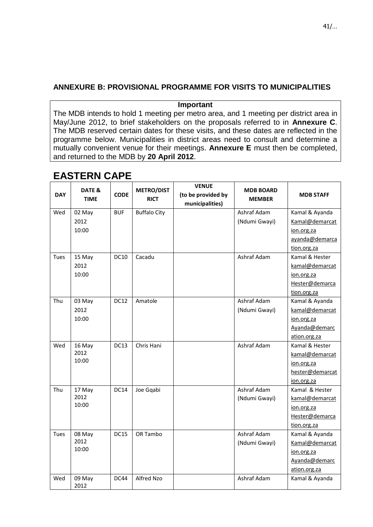# **ANNEXURE B: PROVISIONAL PROGRAMME FOR VISITS TO MUNICIPALITIES**

### **Important**

The MDB intends to hold 1 meeting per metro area, and 1 meeting per district area in May/June 2012, to brief stakeholders on the proposals referred to in **Annexure C**. The MDB reserved certain dates for these visits, and these dates are reflected in the programme below. Municipalities in district areas need to consult and determine a mutually convenient venue for their meetings. **Annexure E** must then be completed, and returned to the MDB by **20 April 2012**.

| <b>DAY</b> | DATE &<br><b>TIME</b> | <b>CODE</b> | <b>METRO/DIST</b><br><b>RICT</b> | <b>VENUE</b><br>(to be provided by<br>municipalities) | <b>MDB BOARD</b><br><b>MEMBER</b> | <b>MDB STAFF</b> |
|------------|-----------------------|-------------|----------------------------------|-------------------------------------------------------|-----------------------------------|------------------|
| Wed        | 02 May                | <b>BUF</b>  | <b>Buffalo City</b>              |                                                       | Ashraf Adam                       | Kamal & Ayanda   |
|            | 2012                  |             |                                  |                                                       | (Ndumi Gwayi)                     | Kamal@demarcat   |
|            | 10:00                 |             |                                  |                                                       |                                   | ion.org.za       |
|            |                       |             |                                  |                                                       |                                   | ayanda@demarca   |
|            |                       |             |                                  |                                                       |                                   | tion.org.za      |
| Tues       | 15 May                | <b>DC10</b> | Cacadu                           |                                                       | Ashraf Adam                       | Kamal & Hester   |
|            | 2012                  |             |                                  |                                                       |                                   | kamal@demarcat   |
|            | 10:00                 |             |                                  |                                                       |                                   | ion.org.za       |
|            |                       |             |                                  |                                                       |                                   | Hester@demarca   |
|            |                       |             |                                  |                                                       |                                   | tion.org.za      |
| Thu        | 03 May                | <b>DC12</b> | Amatole                          |                                                       | Ashraf Adam                       | Kamal & Ayanda   |
|            | 2012                  |             |                                  |                                                       | (Ndumi Gwayi)                     | kamal@demarcat   |
|            | 10:00                 |             |                                  |                                                       |                                   | ion.org.za       |
|            |                       |             |                                  |                                                       |                                   | Ayanda@demarc    |
|            |                       |             |                                  |                                                       |                                   | ation.org.za     |
| Wed        | 16 May                | <b>DC13</b> | Chris Hani                       |                                                       | Ashraf Adam                       | Kamal & Hester   |
|            | 2012                  |             |                                  |                                                       |                                   | kamal@demarcat   |
|            | 10:00                 |             |                                  |                                                       |                                   | ion.org.za       |
|            |                       |             |                                  |                                                       |                                   | hester@demarcat  |
|            |                       |             |                                  |                                                       |                                   | ion.org.za       |
| Thu        | 17 May                | <b>DC14</b> | Joe Gqabi                        |                                                       | Ashraf Adam                       | Kamal & Hester   |
|            | 2012                  |             |                                  |                                                       | (Ndumi Gwayi)                     | kamal@demarcat   |
|            | 10:00                 |             |                                  |                                                       |                                   | ion.org.za       |
|            |                       |             |                                  |                                                       |                                   | Hester@demarca   |
|            |                       |             |                                  |                                                       |                                   | tion.org.za      |
| Tues       | 08 May                | <b>DC15</b> | OR Tambo                         |                                                       | Ashraf Adam                       | Kamal & Ayanda   |
|            | 2012                  |             |                                  |                                                       | (Ndumi Gwayi)                     | Kamal@demarcat   |
|            | 10:00                 |             |                                  |                                                       |                                   | ion.org.za       |
|            |                       |             |                                  |                                                       |                                   | Ayanda@demarc    |
|            |                       |             |                                  |                                                       |                                   | ation.org.za     |
| Wed        | 09 May<br>2012        | <b>DC44</b> | Alfred Nzo                       |                                                       | Ashraf Adam                       | Kamal & Ayanda   |

# **EASTERN CAPE**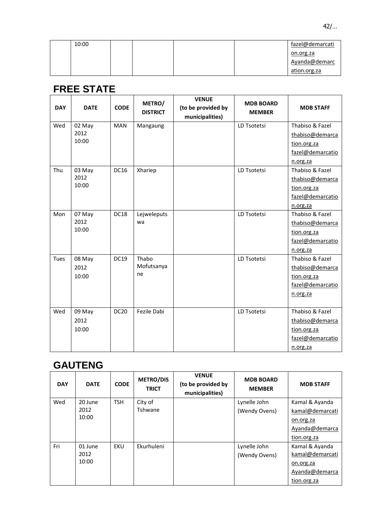| 10:00 |  | fazel@demarcati |
|-------|--|-----------------|
|       |  | on.org.za       |
|       |  | Ayanda@demarc   |
|       |  | ation.org.za    |

# **FREE STATE**

| <b>DAY</b> | <b>DATE</b> | <b>CODE</b> | METRO/<br><b>DISTRICT</b> | <b>VENUE</b><br>(to be provided by<br>municipalities) | <b>MDB BOARD</b><br><b>MEMBER</b> | <b>MDB STAFF</b> |
|------------|-------------|-------------|---------------------------|-------------------------------------------------------|-----------------------------------|------------------|
| Wed        | 02 May      | <b>MAN</b>  | Mangaung                  |                                                       | LD Tsotetsi                       | Thabiso & Fazel  |
|            | 2012        |             |                           |                                                       |                                   | thabiso@demarca  |
|            | 10:00       |             |                           |                                                       |                                   | tion.org.za      |
|            |             |             |                           |                                                       |                                   | fazel@demarcatio |
|            |             |             |                           |                                                       |                                   | n.org.za         |
| Thu        | 03 May      | <b>DC16</b> | Xhariep                   |                                                       | LD Tsotetsi                       | Thabiso & Fazel  |
|            | 2012        |             |                           |                                                       |                                   | thabiso@demarca  |
|            | 10:00       |             |                           |                                                       |                                   | tion.org.za      |
|            |             |             |                           |                                                       |                                   | fazel@demarcatio |
|            |             |             |                           |                                                       |                                   | n.org.za         |
| Mon        | 07 May      | <b>DC18</b> | Lejweleputs               |                                                       | LD Tsotetsi                       | Thabiso & Fazel  |
|            | 2012        |             | wa                        |                                                       |                                   | thabiso@demarca  |
|            | 10:00       |             |                           |                                                       |                                   | tion.org.za      |
|            |             |             |                           |                                                       |                                   | fazel@demarcatio |
|            |             |             |                           |                                                       |                                   | n.org.za         |
| Tues       | 08 May      | <b>DC19</b> | Thabo                     |                                                       | LD Tsotetsi                       | Thabiso & Fazel  |
|            | 2012        |             | Mofutsanya                |                                                       |                                   | thabiso@demarca  |
|            | 10:00       |             | ne                        |                                                       |                                   | tion.org.za      |
|            |             |             |                           |                                                       |                                   | fazel@demarcatio |
|            |             |             |                           |                                                       |                                   | n.org.za         |
|            |             |             |                           |                                                       |                                   |                  |
| Wed        | 09 May      | <b>DC20</b> | Fezile Dabi               |                                                       | LD Tsotetsi                       | Thabiso & Fazel  |
|            | 2012        |             |                           |                                                       |                                   | thabiso@demarca  |
|            | 10:00       |             |                           |                                                       |                                   | tion.org.za      |
|            |             |             |                           |                                                       |                                   | fazel@demarcatio |
|            |             |             |                           |                                                       |                                   | n.org.za         |

# **GAUTENG**

| <b>DAY</b> | <b>DATE</b> | <b>CODE</b> | <b>METRO/DIS</b><br><b>TRICT</b> | <b>VENUE</b><br>(to be provided by<br>municipalities) | <b>MDB BOARD</b><br><b>MEMBER</b> | <b>MDB STAFF</b> |
|------------|-------------|-------------|----------------------------------|-------------------------------------------------------|-----------------------------------|------------------|
| Wed        | 20 June     | <b>TSH</b>  | City of                          |                                                       | Lynelle John                      | Kamal & Ayanda   |
|            | 2012        |             | Tshwane                          |                                                       | (Wendy Ovens)                     | kamal@demarcati  |
|            | 10:00       |             |                                  |                                                       |                                   | on.org.za        |
|            |             |             |                                  |                                                       |                                   | Ayanda@demarca   |
|            |             |             |                                  |                                                       |                                   | tion.org.za      |
| Fri        | 01 June     | EKU         | Ekurhuleni                       |                                                       | Lynelle John                      | Kamal & Ayanda   |
|            | 2012        |             |                                  |                                                       | (Wendy Ovens)                     | kamal@demarcati  |
|            | 10:00       |             |                                  |                                                       |                                   | on.org.za        |
|            |             |             |                                  |                                                       |                                   | Ayanda@demarca   |
|            |             |             |                                  |                                                       |                                   | tion.org.za      |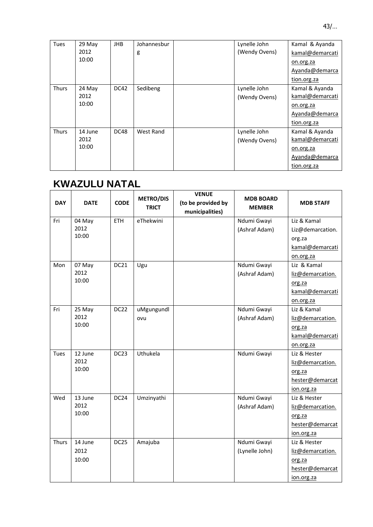| <b>Tues</b>  | 29 May  | JHB         | Johannesbur | Lynelle John  | Kamal & Ayanda  |
|--------------|---------|-------------|-------------|---------------|-----------------|
|              | 2012    |             | g           | (Wendy Ovens) | kamal@demarcati |
|              | 10:00   |             |             |               | on.org.za       |
|              |         |             |             |               | Ayanda@demarca  |
|              |         |             |             |               | tion.org.za     |
| <b>Thurs</b> | 24 May  | <b>DC42</b> | Sedibeng    | Lynelle John  | Kamal & Ayanda  |
|              | 2012    |             |             | (Wendy Ovens) | kamal@demarcati |
|              | 10:00   |             |             |               | on.org.za       |
|              |         |             |             |               | Ayanda@demarca  |
|              |         |             |             |               | tion.org.za     |
| <b>Thurs</b> | 14 June | DC48        | West Rand   | Lynelle John  | Kamal & Ayanda  |
|              | 2012    |             |             | (Wendy Ovens) | kamal@demarcati |
|              | 10:00   |             |             |               | on.org.za       |
|              |         |             |             |               | Ayanda@demarca  |
|              |         |             |             |               | tion.org.za     |

# **KWAZULU NATAL**

| <b>DAY</b> | <b>DATE</b> | <b>CODE</b>      | <b>METRO/DIS</b><br><b>TRICT</b> | <b>VENUE</b><br>(to be provided by<br>municipalities) | <b>MDB BOARD</b><br><b>MEMBER</b> | <b>MDB STAFF</b> |
|------------|-------------|------------------|----------------------------------|-------------------------------------------------------|-----------------------------------|------------------|
| Fri        | 04 May      | ETH              | eThekwini                        |                                                       | Ndumi Gwayi                       | Liz & Kamal      |
|            | 2012        |                  |                                  |                                                       | (Ashraf Adam)                     | Liz@demarcation. |
|            | 10:00       |                  |                                  |                                                       |                                   | org.za           |
|            |             |                  |                                  |                                                       |                                   | kamal@demarcati  |
|            |             |                  |                                  |                                                       |                                   | on.org.za        |
| Mon        | 07 May      | DC21             | Ugu                              |                                                       | Ndumi Gwayi                       | Liz & Kamal      |
|            | 2012        |                  |                                  |                                                       | (Ashraf Adam)                     | liz@demarcation. |
|            | 10:00       |                  |                                  |                                                       |                                   | org.za           |
|            |             |                  |                                  |                                                       |                                   | kamal@demarcati  |
|            |             |                  |                                  |                                                       |                                   | on.org.za        |
| Fri        | 25 May      | DC <sub>22</sub> | uMgungundl                       |                                                       | Ndumi Gwayi                       | Liz & Kamal      |
|            | 2012        |                  | ovu                              |                                                       | (Ashraf Adam)                     | liz@demarcation. |
|            | 10:00       |                  |                                  |                                                       |                                   | org.za           |
|            |             |                  |                                  |                                                       |                                   | kamal@demarcati  |
|            |             |                  |                                  |                                                       |                                   | on.org.za        |
| Tues       | 12 June     | DC <sub>23</sub> | Uthukela                         |                                                       | Ndumi Gwayi                       | Liz & Hester     |
|            | 2012        |                  |                                  |                                                       |                                   | liz@demarcation. |
|            | 10:00       |                  |                                  |                                                       |                                   | org.za           |
|            |             |                  |                                  |                                                       |                                   | hester@demarcat  |
|            |             |                  |                                  |                                                       |                                   | ion.org.za       |
| Wed        | 13 June     | DC <sub>24</sub> | Umzinyathi                       |                                                       | Ndumi Gwayi                       | Liz & Hester     |
|            | 2012        |                  |                                  |                                                       | (Ashraf Adam)                     | liz@demarcation. |
|            | 10:00       |                  |                                  |                                                       |                                   | org.za           |
|            |             |                  |                                  |                                                       |                                   | hester@demarcat  |
|            |             |                  |                                  |                                                       |                                   | ion.org.za       |
| Thurs      | 14 June     | DC <sub>25</sub> | Amajuba                          |                                                       | Ndumi Gwayi                       | Liz & Hester     |
|            | 2012        |                  |                                  |                                                       | (Lynelle John)                    | liz@demarcation. |
|            | 10:00       |                  |                                  |                                                       |                                   | org.za           |
|            |             |                  |                                  |                                                       |                                   | hester@demarcat  |
|            |             |                  |                                  |                                                       |                                   | ion.org.za       |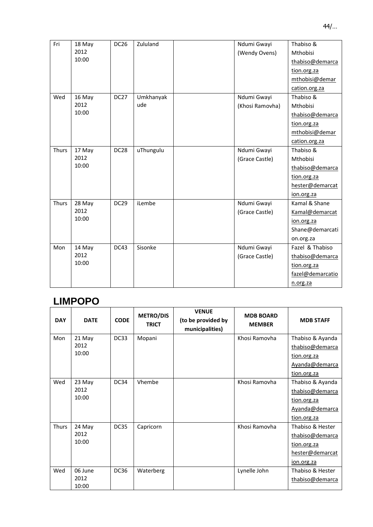| Fri   | 18 May | <b>DC26</b>      | Zululand  | Ndumi Gwayi     | Thabiso &        |
|-------|--------|------------------|-----------|-----------------|------------------|
|       | 2012   |                  |           | (Wendy Ovens)   | Mthobisi         |
|       | 10:00  |                  |           |                 | thabiso@demarca  |
|       |        |                  |           |                 | tion.org.za      |
|       |        |                  |           |                 | mthobisi@demar   |
|       |        |                  |           |                 | cation.org.za    |
| Wed   | 16 May | DC <sub>27</sub> | Umkhanyak | Ndumi Gwayi     | Thabiso &        |
|       | 2012   |                  | ude       | (Khosi Ramovha) | Mthobisi         |
|       | 10:00  |                  |           |                 | thabiso@demarca  |
|       |        |                  |           |                 | tion.org.za      |
|       |        |                  |           |                 | mthobisi@demar   |
|       |        |                  |           |                 | cation.org.za    |
| Thurs | 17 May | DC <sub>28</sub> | uThungulu | Ndumi Gwayi     | Thabiso &        |
|       | 2012   |                  |           | (Grace Castle)  | <b>Mthobisi</b>  |
|       | 10:00  |                  |           |                 | thabiso@demarca  |
|       |        |                  |           |                 | tion.org.za      |
|       |        |                  |           |                 | hester@demarcat  |
|       |        |                  |           |                 | ion.org.za       |
| Thurs | 28 May | <b>DC29</b>      | iLembe    | Ndumi Gwayi     | Kamal & Shane    |
|       | 2012   |                  |           | (Grace Castle)  | Kamal@demarcat   |
|       | 10:00  |                  |           |                 | ion.org.za       |
|       |        |                  |           |                 | Shane@demarcati  |
|       |        |                  |           |                 | on.org.za        |
| Mon   | 14 May | DC43             | Sisonke   | Ndumi Gwayi     | Fazel & Thabiso  |
|       | 2012   |                  |           | (Grace Castle)  | thabiso@demarca  |
|       | 10:00  |                  |           |                 | tion.org.za      |
|       |        |                  |           |                 | fazel@demarcatio |
|       |        |                  |           |                 | n.org.za         |

# **LIMPOPO**

| <b>DAY</b> | <b>DATE</b> | <b>CODE</b> | <b>METRO/DIS</b><br><b>TRICT</b> | <b>VENUE</b><br>(to be provided by<br>municipalities) | <b>MDB BOARD</b><br><b>MEMBER</b> | <b>MDB STAFF</b> |
|------------|-------------|-------------|----------------------------------|-------------------------------------------------------|-----------------------------------|------------------|
| Mon        | 21 May      | <b>DC33</b> | Mopani                           |                                                       | Khosi Ramovha                     | Thabiso & Ayanda |
|            | 2012        |             |                                  |                                                       |                                   | thabiso@demarca  |
|            | 10:00       |             |                                  |                                                       |                                   | tion.org.za      |
|            |             |             |                                  |                                                       |                                   | Ayanda@demarca   |
|            |             |             |                                  |                                                       |                                   | tion.org.za      |
| Wed        | 23 May      | DC34        | Vhembe                           |                                                       | Khosi Ramovha                     | Thabiso & Ayanda |
|            | 2012        |             |                                  |                                                       |                                   | thabiso@demarca  |
|            | 10:00       |             |                                  |                                                       |                                   | tion.org.za      |
|            |             |             |                                  |                                                       |                                   | Ayanda@demarca   |
|            |             |             |                                  |                                                       |                                   | tion.org.za      |
| Thurs      | 24 May      | DC35        | Capricorn                        |                                                       | Khosi Ramovha                     | Thabiso & Hester |
|            | 2012        |             |                                  |                                                       |                                   | thabiso@demarca  |
|            | 10:00       |             |                                  |                                                       |                                   | tion.org.za      |
|            |             |             |                                  |                                                       |                                   | hester@demarcat  |
|            |             |             |                                  |                                                       |                                   | ion.org.za       |
| Wed        | 06 June     | DC36        | Waterberg                        |                                                       | Lynelle John                      | Thabiso & Hester |
|            | 2012        |             |                                  |                                                       |                                   | thabiso@demarca  |
|            | 10:00       |             |                                  |                                                       |                                   |                  |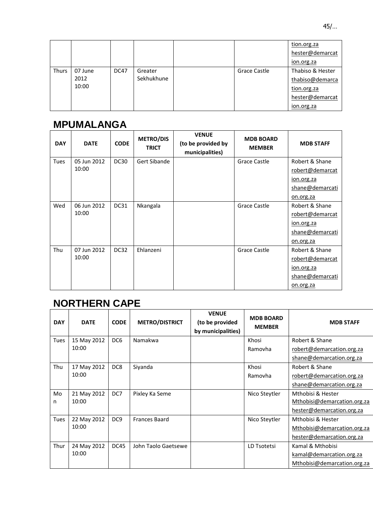|              |         |             |            |              | tion.org.za      |
|--------------|---------|-------------|------------|--------------|------------------|
|              |         |             |            |              | hester@demarcat  |
|              |         |             |            |              | ion.org.za       |
| <b>Thurs</b> | 07 June | <b>DC47</b> | Greater    | Grace Castle | Thabiso & Hester |
|              | 2012    |             | Sekhukhune |              | thabiso@demarca  |
|              | 10:00   |             |            |              | tion.org.za      |
|              |         |             |            |              | hester@demarcat  |
|              |         |             |            |              | ion.org.za       |

# **MPUMALANGA**

| <b>DAY</b>  | <b>DATE</b> | <b>CODE</b> | <b>METRO/DIS</b><br><b>TRICT</b> | <b>VENUE</b><br>(to be provided by<br>municipalities) | <b>MDB BOARD</b><br><b>MEMBER</b> | <b>MDB STAFF</b> |
|-------------|-------------|-------------|----------------------------------|-------------------------------------------------------|-----------------------------------|------------------|
| <b>Tues</b> | 05 Jun 2012 | <b>DC30</b> | Gert Sibande                     |                                                       | Grace Castle                      | Robert & Shane   |
|             | 10:00       |             |                                  |                                                       |                                   | robert@demarcat  |
|             |             |             |                                  |                                                       |                                   | ion.org.za       |
|             |             |             |                                  |                                                       |                                   | shane@demarcati  |
|             |             |             |                                  |                                                       |                                   | on.org.za        |
| Wed         | 06 Jun 2012 | <b>DC31</b> | Nkangala                         |                                                       | Grace Castle                      | Robert & Shane   |
|             | 10:00       |             |                                  |                                                       |                                   | robert@demarcat  |
|             |             |             |                                  |                                                       |                                   | ion.org.za       |
|             |             |             |                                  |                                                       |                                   | shane@demarcati  |
|             |             |             |                                  |                                                       |                                   | on.org.za        |
| Thu         | 07 Jun 2012 | DC32        | Ehlanzeni                        |                                                       | <b>Grace Castle</b>               | Robert & Shane   |
|             | 10:00       |             |                                  |                                                       |                                   | robert@demarcat  |
|             |             |             |                                  |                                                       |                                   | ion.org.za       |
|             |             |             |                                  |                                                       |                                   | shane@demarcati  |
|             |             |             |                                  |                                                       |                                   | on.org.za        |

# **NORTHERN CAPE**

| <b>DAY</b>  | <b>DATE</b> | <b>CODE</b>     | <b>METRO/DISTRICT</b> | <b>VENUE</b><br>(to be provided<br>by municipalities) | <b>MDB BOARD</b><br><b>MEMBER</b> | <b>MDB STAFF</b>            |
|-------------|-------------|-----------------|-----------------------|-------------------------------------------------------|-----------------------------------|-----------------------------|
| <b>Tues</b> | 15 May 2012 | DC <sub>6</sub> | Namakwa               |                                                       | Khosi                             | Robert & Shane              |
|             | 10:00       |                 |                       |                                                       | Ramovha                           | robert@demarcation.org.za   |
|             |             |                 |                       |                                                       |                                   | shane@demarcation.org.za    |
| Thu         | 17 May 2012 | DC <sub>8</sub> | Siyanda               |                                                       | Khosi                             | Robert & Shane              |
|             | 10:00       |                 |                       |                                                       | Ramovha                           | robert@demarcation.org.za   |
|             |             |                 |                       |                                                       |                                   | shane@demarcation.org.za    |
| Mo          | 21 May 2012 | DC7             | Pixley Ka Seme        |                                                       | Nico Steytler                     | Mthobisi & Hester           |
| n           | 10:00       |                 |                       |                                                       |                                   | Mthobisi@demarcation.org.za |
|             |             |                 |                       |                                                       |                                   | hester@demarcation.org.za   |
| <b>Tues</b> | 22 May 2012 | DC <sub>9</sub> | <b>Frances Baard</b>  |                                                       | Nico Steytler                     | Mthobisi & Hester           |
|             | 10:00       |                 |                       |                                                       |                                   | Mthobisi@demarcation.org.za |
|             |             |                 |                       |                                                       |                                   | hester@demarcation.org.za   |
| Thur        | 24 May 2012 | <b>DC45</b>     | John Taolo Gaetsewe   |                                                       | LD Tsotetsi                       | Kamal & Mthobisi            |
|             | 10:00       |                 |                       |                                                       |                                   | kamal@demarcation.org.za    |
|             |             |                 |                       |                                                       |                                   | Mthobisi@demarcation.org.za |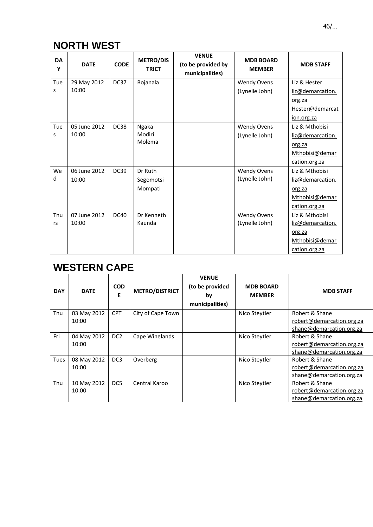# **NORTH WEST**

| <b>DA</b><br>Y | <b>DATE</b>  | <b>CODE</b> | <b>METRO/DIS</b><br><b>TRICT</b> | <b>VENUE</b><br>(to be provided by<br>municipalities) | <b>MDB BOARD</b><br><b>MEMBER</b> | <b>MDB STAFF</b> |
|----------------|--------------|-------------|----------------------------------|-------------------------------------------------------|-----------------------------------|------------------|
| Tue            | 29 May 2012  | DC37        | Bojanala                         |                                                       | <b>Wendy Ovens</b>                | Liz & Hester     |
| S              | 10:00        |             |                                  |                                                       | (Lynelle John)                    | liz@demarcation. |
|                |              |             |                                  |                                                       |                                   | org.za           |
|                |              |             |                                  |                                                       |                                   | Hester@demarcat  |
|                |              |             |                                  |                                                       |                                   | ion.org.za       |
| Tue            | 05 June 2012 | DC38        | Ngaka                            |                                                       | <b>Wendy Ovens</b>                | Liz & Mthobisi   |
| S              | 10:00        |             | Modiri                           |                                                       | (Lynelle John)                    | liz@demarcation. |
|                |              |             | Molema                           |                                                       |                                   | org.za           |
|                |              |             |                                  |                                                       |                                   | Mthobisi@demar   |
|                |              |             |                                  |                                                       |                                   | cation.org.za    |
| We             | 06 June 2012 | <b>DC39</b> | Dr Ruth                          |                                                       | <b>Wendy Ovens</b>                | Liz & Mthobisi   |
| d              | 10:00        |             | Segomotsi                        |                                                       | (Lynelle John)                    | liz@demarcation. |
|                |              |             | Mompati                          |                                                       |                                   | org.za           |
|                |              |             |                                  |                                                       |                                   | Mthobisi@demar   |
|                |              |             |                                  |                                                       |                                   | cation.org.za    |
| Thu            | 07 June 2012 | <b>DC40</b> | Dr Kenneth                       |                                                       | <b>Wendy Ovens</b>                | Liz & Mthobisi   |
| rs             | 10:00        |             | Kaunda                           |                                                       | (Lynelle John)                    | liz@demarcation. |
|                |              |             |                                  |                                                       |                                   | org.za           |
|                |              |             |                                  |                                                       |                                   | Mthobisi@demar   |
|                |              |             |                                  |                                                       |                                   | cation.org.za    |

# **WESTERN CAPE**

| <b>DAY</b>  | <b>DATE</b>          | <b>COD</b><br>E | <b>METRO/DISTRICT</b> | <b>VENUE</b><br>(to be provided<br>by<br>municipalities) | <b>MDB BOARD</b><br><b>MEMBER</b> | <b>MDB STAFF</b>                                                        |
|-------------|----------------------|-----------------|-----------------------|----------------------------------------------------------|-----------------------------------|-------------------------------------------------------------------------|
| Thu         | 03 May 2012<br>10:00 | <b>CPT</b>      | City of Cape Town     |                                                          | Nico Steytler                     | Robert & Shane<br>robert@demarcation.org.za                             |
|             |                      |                 |                       |                                                          |                                   | shane@demarcation.org.za                                                |
| Fri         | 04 May 2012<br>10:00 | DC <sub>2</sub> | Cape Winelands        |                                                          | Nico Steytler                     | Robert & Shane<br>robert@demarcation.org.za<br>shane@demarcation.org.za |
| <b>Tues</b> | 08 May 2012<br>10:00 | DC <sub>3</sub> | Overberg              |                                                          | Nico Steytler                     | Robert & Shane<br>robert@demarcation.org.za<br>shane@demarcation.org.za |
| Thu         | 10 May 2012<br>10:00 | DC <sub>5</sub> | Central Karoo         |                                                          | Nico Steytler                     | Robert & Shane<br>robert@demarcation.org.za<br>shane@demarcation.org.za |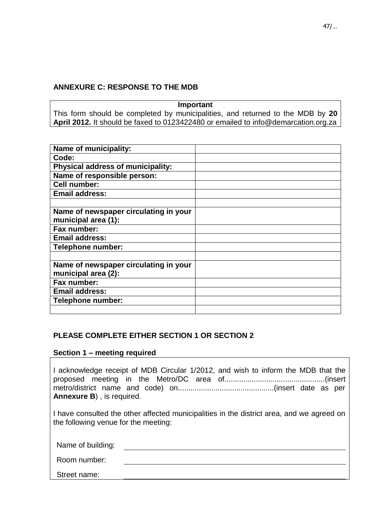# **ANNEXURE C: RESPONSE TO THE MDB**

**Important** This form should be completed by municipalities, and returned to the MDB by **20 April 2012.** It should be faxed to 0123422480 or emailed to info@demarcation.org.za

| Name of municipality:                 |  |
|---------------------------------------|--|
| Code:                                 |  |
| Physical address of municipality:     |  |
| Name of responsible person:           |  |
| <b>Cell number:</b>                   |  |
| <b>Email address:</b>                 |  |
|                                       |  |
| Name of newspaper circulating in your |  |
| municipal area (1):                   |  |
| Fax number:                           |  |
| <b>Email address:</b>                 |  |
| Telephone number:                     |  |
|                                       |  |
| Name of newspaper circulating in your |  |
| municipal area (2):                   |  |
| Fax number:                           |  |
| <b>Email address:</b>                 |  |
| Telephone number:                     |  |
|                                       |  |

# **PLEASE COMPLETE EITHER SECTION 1 OR SECTION 2**

## **Section 1 – meeting required**

I acknowledge receipt of MDB Circular 1/2012, and wish to inform the MDB that the proposed meeting in the Metro/DC area of................................................(insert metro/district name and code) on..............................................(insert date as per **Annexure B**) , is required.

I have consulted the other affected municipalities in the district area, and we agreed on the following venue for the meeting:

Name of building:

Room number:

Street name: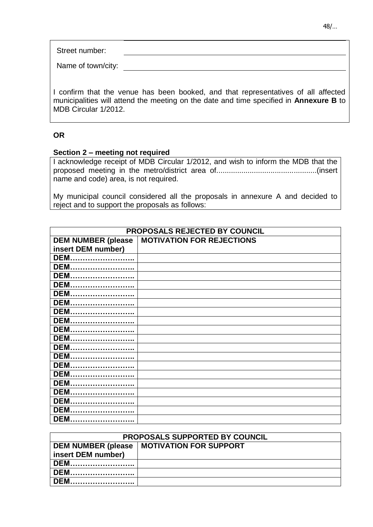Street number:

Name of town/city:

I confirm that the venue has been booked, and that representatives of all affected municipalities will attend the meeting on the date and time specified in **Annexure B** to MDB Circular 1/2012.

## **OR**

## **Section 2 – meeting not required**

I acknowledge receipt of MDB Circular 1/2012, and wish to inform the MDB that the proposed meeting in the metro/district area of................................................(insert name and code) area, is not required.

My municipal council considered all the proposals in annexure A and decided to reject and to support the proposals as follows:

| PROPOSALS REJECTED BY COUNCIL |                                  |  |
|-------------------------------|----------------------------------|--|
| <b>DEM NUMBER (please</b>     | <b>MOTIVATION FOR REJECTIONS</b> |  |
| insert DEM number)            |                                  |  |
| <b>DEM</b>                    |                                  |  |
| <b>DEM</b>                    |                                  |  |
| <b>DEM</b>                    |                                  |  |
| <b>DEM</b>                    |                                  |  |
| <b>DEM</b>                    |                                  |  |
| <b>DEM</b>                    |                                  |  |
| <b>DEM</b>                    |                                  |  |
| <b>DEM</b>                    |                                  |  |
| <b>DEM</b>                    |                                  |  |
| <b>DEM</b>                    |                                  |  |
| <b>DEM</b>                    |                                  |  |
| <b>DEM</b>                    |                                  |  |
| <b>DEM</b>                    |                                  |  |
| <b>DEM</b>                    |                                  |  |
| <b>DEM</b>                    |                                  |  |
| <b>DEM</b>                    |                                  |  |
| <b>DEM</b>                    |                                  |  |
| <b>DEM</b>                    |                                  |  |
| <b>DEM</b>                    |                                  |  |

| <b>PROPOSALS SUPPORTED BY COUNCIL</b> |                                |  |
|---------------------------------------|--------------------------------|--|
| <b>DEM NUMBER (please</b>             | <b>INOTIVATION FOR SUPPORT</b> |  |
| insert DEM number)                    |                                |  |
| DEM.                                  |                                |  |
| DEM.                                  |                                |  |
| <b>DEM</b>                            |                                |  |